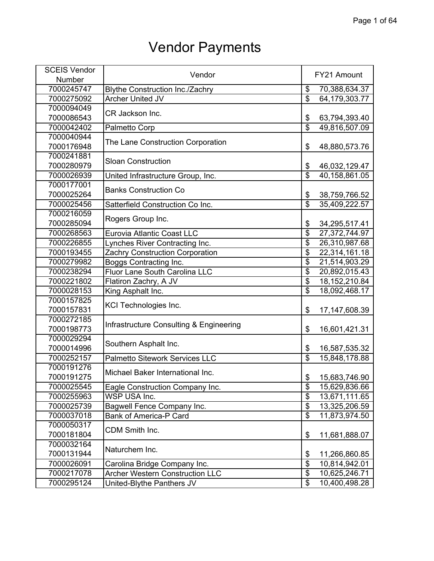| <b>SCEIS Vendor</b> | Vendor                                  |                                      | FY21 Amount      |
|---------------------|-----------------------------------------|--------------------------------------|------------------|
| Number              |                                         |                                      |                  |
| 7000245747          | <b>Blythe Construction Inc./Zachry</b>  | \$                                   | 70,388,634.37    |
| 7000275092          | <b>Archer United JV</b>                 | $\overline{\$}$                      | 64,179,303.77    |
| 7000094049          |                                         |                                      |                  |
| 7000086543          | CR Jackson Inc.                         | \$                                   | 63,794,393.40    |
| 7000042402          | Palmetto Corp                           | $\overline{\$}$                      | 49,816,507.09    |
| 7000040944          |                                         |                                      |                  |
| 7000176948          | The Lane Construction Corporation       | \$                                   | 48,880,573.76    |
| 7000241881          |                                         |                                      |                  |
| 7000280979          | <b>Sloan Construction</b>               | \$                                   | 46,032,129.47    |
| 7000026939          | United Infrastructure Group, Inc.       | $\overline{\$}$                      | 40,158,861.05    |
| 7000177001          |                                         |                                      |                  |
| 7000025264          | <b>Banks Construction Co</b>            | \$                                   | 38,759,766.52    |
| 7000025456          | Satterfield Construction Co Inc.        | $\overline{\$}$                      | 35,409,222.57    |
| 7000216059          |                                         |                                      |                  |
| 7000285094          | Rogers Group Inc.                       | \$                                   | 34,295,517.41    |
| 7000268563          | Eurovia Atlantic Coast LLC              | $\overline{\$}$                      | 27,372,744.97    |
| 7000226855          | Lynches River Contracting Inc.          | $\overline{\boldsymbol{\mathsf{s}}}$ | 26,310,987.68    |
| 7000193455          | Zachry Construction Corporation         | $\overline{\$}$                      | 22,314,161.18    |
| 7000279982          | Boggs Contracting Inc.                  | $\overline{\mathfrak{s}}$            | 21,514,903.29    |
| 7000238294          | Fluor Lane South Carolina LLC           | $\overline{\$}$                      | 20,892,015.43    |
| 7000221802          | Flatiron Zachry, A JV                   | $\overline{\$}$                      | 18, 152, 210.84  |
| 7000028153          | King Asphalt Inc.                       | $\overline{\$}$                      | 18,092,468.17    |
| 7000157825          |                                         |                                      |                  |
| 7000157831          | KCI Technologies Inc.                   | \$                                   | 17, 147, 608. 39 |
| 7000272185          |                                         |                                      |                  |
| 7000198773          | Infrastructure Consulting & Engineering | \$                                   | 16,601,421.31    |
| 7000029294          |                                         |                                      |                  |
| 7000014996          | Southern Asphalt Inc.                   | \$                                   | 16,587,535.32    |
| 7000252157          | <b>Palmetto Sitework Services LLC</b>   | $\overline{\$}$                      | 15,848,178.88    |
| 7000191276          |                                         |                                      |                  |
| 7000191275          | Michael Baker International Inc.        | \$                                   | 15,683,746.90    |
| 7000025545          | Eagle Construction Company Inc.         | \$                                   | 15,629,836.66    |
| 7000255963          | WSP USA Inc.                            | $\overline{\$}$                      | 13,671,111.65    |
| 7000025739          | <b>Bagwell Fence Company Inc.</b>       | $\overline{\$}$                      | 13,325,206.59    |
| 7000037018          | <b>Bank of America-P Card</b>           | $\overline{\$}$                      | 11,873,974.50    |
| 7000050317          |                                         |                                      |                  |
| 7000181804          | CDM Smith Inc.                          | \$                                   | 11,681,888.07    |
| 7000032164          |                                         |                                      |                  |
| 7000131944          | Naturchem Inc.                          | \$                                   | 11,266,860.85    |
| 7000026091          | Carolina Bridge Company Inc.            | $\overline{\$}$                      | 10,814,942.01    |
| 7000217078          | <b>Archer Western Construction LLC</b>  | $\overline{\$}$                      | 10,625,246.71    |
| 7000295124          | United-Blythe Panthers JV               | $\overline{\mathcal{E}}$             | 10,400,498.28    |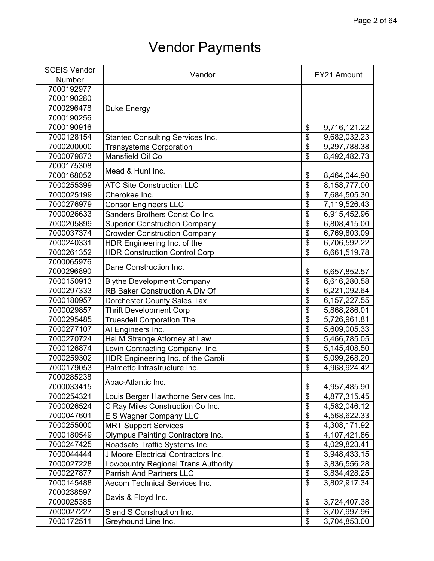| <b>SCEIS Vendor</b> | Vendor                                   | FY21 Amount             |                |
|---------------------|------------------------------------------|-------------------------|----------------|
| <b>Number</b>       |                                          |                         |                |
| 7000192977          |                                          |                         |                |
| 7000190280          |                                          |                         |                |
| 7000296478          | Duke Energy                              |                         |                |
| 7000190256          |                                          |                         |                |
| 7000190916          |                                          | \$                      | 9,716,121.22   |
| 7000128154          | <b>Stantec Consulting Services Inc.</b>  | $\overline{\$}$         | 9,682,032.23   |
| 7000200000          | <b>Transystems Corporation</b>           | $\overline{\$}$         | 9,297,788.38   |
| 7000079873          | Mansfield Oil Co                         | $\overline{\$}$         | 8,492,482.73   |
| 7000175308          |                                          |                         |                |
| 7000168052          | Mead & Hunt Inc.                         | \$                      | 8,464,044.90   |
| 7000255399          | <b>ATC Site Construction LLC</b>         | $\overline{\$}$         | 8,158,777.00   |
| 7000025199          | Cherokee Inc.                            | $\overline{\$}$         | 7,684,505.30   |
| 7000276979          | <b>Consor Engineers LLC</b>              | $\overline{\$}$         | 7,119,526.43   |
| 7000026633          | Sanders Brothers Const Co Inc.           | $\overline{\$}$         | 6,915,452.96   |
| 7000205899          | <b>Superior Construction Company</b>     | $\overline{\$}$         | 6,808,415.00   |
| 7000037374          | <b>Crowder Construction Company</b>      | $\overline{\$}$         | 6,769,803.09   |
| 7000240331          | HDR Engineering Inc. of the              | $\overline{\$}$         | 6,706,592.22   |
| 7000261352          | <b>HDR Construction Control Corp</b>     | $\overline{\$}$         | 6,661,519.78   |
| 7000065976          |                                          |                         |                |
| 7000296890          | Dane Construction Inc.                   | \$                      | 6,657,852.57   |
| 7000150913          | <b>Blythe Development Company</b>        | $\overline{\$}$         | 6,616,280.58   |
| 7000297333          | RB Baker Construction A Div Of           | $\overline{\$}$         | 6,221,092.64   |
| 7000180957          |                                          | $\overline{\$}$         |                |
| 7000029857          | Dorchester County Sales Tax              | $\overline{\$}$         | 6, 157, 227.55 |
|                     | <b>Thrift Development Corp</b>           | $\overline{\$}$         | 5,868,286.01   |
| 7000295485          | <b>Truesdell Corporation The</b>         | $\overline{\$}$         | 5,726,961.81   |
| 7000277107          | Al Engineers Inc.                        | $\overline{\$}$         | 5,609,005.33   |
| 7000270724          | Hal M Strange Attorney at Law            |                         | 5,466,785.05   |
| 7000126874          | Lovin Contracting Company Inc.           | \$                      | 5,145,408.50   |
| 7000259302          | HDR Engineering Inc. of the Caroli       | $\overline{\$}$         | 5,099,268.20   |
| 7000179053          | Palmetto Infrastructure Inc.             | $\overline{\$}$         | 4,968,924.42   |
| 7000285238          | Apac-Atlantic Inc.                       |                         |                |
| 7000033415          |                                          | \$                      | 4,957,485.90   |
| 7000254321          | Louis Berger Hawthorne Services Inc.     | $\overline{\$}$         | 4,877,315.45   |
| 7000026524          | C Ray Miles Construction Co Inc.         | $\overline{\$}$         | 4,582,046.12   |
| 7000047601          | E S Wagner Company LLC                   | $\overline{\$}$         | 4,568,622.33   |
| 7000255000          | <b>MRT Support Services</b>              | $\overline{\$}$         | 4,308,171.92   |
| 7000180549          | <b>Olympus Painting Contractors Inc.</b> | $\overline{\mathbf{S}}$ | 4,107,421.86   |
| 7000247425          | Roadsafe Traffic Systems Inc.            | $\overline{\$}$         | 4,029,823.41   |
| 7000044444          | J Moore Electrical Contractors Inc.      | $\overline{\$}$         | 3,948,433.15   |
| 7000027228          | Lowcountry Regional Trans Authority      | $\overline{\$}$         | 3,836,556.28   |
| 7000227877          | <b>Parrish And Partners LLC</b>          | $\overline{\$}$         | 3,834,428.25   |
| 7000145488          | Aecom Technical Services Inc.            | $\overline{\$}$         | 3,802,917.34   |
| 7000238597          | Davis & Floyd Inc.                       |                         |                |
| 7000025385          |                                          | \$                      | 3,724,407.38   |
| 7000027227          | S and S Construction Inc.                | $\overline{\$}$         | 3,707,997.96   |
| 7000172511          | Greyhound Line Inc.                      | $\overline{\$}$         | 3,704,853.00   |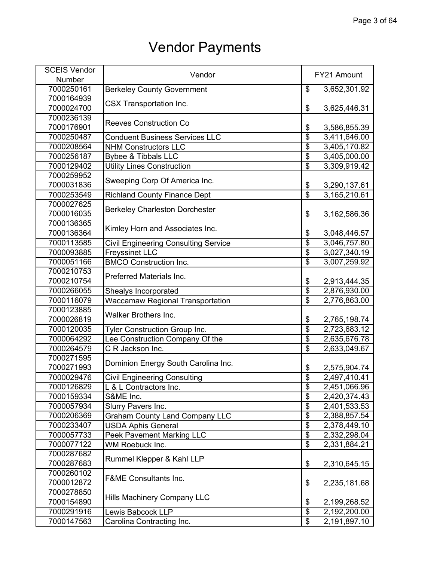| <b>SCEIS Vendor</b> | Vendor                                      |                          | FY21 Amount  |  |
|---------------------|---------------------------------------------|--------------------------|--------------|--|
| Number              |                                             |                          |              |  |
| 7000250161          | <b>Berkeley County Government</b>           | $\overline{\mathcal{G}}$ | 3,652,301.92 |  |
| 7000164939          |                                             |                          |              |  |
| 7000024700          | <b>CSX Transportation Inc.</b>              | \$                       | 3,625,446.31 |  |
| 7000236139          |                                             |                          |              |  |
| 7000176901          | <b>Reeves Construction Co</b>               | \$                       | 3,586,855.39 |  |
| 7000250487          | <b>Conduent Business Services LLC</b>       | $\overline{\$}$          | 3,411,646.00 |  |
| 7000208564          | <b>NHM Constructors LLC</b>                 | $\overline{\mathcal{L}}$ | 3,405,170.82 |  |
| 7000256187          | <b>Bybee &amp; Tibbals LLC</b>              | $\overline{\$}$          | 3,405,000.00 |  |
| 7000129402          | <b>Utility Lines Construction</b>           | $\overline{\$}$          | 3,309,919.42 |  |
| 7000259952          |                                             |                          |              |  |
| 7000031836          | Sweeping Corp Of America Inc.               | \$                       | 3,290,137.61 |  |
| 7000253549          | <b>Richland County Finance Dept</b>         | $\overline{\$}$          | 3,165,210.61 |  |
| 7000027625          |                                             |                          |              |  |
| 7000016035          | <b>Berkeley Charleston Dorchester</b>       | \$                       | 3,162,586.36 |  |
| 7000136365          |                                             |                          |              |  |
| 7000136364          | Kimley Horn and Associates Inc.             | \$                       | 3,048,446.57 |  |
| 7000113585          | <b>Civil Engineering Consulting Service</b> | $\overline{\$}$          | 3,046,757.80 |  |
| 7000093885          | <b>Freyssinet LLC</b>                       | $\overline{\$}$          | 3,027,340.19 |  |
| 7000051166          | <b>BMCO Construction Inc.</b>               | $\overline{\$}$          | 3,007,259.92 |  |
| 7000210753          |                                             |                          |              |  |
| 7000210754          | Preferred Materials Inc.                    | \$                       | 2,913,444.35 |  |
| 7000266055          | Shealys Incorporated                        | $\overline{\$}$          | 2,876,930.00 |  |
| 7000116079          | Waccamaw Regional Transportation            | $\overline{\$}$          | 2,776,863.00 |  |
| 7000123885          |                                             |                          |              |  |
| 7000026819          | <b>Walker Brothers Inc.</b>                 | \$                       | 2,765,198.74 |  |
| 7000120035          | <b>Tyler Construction Group Inc.</b>        | $\overline{\$}$          | 2,723,683.12 |  |
| 7000064292          | Lee Construction Company Of the             | $\overline{\$}$          | 2,635,676.78 |  |
| 7000264579          | C R Jackson Inc.                            | $\overline{\$}$          | 2,633,049.67 |  |
| 7000271595          |                                             |                          |              |  |
| 7000271993          | Dominion Energy South Carolina Inc.         | \$                       | 2,575,904.74 |  |
| 7000029476          | <b>Civil Engineering Consulting</b>         | $\overline{\$}$          | 2,497,410.41 |  |
| 7000126829          | L & L Contractors Inc.                      | \$                       | 2,451,066.96 |  |
| 7000159334          | S&ME Inc.                                   | $\overline{\$}$          | 2,420,374.43 |  |
| 7000057934          | Slurry Pavers Inc.                          | $\overline{\$}$          | 2,401,533.53 |  |
| 7000206369          | <b>Graham County Land Company LLC</b>       | $\overline{\$}$          | 2,388,857.54 |  |
| 7000233407          | <b>USDA Aphis General</b>                   | $\overline{\$}$          | 2,378,449.10 |  |
| 7000057733          | <b>Peek Pavement Marking LLC</b>            | $\overline{\$}$          | 2,332,298.04 |  |
| 7000077122          | WM Roebuck Inc.                             | $\overline{\$}$          | 2,331,884.21 |  |
| 7000287682          |                                             |                          |              |  |
| 7000287683          | Rummel Klepper & Kahl LLP                   | \$                       | 2,310,645.15 |  |
| 7000260102          |                                             |                          |              |  |
| 7000012872          | <b>F&amp;ME Consultants Inc.</b>            | \$                       | 2,235,181.68 |  |
| 7000278850          |                                             |                          |              |  |
| 7000154890          | <b>Hills Machinery Company LLC</b>          | \$                       | 2,199,268.52 |  |
| 7000291916          | <b>Lewis Babcock LLP</b>                    | $\overline{\$}$          | 2,192,200.00 |  |
| 7000147563          | Carolina Contracting Inc.                   | \$                       | 2,191,897.10 |  |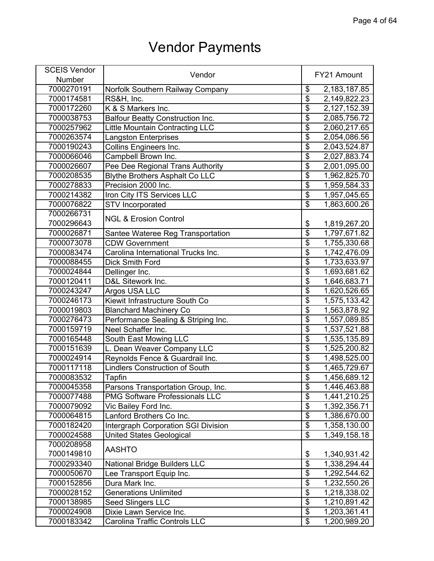| <b>SCEIS Vendor</b> |                                         |                         |              |
|---------------------|-----------------------------------------|-------------------------|--------------|
| Number              | Vendor                                  |                         | FY21 Amount  |
| 7000270191          | Norfolk Southern Railway Company        | \$                      | 2,183,187.85 |
| 7000174581          | RS&H, Inc.                              | $\overline{\$}$         | 2,149,822.23 |
| 7000172260          | K & S Markers Inc.                      | $\overline{\$}$         | 2,127,152.39 |
| 7000038753          | <b>Balfour Beatty Construction Inc.</b> | $\overline{\$}$         | 2,085,756.72 |
| 7000257962          | <b>Little Mountain Contracting LLC</b>  | $\overline{\$}$         | 2,060,217.65 |
| 7000263574          | <b>Langston Enterprises</b>             | $\overline{\$}$         | 2,054,086.56 |
| 7000190243          | <b>Collins Engineers Inc.</b>           | $\overline{\$}$         | 2,043,524.87 |
| 7000066046          | Campbell Brown Inc.                     | $\overline{\$}$         | 2,027,883.74 |
| 7000026607          | Pee Dee Regional Trans Authority        | $\overline{\$}$         | 2,001,095.00 |
| 7000208535          | <b>Blythe Brothers Asphalt Co LLC</b>   | $\overline{\$}$         | 1,962,825.70 |
| 7000278833          | Precision 2000 Inc.                     | $\overline{\$}$         | 1,959,584.33 |
| 7000214382          | Iron City ITS Services LLC              | $\overline{\$}$         | 1,957,045.65 |
| 7000076822          | <b>STV</b> Incorporated                 | $\overline{\mathbf{S}}$ | 1,863,600.26 |
| 7000266731          | <b>NGL &amp; Erosion Control</b>        |                         |              |
| 7000296643          |                                         | \$                      | 1,819,267.20 |
| 7000026871          | Santee Wateree Reg Transportation       | $\overline{\$}$         | 1,797,671.82 |
| 7000073078          | <b>CDW Government</b>                   | $\overline{\$}$         | 1,755,330.68 |
| 7000083474          | Carolina International Trucks Inc.      | $\overline{\$}$         | 1,742,476.09 |
| 7000088455          | <b>Dick Smith Ford</b>                  | $\overline{\$}$         | 1,733,633.97 |
| 7000024844          | Dellinger Inc.                          | $\overline{\$}$         | 1,693,681.62 |
| 7000120411          | D&L Sitework Inc.                       | $\overline{\$}$         | 1,646,683.71 |
| 7000243247          | Argos USA LLC                           | $\overline{\$}$         | 1,620,526.65 |
| 7000246173          | Kiewit Infrastructure South Co          | $\overline{\$}$         | 1,575,133.42 |
| 7000019803          | <b>Blanchard Machinery Co</b>           | $\overline{\$}$         | 1,563,878.92 |
| 7000276473          | Performance Sealing & Striping Inc.     | $\overline{\$}$         | 1,557,089.85 |
| 7000159719          | Neel Schaffer Inc.                      | $\overline{\$}$         | 1,537,521.88 |
| 7000165448          | South East Mowing LLC                   | $\overline{\$}$         | 1,535,135.89 |
| 7000151639          | L. Dean Weaver Company LLC              | $\overline{\$}$         | 1,525,200.82 |
| 7000024914          | Reynolds Fence & Guardrail Inc.         | \$                      | 1,498,525.00 |
| 7000117118          | <b>Lindlers Construction of South</b>   | $\overline{\mathbf{S}}$ | 1,465,729.67 |
| 7000083532          | <b>Tapfin</b>                           | $\overline{\mathbf{S}}$ | 1,456,689.12 |
| 7000045358          | Parsons Transportation Group, Inc.      | \$                      | 1,446,463.88 |
| 7000077488          | <b>PMG Software Professionals LLC</b>   | $\overline{\$}$         | 1,441,210.25 |
| 7000079092          | Vic Bailey Ford Inc.                    | $\overline{\$}$         | 1,392,356.71 |
| 7000064815          | Lanford Brothers Co Inc.                | $\overline{\$}$         | 1,386,670.00 |
| 7000182420          | Intergraph Corporation SGI Division     | $\overline{\$}$         | 1,358,130.00 |
| 7000024588          | <b>United States Geological</b>         | $\overline{\$}$         | 1,349,158.18 |
| 7000208958          |                                         |                         |              |
| 7000149810          | <b>AASHTO</b>                           | \$                      | 1,340,931.42 |
| 7000293340          | <b>National Bridge Builders LLC</b>     | $\overline{\$}$         | 1,338,294.44 |
| 7000050670          | Lee Transport Equip Inc.                | $\overline{\$}$         | 1,292,544.62 |
| 7000152856          | Dura Mark Inc.                          | $\overline{\mathbf{S}}$ | 1,232,550.26 |
| 7000028152          | <b>Generations Unlimited</b>            | $\overline{\$}$         | 1,218,338.02 |
| 7000138985          | Seed Slingers LLC                       | $\overline{\$}$         | 1,210,891.42 |
| 7000024908          | Dixie Lawn Service Inc.                 | $\overline{\$}$         | 1,203,361.41 |
| 7000183342          | Carolina Traffic Controls LLC           | $\overline{\mathbf{e}}$ | 1,200,989.20 |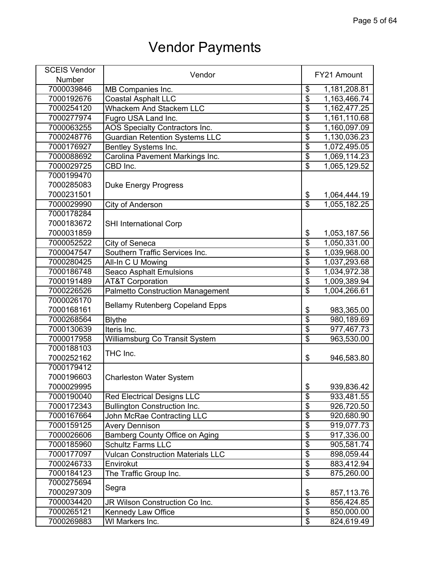| <b>SCEIS Vendor</b> | Vendor                                   |                           | FY21 Amount  |
|---------------------|------------------------------------------|---------------------------|--------------|
| Number              |                                          |                           |              |
| 7000039846          | MB Companies Inc.                        | \$                        | 1,181,208.81 |
| 7000192676          | <b>Coastal Asphalt LLC</b>               | $\overline{\$}$           | 1,163,466.74 |
| 7000254120          | <b>Whackem And Stackem LLC</b>           | $\overline{\$}$           | 1,162,477.25 |
| 7000277974          | Fugro USA Land Inc.                      | $\overline{\$}$           | 1,161,110.68 |
| 7000063255          | AOS Specialty Contractors Inc.           | $\overline{\$}$           | 1,160,097.09 |
| 7000248776          | <b>Guardian Retention Systems LLC</b>    | $\overline{\$}$           | 1,130,036.23 |
| 7000176927          | Bentley Systems Inc.                     | $\overline{\$}$           | 1,072,495.05 |
| 7000088692          | Carolina Pavement Markings Inc.          | $\overline{\$}$           | 1,069,114.23 |
| 7000029725          | CBD Inc.                                 | $\overline{\$}$           | 1,065,129.52 |
| 7000199470          |                                          |                           |              |
| 7000285083          | <b>Duke Energy Progress</b>              |                           |              |
| 7000231501          |                                          | $\frac{1}{2}$             | 1,064,444.19 |
| 7000029990          | City of Anderson                         | $\overline{\mathfrak{s}}$ | 1,055,182.25 |
| 7000178284          |                                          |                           |              |
| 7000183672          | <b>SHI International Corp</b>            |                           |              |
| 7000031859          |                                          | \$                        | 1,053,187.56 |
| 7000052522          | City of Seneca                           | $\overline{\$}$           | 1,050,331.00 |
| 7000047547          | Southern Traffic Services Inc.           | $\overline{\$}$           | 1,039,968.00 |
| 7000280425          | All-In C U Mowing                        | $\overline{\$}$           | 1,037,293.68 |
| 7000186748          | Seaco Asphalt Emulsions                  | $\overline{\$}$           | 1,034,972.38 |
| 7000191489          | <b>AT&amp;T Corporation</b>              | $\overline{\$}$           | 1,009,389.94 |
| 7000226526          | <b>Palmetto Construction Management</b>  | $\overline{\$}$           | 1,004,266.61 |
| 7000026170          |                                          |                           |              |
| 7000168161          | <b>Bellamy Rutenberg Copeland Epps</b>   | \$                        | 983,365.00   |
| 7000268564          | <b>Blythe</b>                            | $\overline{\mathbf{S}}$   | 980,189.69   |
| 7000130639          | Iteris Inc.                              | $\overline{\$}$           | 977,467.73   |
| 7000017958          | Williamsburg Co Transit System           | $\overline{\$}$           | 963,530.00   |
| 7000188103          |                                          |                           |              |
| 7000252162          | THC Inc.                                 | \$                        | 946,583.80   |
| 7000179412          |                                          |                           |              |
| 7000196603          | <b>Charleston Water System</b>           |                           |              |
| 7000029995          |                                          | \$                        | 939,836.42   |
| 7000190040          | <b>Red Electrical Designs LLC</b>        | $\overline{\mathbb{S}}$   | 933,481.55   |
| 7000172343          | <b>Bullington Construction Inc.</b>      | $\overline{\$}$           | 926,720.50   |
| 7000167664          | John McRae Contracting LLC               | $\overline{\$}$           | 920,680.90   |
| 7000159125          | <b>Avery Dennison</b>                    | $\overline{\$}$           | 919,077.73   |
| 7000026606          | Bamberg County Office on Aging           | $\overline{\$}$           | 917,336.00   |
| 7000185960          | <b>Schultz Farms LLC</b>                 | $\overline{\$}$           | 905,581.74   |
| 7000177097          | <b>Vulcan Construction Materials LLC</b> | $\overline{\$}$           | 898,059.44   |
| 7000246733          | Envirokut                                | $\overline{\$}$           | 883,412.94   |
| 7000184123          | The Traffic Group Inc.                   | $\overline{\$}$           | 875,260.00   |
| 7000275694          |                                          |                           |              |
| 7000297309          | Segra                                    | \$                        | 857,113.76   |
| 7000034420          | JR Wilson Construction Co Inc.           | $\overline{\mathbf{S}}$   | 856,424.85   |
| 7000265121          | Kennedy Law Office                       | $\overline{\mathcal{L}}$  | 850,000.00   |
| 7000269883          | WI Markers Inc.                          | $\overline{\mathbf{e}}$   | 824,619.49   |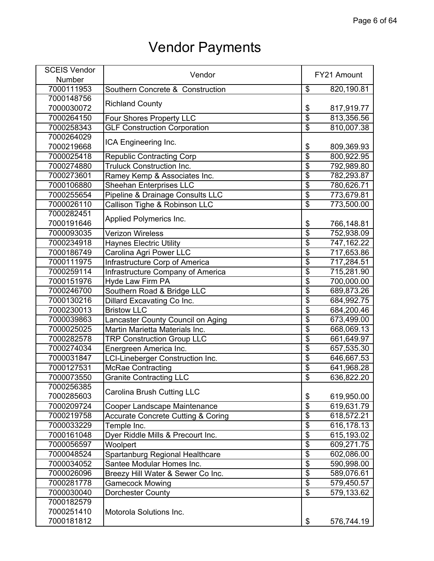| <b>SCEIS Vendor</b> | Vendor                                        |                         | FY21 Amount |
|---------------------|-----------------------------------------------|-------------------------|-------------|
| Number              |                                               |                         |             |
| 7000111953          | Southern Concrete & Construction              | \$                      | 820,190.81  |
| 7000148756          |                                               |                         |             |
| 7000030072          | <b>Richland County</b>                        | $\frac{1}{2}$           | 817,919.77  |
| 7000264150          | Four Shores Property LLC                      | $\overline{\$}$         | 813,356.56  |
| 7000258343          | <b>GLF Construction Corporation</b>           | $\overline{\$}$         | 810,007.38  |
| 7000264029          |                                               |                         |             |
| 7000219668          | ICA Engineering Inc.                          | \$                      | 809,369.93  |
| 7000025418          | <b>Republic Contracting Corp</b>              | $\overline{\$}$         | 800,922.95  |
| 7000274880          | <b>Truluck Construction Inc.</b>              | $\overline{\$}$         | 792,989.80  |
| 7000273601          | Ramey Kemp & Associates Inc.                  | $\overline{\$}$         | 782,293.87  |
| 7000106880          | <b>Sheehan Enterprises LLC</b>                | $\overline{\$}$         | 780,626.71  |
| 7000255654          | Pipeline & Drainage Consults LLC              | $\overline{\mathbf{S}}$ | 773,679.81  |
| 7000026110          | Callison Tighe & Robinson LLC                 | $\overline{\mathbf{S}}$ | 773,500.00  |
| 7000282451          |                                               |                         |             |
| 7000191646          | Applied Polymerics Inc.                       | \$                      | 766,148.81  |
| 7000093035          | <b>Verizon Wireless</b>                       | $\overline{\$}$         | 752,938.09  |
| 7000234918          | <b>Haynes Electric Utility</b>                | $\overline{\$}$         | 747,162.22  |
| 7000186749          | Carolina Agri Power LLC                       | $\overline{\$}$         | 717,653.86  |
| 7000111975          | Infrastructure Corp of America                | $\overline{\$}$         | 717,284.51  |
| 7000259114          | Infrastructure Company of America             | $\overline{\$}$         | 715,281.90  |
| 7000151976          | Hyde Law Firm PA                              | $\overline{\$}$         | 700,000.00  |
| 7000246700          | Southern Road & Bridge LLC                    | $\overline{\$}$         | 689,873.26  |
| 7000130216          | Dillard Excavating Co Inc.                    | $\overline{\$}$         | 684,992.75  |
| 7000230013          | <b>Bristow LLC</b>                            | $\overline{\$}$         | 684,200.46  |
| 7000039863          | Lancaster County Council on Aging             | $\overline{\mathbf{S}}$ | 673,499.00  |
| 7000025025          | Martin Marietta Materials Inc.                | $\overline{\$}$         | 668,069.13  |
| 7000282578          | <b>TRP Construction Group LLC</b>             | $\overline{\$}$         | 661,649.97  |
| 7000274034          | Energreen America Inc.                        | $\overline{\$}$         | 657,535.30  |
| 7000031847          | <b>LCI-Lineberger Construction Inc.</b>       | $\overline{\$}$         | 646,667.53  |
| 7000127531          | <b>McRae Contracting</b>                      | $\overline{\$}$         | 641,968.28  |
| 7000073550          | <b>Granite Contracting LLC</b>                | $\overline{\$}$         | 636,822.20  |
| 7000256385          |                                               |                         |             |
| 7000285603          | Carolina Brush Cutting LLC                    | \$                      | 619,950.00  |
| 7000209724          | Cooper Landscape Maintenance                  | $\overline{\$}$         | 619,631.79  |
| 7000219758          | <b>Accurate Concrete Cutting &amp; Coring</b> | $\overline{\$}$         | 618,572.21  |
| 7000033229          | Temple Inc.                                   | $\overline{\$}$         | 616,178.13  |
| 7000161048          | Dyer Riddle Mills & Precourt Inc.             | $\overline{\$}$         | 615,193.02  |
| 7000056597          | Woolpert                                      | $\overline{\$}$         | 609,271.75  |
| 7000048524          | Spartanburg Regional Healthcare               | $\overline{\$}$         | 602,086.00  |
| 7000034052          | Santee Modular Homes Inc.                     | $\overline{\$}$         | 590,998.00  |
| 7000026096          | Breezy Hill Water & Sewer Co Inc.             | $\overline{\$}$         | 589,076.61  |
| 7000281778          | <b>Gamecock Mowing</b>                        | $\overline{\$}$         | 579,450.57  |
| 7000030040          | <b>Dorchester County</b>                      | $\overline{\$}$         | 579,133.62  |
| 7000182579          |                                               |                         |             |
| 7000251410          | Motorola Solutions Inc.                       |                         |             |
| 7000181812          |                                               | \$                      | 576,744.19  |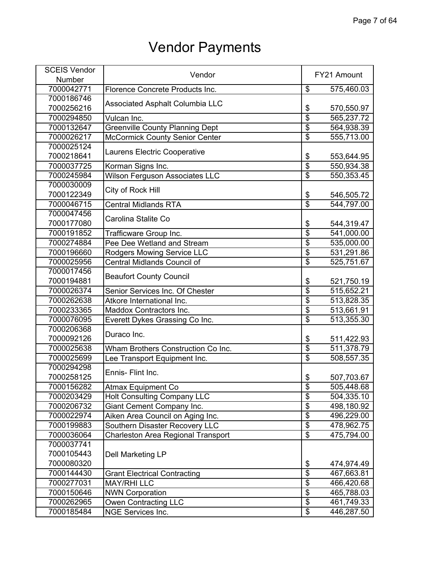| <b>SCEIS Vendor</b> | Vendor                                    |                          | FY21 Amount |
|---------------------|-------------------------------------------|--------------------------|-------------|
| <b>Number</b>       |                                           |                          |             |
| 7000042771          | Florence Concrete Products Inc.           | \$                       | 575,460.03  |
| 7000186746          |                                           |                          |             |
| 7000256216          | <b>Associated Asphalt Columbia LLC</b>    | \$                       | 570,550.97  |
| 7000294850          | Vulcan Inc.                               | \$                       | 565,237.72  |
| 7000132647          | <b>Greenville County Planning Dept</b>    | $\overline{\$}$          | 564,938.39  |
| 7000026217          | <b>McCormick County Senior Center</b>     | $\overline{\mathcal{S}}$ | 555,713.00  |
| 7000025124          |                                           |                          |             |
| 7000218641          | Laurens Electric Cooperative              | \$                       | 553,644.95  |
| 7000037725          | Korman Signs Inc.                         | \$                       | 550,934.38  |
| 7000245984          | <b>Wilson Ferguson Associates LLC</b>     | $\overline{\$}$          | 550,353.45  |
| 7000030009          | City of Rock Hill                         |                          |             |
| 7000122349          |                                           | \$                       | 546,505.72  |
| 7000046715          | <b>Central Midlands RTA</b>               | $\overline{\mathcal{S}}$ | 544,797.00  |
| 7000047456          | Carolina Stalite Co                       |                          |             |
| 7000177080          |                                           | \$                       | 544,319.47  |
| 7000191852          | Trafficware Group Inc.                    | $\overline{\$}$          | 541,000.00  |
| 7000274884          | Pee Dee Wetland and Stream                | $\overline{\$}$          | 535,000.00  |
| 7000196660          | Rodgers Mowing Service LLC                | $\overline{\$}$          | 531,291.86  |
| 7000025956          | Central Midlands Council of               | $\overline{\$}$          | 525,751.67  |
| 7000017456          | <b>Beaufort County Council</b>            |                          |             |
| 7000194881          |                                           | \$                       | 521,750.19  |
| 7000026374          | Senior Services Inc. Of Chester           | $\overline{\$}$          | 515,652.21  |
| 7000262638          | Atkore International Inc.                 | \$                       | 513,828.35  |
| 7000233365          | Maddox Contractors Inc.                   | $\overline{\$}$          | 513,661.91  |
| 7000076095          | Everett Dykes Grassing Co Inc.            | \$                       | 513,355.30  |
| 7000206368          | Duraco Inc.                               |                          |             |
| 7000092126          |                                           | \$                       | 511,422.93  |
| 7000025638          | Wham Brothers Construction Co Inc.        | $\overline{\$}$          | 511,378.79  |
| 7000025699          | Lee Transport Equipment Inc.              | $\overline{\$}$          | 508,557.35  |
| 7000294298          | Ennis- Flint Inc.                         |                          |             |
| 7000258125          |                                           | \$                       | 507,703.67  |
| 7000156282          | <b>Atmax Equipment Co</b>                 | \$                       | 505,448.68  |
| 7000203429          | <b>Holt Consulting Company LLC</b>        | $\overline{\$}$          | 504,335.10  |
| 7000206732          | Giant Cement Company Inc.                 | \$                       | 498,180.92  |
| 7000022974          | Aiken Area Council on Aging Inc.          | $\overline{\$}$          | 496,229.00  |
| 7000199883          | Southern Disaster Recovery LLC            | $\overline{\$}$          | 478,962.75  |
| 7000036064          | <b>Charleston Area Regional Transport</b> | $\overline{\$}$          | 475,794.00  |
| 7000037741          |                                           |                          |             |
| 7000105443          | <b>Dell Marketing LP</b>                  |                          |             |
| 7000080320          |                                           | \$                       | 474,974.49  |
| 7000144430          | <b>Grant Electrical Contracting</b>       | \$                       | 467,663.81  |
| 7000277031          | <b>MAY/RHILLC</b>                         | \$                       | 466,420.68  |
| 7000150646          | <b>NWN Corporation</b>                    | $\overline{\$}$          | 465,788.03  |
| 7000262965          | Owen Contracting LLC                      | \$                       | 461,749.33  |
| 7000185484          | <b>NGE Services Inc.</b>                  | $\overline{\$}$          | 446,287.50  |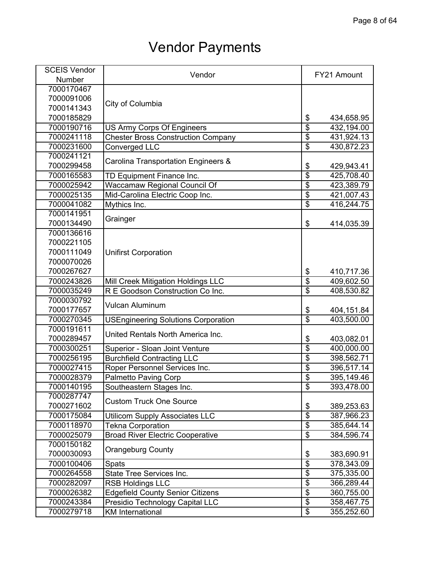| <b>SCEIS Vendor</b> | Vendor                                     |                           | FY21 Amount |
|---------------------|--------------------------------------------|---------------------------|-------------|
| Number              |                                            |                           |             |
| 7000170467          |                                            |                           |             |
| 7000091006          |                                            |                           |             |
| 7000141343          | City of Columbia                           |                           |             |
| 7000185829          |                                            | \$                        | 434,658.95  |
| 7000190716          | <b>US Army Corps Of Engineers</b>          | $\overline{\$}$           | 432,194.00  |
| 7000241118          | <b>Chester Bross Construction Company</b>  | $\overline{\$}$           | 431,924.13  |
| 7000231600          | Converged LLC                              | $\overline{\$}$           | 430,872.23  |
| 7000241121          |                                            |                           |             |
| 7000299458          | Carolina Transportation Engineers &        | \$                        | 429,943.41  |
| 7000165583          | TD Equipment Finance Inc.                  | $\overline{\$}$           | 425,708.40  |
| 7000025942          | Waccamaw Regional Council Of               | $\overline{\$}$           | 423,389.79  |
| 7000025135          | Mid-Carolina Electric Coop Inc.            | \$                        | 421,007.43  |
| 7000041082          | Mythics Inc.                               | $\overline{\$}$           | 416,244.75  |
| 7000141951          |                                            |                           |             |
| 7000134490          | Grainger                                   | \$                        | 414,035.39  |
| 7000136616          |                                            |                           |             |
| 7000221105          |                                            |                           |             |
| 7000111049          | <b>Unifirst Corporation</b>                |                           |             |
| 7000070026          |                                            |                           |             |
| 7000267627          |                                            | \$                        | 410,717.36  |
| 7000243826          | Mill Creek Mitigation Holdings LLC         | $\overline{\$}$           | 409,602.50  |
| 7000035249          | R E Goodson Construction Co Inc.           | $\overline{\$}$           | 408,530.82  |
| 7000030792          |                                            |                           |             |
| 7000177657          | Vulcan Aluminum                            | \$                        | 404,151.84  |
| 7000270345          | <b>USEngineering Solutions Corporation</b> | $\overline{\mathfrak{s}}$ | 403,500.00  |
| 7000191611          |                                            |                           |             |
| 7000289457          | United Rentals North America Inc.          | \$                        | 403,082.01  |
| 7000300251          | Superior - Sloan Joint Venture             | $\overline{\$}$           | 400,000.00  |
| 7000256195          | <b>Burchfield Contracting LLC</b>          | $\overline{\$}$           | 398,562.71  |
| 7000027415          | Roper Personnel Services Inc.              | $\overline{\$}$           | 396,517.14  |
| 7000028379          | <b>Palmetto Paving Corp</b>                | $\overline{\$}$           | 395,149.46  |
| 7000140195          | Southeastern Stages Inc.                   | \$                        | 393,478.00  |
| 7000287747          |                                            |                           |             |
| 7000271602          | <b>Custom Truck One Source</b>             | \$                        | 389,253.63  |
| 7000175084          | <b>Utilicom Supply Associates LLC</b>      | $\overline{\$}$           | 387,966.23  |
| 7000118970          | <b>Tekna Corporation</b>                   | $\overline{\$}$           | 385,644.14  |
| 7000025079          | <b>Broad River Electric Cooperative</b>    | $\overline{\$}$           | 384,596.74  |
| 7000150182          |                                            |                           |             |
| 7000030093          | <b>Orangeburg County</b>                   | \$                        | 383,690.91  |
| 7000100406          | Spats                                      | $\overline{\$}$           | 378,343.09  |
| 7000264558          | State Tree Services Inc.                   | $\overline{\$}$           | 375,335.00  |
| 7000282097          | <b>RSB Holdings LLC</b>                    | $\overline{\$}$           | 366,289.44  |
| 7000026382          | <b>Edgefield County Senior Citizens</b>    | $\overline{\$}$           | 360,755.00  |
| 7000243384          | Presidio Technology Capital LLC            | \$                        | 358,467.75  |
| 7000279718          | <b>KM</b> International                    | $\overline{\$}$           | 355,252.60  |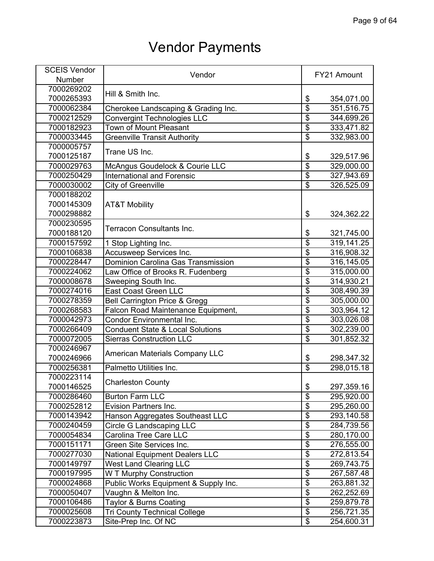| <b>SCEIS Vendor</b> |                                             |                                      |             |
|---------------------|---------------------------------------------|--------------------------------------|-------------|
| Number              | Vendor                                      |                                      | FY21 Amount |
| 7000269202          |                                             |                                      |             |
| 7000265393          | Hill & Smith Inc.                           | \$                                   | 354,071.00  |
| 7000062384          | Cherokee Landscaping & Grading Inc.         | \$                                   | 351,516.75  |
| 7000212529          | <b>Convergint Technologies LLC</b>          | $\overline{\$}$                      | 344,699.26  |
| 7000182923          | Town of Mount Pleasant                      | $\overline{\$}$                      | 333,471.82  |
| 7000033445          | <b>Greenville Transit Authority</b>         | \$                                   | 332,983.00  |
| 7000005757          |                                             |                                      |             |
| 7000125187          | Trane US Inc.                               | \$                                   | 329,517.96  |
| 7000029763          | McAngus Goudelock & Courie LLC              | $\overline{\boldsymbol{\mathsf{s}}}$ | 329,000.00  |
| 7000250429          | <b>International and Forensic</b>           | $\overline{\$}$                      | 327,943.69  |
| 7000030002          | City of Greenville                          | $\overline{\boldsymbol{\mathsf{s}}}$ | 326,525.09  |
| 7000188202          |                                             |                                      |             |
| 7000145309          | <b>AT&amp;T Mobility</b>                    |                                      |             |
| 7000298882          |                                             | \$                                   | 324,362.22  |
| 7000230595          |                                             |                                      |             |
| 7000188120          | Terracon Consultants Inc.                   | \$                                   | 321,745.00  |
| 7000157592          | 1 Stop Lighting Inc.                        | $\overline{\$}$                      | 319,141.25  |
| 7000106838          | Accusweep Services Inc.                     | $\overline{\$}$                      | 316,908.32  |
| 7000228447          | Dominion Carolina Gas Transmission          | \$                                   | 316,145.05  |
| 7000224062          | Law Office of Brooks R. Fudenberg           | $\overline{\$}$                      | 315,000.00  |
| 7000008678          | Sweeping South Inc.                         | $\overline{\$}$                      | 314,930.21  |
| 7000274016          | <b>East Coast Green LLC</b>                 | $\overline{\$}$                      | 308,490.39  |
| 7000278359          | <b>Bell Carrington Price &amp; Gregg</b>    | $\overline{\$}$                      | 305,000.00  |
| 7000268583          | Falcon Road Maintenance Equipment,          | $\overline{\$}$                      | 303,964.12  |
| 7000042973          | <b>Condor Environmental Inc.</b>            | $\overline{\mathbf{S}}$              | 303,026.08  |
| 7000266409          | <b>Conduent State &amp; Local Solutions</b> | $\overline{\$}$                      | 302,239.00  |
| 7000072005          | <b>Sierras Construction LLC</b>             | $\overline{\$}$                      | 301,852.32  |
| 7000246967          |                                             |                                      |             |
| 7000246966          | <b>American Materials Company LLC</b>       | \$                                   | 298,347.32  |
| 7000256381          | Palmetto Utilities Inc.                     | $\overline{\$}$                      | 298,015.18  |
| 7000223114          |                                             |                                      |             |
| 7000146525          | <b>Charleston County</b>                    | \$                                   | 297,359.16  |
| 7000286460          | <b>Burton Farm LLC</b>                      | $\overline{\$}$                      | 295,920.00  |
| 7000252812          | <b>Evision Partners Inc.</b>                | $\overline{\mathcal{S}}$             | 295,260.00  |
| 7000143942          | Hanson Aggregates Southeast LLC             | $\overline{\boldsymbol{\theta}}$     | 293,140.58  |
| 7000240459          | Circle G Landscaping LLC                    | $\overline{\boldsymbol{\theta}}$     | 284,739.56  |
| 7000054834          | Carolina Tree Care LLC                      | $\overline{\mathbf{S}}$              | 280,170.00  |
| 7000151171          | Green Site Services Inc.                    | \$                                   | 276,555.00  |
| 7000277030          | <b>National Equipment Dealers LLC</b>       | $\overline{\$}$                      | 272,813.54  |
| 7000149797          | <b>West Land Clearing LLC</b>               | $\overline{\$}$                      | 269,743.75  |
| 7000197995          | W T Murphy Construction                     | $\overline{\$}$                      |             |
|                     |                                             | $\overline{\$}$                      | 267,587.48  |
| 7000024868          | Public Works Equipment & Supply Inc.        | $\overline{\$}$                      | 263,881.32  |
| 7000050407          | Vaughn & Melton Inc.                        | $\overline{\mathbf{S}}$              | 262,252.69  |
| 7000106486          | <b>Taylor &amp; Burns Coating</b>           |                                      | 259,879.78  |
| 7000025608          | <b>Tri County Technical College</b>         | \$                                   | 256,721.35  |
| 7000223873          | Site-Prep Inc. Of NC                        | \$                                   | 254,600.31  |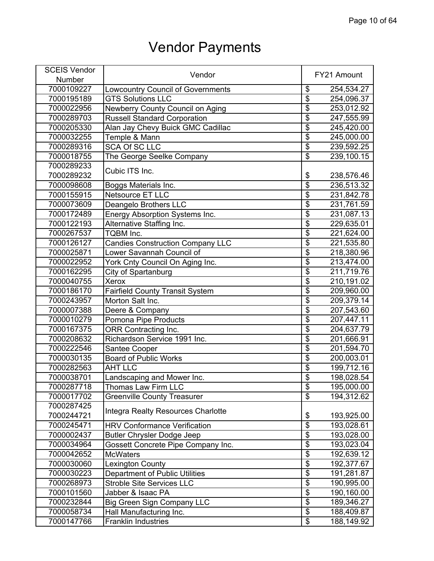| <b>SCEIS Vendor</b> | Vendor                                    |                          | FY21 Amount |
|---------------------|-------------------------------------------|--------------------------|-------------|
| Number              |                                           |                          |             |
| 7000109227          | <b>Lowcountry Council of Governments</b>  | \$                       | 254,534.27  |
| 7000195189          | <b>GTS Solutions LLC</b>                  | \$                       | 254,096.37  |
| 7000022956          | Newberry County Council on Aging          | \$                       | 253,012.92  |
| 7000289703          | <b>Russell Standard Corporation</b>       | \$                       | 247,555.99  |
| 7000205330          | Alan Jay Chevy Buick GMC Cadillac         | $\overline{\$}$          | 245,420.00  |
| 7000032255          | Temple & Mann                             | $\overline{\mathbf{S}}$  | 245,000.00  |
| 7000289316          | <b>SCA Of SC LLC</b>                      | $\overline{\$}$          | 239,592.25  |
| 7000018755          | The George Seelke Company                 | $\overline{\mathcal{E}}$ | 239,100.15  |
| 7000289233          |                                           |                          |             |
| 7000289232          | Cubic ITS Inc.                            | \$                       | 238,576.46  |
| 7000098608          | Boggs Materials Inc.                      | \$                       | 236,513.32  |
| 7000155915          | <b>Netsource ET LLC</b>                   | $\overline{\mathbf{S}}$  | 231,842.78  |
| 7000073609          | Deangelo Brothers LLC                     | $\overline{\$}$          | 231,761.59  |
| 7000172489          | Energy Absorption Systems Inc.            | $\overline{\$}$          | 231,087.13  |
| 7000122193          | Alternative Staffing Inc.                 | $\overline{\$}$          | 229,635.01  |
| 7000267537          | TQBM Inc.                                 | $\overline{\mathbf{S}}$  | 221,624.00  |
| 7000126127          | <b>Candies Construction Company LLC</b>   | $\overline{\$}$          | 221,535.80  |
| 7000025871          | Lower Savannah Council of                 | $\overline{\$}$          | 218,380.96  |
| 7000022952          | York Cnty Council On Aging Inc.           | $\overline{\mathbf{S}}$  |             |
| 7000162295          |                                           | \$                       | 213,474.00  |
|                     | City of Spartanburg<br><b>Xerox</b>       | \$                       | 211,719.76  |
| 7000040755          |                                           |                          | 210,191.02  |
| 7000186170          | <b>Fairfield County Transit System</b>    | $\overline{\$}$          | 209,960.00  |
| 7000243957          | Morton Salt Inc.                          | $\overline{\$}$          | 209,379.14  |
| 7000007388          | Deere & Company                           | $\overline{\$}$          | 207,543.60  |
| 7000010279          | Pomona Pipe Products                      | \$                       | 207,447.11  |
| 7000167375          | <b>ORR Contracting Inc.</b>               | \$                       | 204,637.79  |
| 7000208632          | Richardson Service 1991 Inc.              | $\overline{\$}$          | 201,666.91  |
| 7000222546          | Santee Cooper                             | $\overline{\$}$          | 201,594.70  |
| 7000030135          | <b>Board of Public Works</b>              | $\overline{\$}$          | 200,003.01  |
| 7000282563          | <b>AHT LLC</b>                            | $\overline{\$}$          | 199,712.16  |
| 7000038701          | Landscaping and Mower Inc.                | $\overline{\mathbf{S}}$  | 198,028.54  |
| 7000287718          | Thomas Law Firm LLC                       | \$                       | 195,000.00  |
| 7000017702          | <b>Greenville County Treasurer</b>        | $\overline{\mathbf{S}}$  | 194,312.62  |
| 7000287425          | Integra Realty Resources Charlotte        |                          |             |
| 7000244721          |                                           | \$                       | 193,925.00  |
| 7000245471          | <b>HRV Conformance Verification</b>       | $\overline{\$}$          | 193,028.61  |
| 7000002437          | <b>Butler Chrysler Dodge Jeep</b>         | $\overline{\mathbf{S}}$  | 193,028.00  |
| 7000034964          | <b>Gossett Concrete Pipe Company Inc.</b> | $\overline{\mathbf{S}}$  | 193,023.04  |
| 7000042652          | <b>McWaters</b>                           | $\overline{\mathbf{e}}$  | 192,639.12  |
| 7000030060          | <b>Lexington County</b>                   | $\overline{\$}$          | 192,377.67  |
| 7000030223          | Department of Public Utilities            | $\overline{\$}$          | 191,281.87  |
| 7000268973          | <b>Stroble Site Services LLC</b>          | $\overline{\$}$          | 190,995.00  |
| 7000101560          | Jabber & Isaac PA                         | $\overline{\mathbf{S}}$  | 190,160.00  |
| 7000232844          | <b>Big Green Sign Company LLC</b>         | \$                       | 189,346.27  |
| 7000058734          | Hall Manufacturing Inc.                   | $\overline{\$}$          | 188,409.87  |
| 7000147766          | <b>Franklin Industries</b>                | $\overline{\$}$          | 188,149.92  |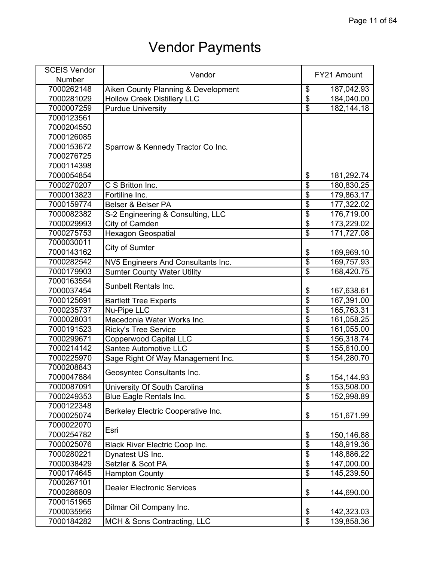| <b>SCEIS Vendor</b> | Vendor                                |                           | FY21 Amount |
|---------------------|---------------------------------------|---------------------------|-------------|
| <b>Number</b>       |                                       |                           |             |
| 7000262148          | Aiken County Planning & Development   | \$                        | 187,042.93  |
| 7000281029          | <b>Hollow Creek Distillery LLC</b>    | $\overline{\$}$           | 184,040.00  |
| 7000007259          | <b>Purdue University</b>              | $\overline{\$}$           | 182,144.18  |
| 7000123561          |                                       |                           |             |
| 7000204550          |                                       |                           |             |
| 7000126085          |                                       |                           |             |
| 7000153672          | Sparrow & Kennedy Tractor Co Inc.     |                           |             |
| 7000276725          |                                       |                           |             |
| 7000114398          |                                       |                           |             |
| 7000054854          |                                       | \$                        | 181,292.74  |
| 7000270207          | C S Britton Inc.                      | $\overline{\$}$           | 180,830.25  |
| 7000013823          | Fortiline Inc.                        | \$                        | 179,863.17  |
| 7000159774          | Belser & Belser PA                    | $\overline{\mathbf{S}}$   | 177,322.02  |
| 7000082382          | S-2 Engineering & Consulting, LLC     | $\overline{\$}$           | 176,719.00  |
| 7000029993          | City of Camden                        | $\overline{\$}$           | 173,229.02  |
| 7000275753          | <b>Hexagon Geospatial</b>             | $\overline{\$}$           | 171,727.08  |
| 7000030011          |                                       |                           |             |
| 7000143162          | City of Sumter                        | \$                        | 169,969.10  |
| 7000282542          | NV5 Engineers And Consultants Inc.    | $\overline{\$}$           | 169,757.93  |
| 7000179903          | <b>Sumter County Water Utility</b>    | $\overline{\$}$           | 168,420.75  |
| 7000163554          |                                       |                           |             |
| 7000037454          | Sunbelt Rentals Inc.                  | \$                        | 167,638.61  |
| 7000125691          | <b>Bartlett Tree Experts</b>          | $\overline{\$}$           | 167,391.00  |
| 7000235737          | Nu-Pipe LLC                           | \$                        | 165,763.31  |
| 7000028031          | Macedonia Water Works Inc.            | $\overline{\mathfrak{s}}$ | 161,058.25  |
| 7000191523          | <b>Ricky's Tree Service</b>           | $\overline{\$}$           | 161,055.00  |
| 7000299671          | Copperwood Capital LLC                | \$                        | 156,318.74  |
| 7000214142          | Santee Automotive LLC                 | $\overline{\$}$           | 155,610.00  |
| 7000225970          | Sage Right Of Way Management Inc.     | $\overline{\$}$           | 154,280.70  |
| 7000208843          |                                       |                           |             |
| 7000047884          | Geosyntec Consultants Inc.            | \$                        | 154,144.93  |
| 7000087091          | University Of South Carolina          | \$                        | 153,508.00  |
| 7000249353          | <b>Blue Eagle Rentals Inc.</b>        | \$                        | 152,998.89  |
| 7000122348          |                                       |                           |             |
| 7000025074          | Berkeley Electric Cooperative Inc.    | \$                        | 151,671.99  |
| 7000022070          |                                       |                           |             |
| 7000254782          | Esri                                  | \$                        | 150,146.88  |
| 7000025076          | <b>Black River Electric Coop Inc.</b> | $\overline{\$}$           | 148,919.36  |
| 7000280221          | Dynatest US Inc.                      | $\overline{\$}$           | 148,886.22  |
| 7000038429          | Setzler & Scot PA                     | $\overline{\$}$           | 147,000.00  |
| 7000174645          | <b>Hampton County</b>                 | $\overline{\$}$           | 145,239.50  |
| 7000267101          |                                       |                           |             |
| 7000286809          | <b>Dealer Electronic Services</b>     | \$                        | 144,690.00  |
| 7000151965          |                                       |                           |             |
| 7000035956          | Dilmar Oil Company Inc.               | \$                        | 142,323.03  |
| 7000184282          | MCH & Sons Contracting, LLC           | $\overline{\$}$           | 139,858.36  |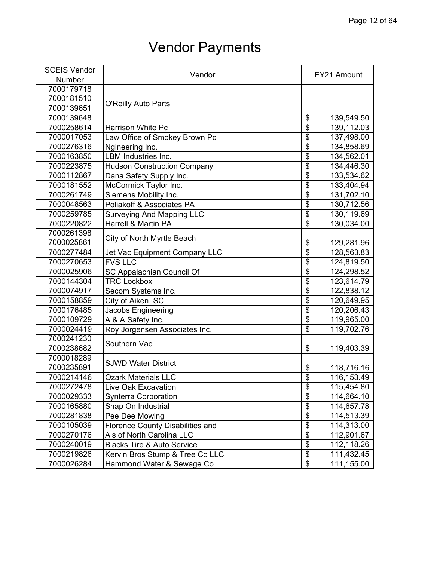| <b>SCEIS Vendor</b> | Vendor                                |                          | FY21 Amount |
|---------------------|---------------------------------------|--------------------------|-------------|
| Number              |                                       |                          |             |
| 7000179718          |                                       |                          |             |
| 7000181510          |                                       |                          |             |
| 7000139651          | <b>O'Reilly Auto Parts</b>            |                          |             |
| 7000139648          |                                       | \$                       | 139,549.50  |
| 7000258614          | <b>Harrison White Pc</b>              | $\overline{\$}$          | 139,112.03  |
| 7000017053          | Law Office of Smokey Brown Pc         | $\overline{\$}$          | 137,498.00  |
| 7000276316          | Ngineering Inc.                       | $\overline{\$}$          | 134,858.69  |
| 7000163850          | <b>LBM Industries Inc.</b>            | $\overline{\$}$          | 134,562.01  |
| 7000223875          | <b>Hudson Construction Company</b>    | $\overline{\$}$          | 134,446.30  |
| 7000112867          | Dana Safety Supply Inc.               | $\overline{\$}$          | 133,534.62  |
| 7000181552          | McCormick Taylor Inc.                 | $\overline{\$}$          | 133,404.94  |
| 7000261749          | Siemens Mobility Inc.                 | $\overline{\$}$          | 131,702.10  |
| 7000048563          | Poliakoff & Associates PA             | \$                       | 130,712.56  |
| 7000259785          | <b>Surveying And Mapping LLC</b>      | $\overline{\$}$          | 130,119.69  |
| 7000220822          | <b>Harrell &amp; Martin PA</b>        | $\overline{\$}$          | 130,034.00  |
| 7000261398          |                                       |                          |             |
| 7000025861          | City of North Myrtle Beach            | \$                       | 129,281.96  |
| 7000277484          | Jet Vac Equipment Company LLC         | $\overline{\$}$          | 128,563.83  |
| 7000270653          | <b>FVS LLC</b>                        | $\overline{\mathbf{S}}$  | 124,819.50  |
| 7000025906          | SC Appalachian Council Of             | $\overline{\$}$          | 124,298.52  |
| 7000144304          | <b>TRC Lockbox</b>                    | $\overline{\$}$          | 123,614.79  |
| 7000074917          | Secom Systems Inc.                    | $\overline{\$}$          | 122,838.12  |
| 7000158859          | City of Aiken, SC                     | $\overline{\$}$          | 120,649.95  |
| 7000176485          | Jacobs Engineering                    | $\overline{\$}$          | 120,206.43  |
| 7000109729          | A & A Safety Inc.                     | $\overline{\mathbf{S}}$  | 119,965.00  |
| 7000024419          | Roy Jorgensen Associates Inc.         | $\overline{\$}$          | 119,702.76  |
| 7000241230          |                                       |                          |             |
| 7000238682          | Southern Vac                          | \$                       | 119,403.39  |
| 7000018289          | <b>SJWD Water District</b>            |                          |             |
| 7000235891          |                                       | \$                       | 118,716.16  |
| 7000214146          | <b>Ozark Materials LLC</b>            | $\overline{\$}$          | 116,153.49  |
| 7000272478          | Live Oak Excavation                   | \$                       | 115,454.80  |
| 7000029333          | <b>Synterra Corporation</b>           | $\overline{\$}$          | 114,664.10  |
| 7000165880          | Snap On Industrial                    | $\overline{\$}$          | 114,657.78  |
| 7000281838          | Pee Dee Mowing                        | $\overline{\$}$          | 114,513.39  |
| 7000105039          | Florence County Disabilities and      | $\overline{\$}$          | 114,313.00  |
| 7000270176          | Als of North Carolina LLC             | $\overline{\$}$          | 112,901.67  |
| 7000240019          | <b>Blacks Tire &amp; Auto Service</b> | $\overline{\mathcal{G}}$ | 112,118.26  |
| 7000219826          | Kervin Bros Stump & Tree Co LLC       | \$                       | 111,432.45  |
| 7000026284          | Hammond Water & Sewage Co             | \$                       | 111,155.00  |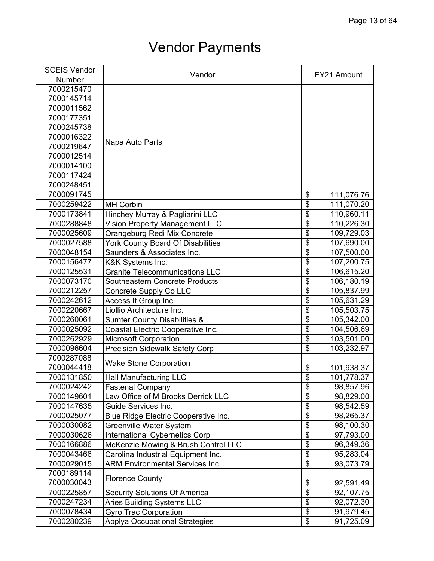| <b>SCEIS Vendor</b> | Vendor                                   | FY21 Amount                                   |
|---------------------|------------------------------------------|-----------------------------------------------|
| <b>Number</b>       |                                          |                                               |
| 7000215470          |                                          |                                               |
| 7000145714          |                                          |                                               |
| 7000011562          |                                          |                                               |
| 7000177351          |                                          |                                               |
| 7000245738          |                                          |                                               |
| 7000016322          |                                          |                                               |
| 7000219647          | Napa Auto Parts                          |                                               |
| 7000012514          |                                          |                                               |
| 7000014100          |                                          |                                               |
| 7000117424          |                                          |                                               |
| 7000248451          |                                          |                                               |
| 7000091745          |                                          | \$<br>111,076.76                              |
| 7000259422          | <b>MH Corbin</b>                         | $\overline{\mathfrak{s}}$<br>111,070.20       |
| 7000173841          | Hinchey Murray & Pagliarini LLC          | \$<br>110,960.11                              |
| 7000288848          | <b>Vision Property Management LLC</b>    | $\overline{\$}$<br>110,226.30                 |
| 7000025609          | Orangeburg Redi Mix Concrete             | \$<br>109,729.03                              |
| 7000027588          | <b>York County Board Of Disabilities</b> | \$<br>107,690.00                              |
| 7000048154          | Saunders & Associates Inc.               | \$<br>107,500.00                              |
| 7000156477          | K&K Systems Inc.                         | $\overline{\mathbf{S}}$<br>107,200.75         |
| 7000125531          | <b>Granite Telecommunications LLC</b>    | \$<br>106,615.20                              |
| 7000073170          | Southeastern Concrete Products           | $\overline{\$}$<br>106,180.19                 |
| 7000212257          | Concrete Supply Co LLC                   | $\overline{\$}$<br>105,837.99                 |
| 7000242612          | Access It Group Inc.                     | $\overline{\$}$<br>105,631.29                 |
| 7000220667          | Liollio Architecture Inc.                | \$<br>105,503.75                              |
| 7000260061          | <b>Sumter County Disabilities &amp;</b>  | $\overline{\$}$<br>105,342.00                 |
| 7000025092          | Coastal Electric Cooperative Inc.        | \$<br>104,506.69                              |
| 7000262929          | <b>Microsoft Corporation</b>             | $\overline{\$}$<br>103,501.00                 |
| 7000096604          | <b>Precision Sidewalk Safety Corp</b>    | \$<br>103,232.97                              |
| 7000287088          |                                          |                                               |
| 7000044418          | <b>Wake Stone Corporation</b>            | \$<br>101,938.37                              |
| 7000131850          | <b>Hall Manufacturing LLC</b>            | $\overline{\$}$<br>101,778.37                 |
| 7000024242          | <b>Fastenal Company</b>                  | \$<br>98,857.96                               |
| 7000149601          | Law Office of M Brooks Derrick LLC       | $\overline{\$}$<br>98,829.00                  |
| 7000147635          | Guide Services Inc.                      | $\overline{\$}$<br>98,542.59                  |
| 7000025077          | Blue Ridge Electric Cooperative Inc.     | $\overline{\$}$<br>98,265.37                  |
| 7000030082          | <b>Greenville Water System</b>           | $\overline{\$}$<br>98,100.30                  |
| 7000030626          | <b>International Cybernetics Corp</b>    | $\overline{\mathbf{S}}$<br>97,793.00          |
| 7000166886          | McKenzie Mowing & Brush Control LLC      | $\overline{\mathbf{S}}$<br>96,349.36          |
| 7000043466          | Carolina Industrial Equipment Inc.       | \$<br>95,283.04                               |
| 7000029015          | <b>ARM Environmental Services Inc.</b>   | $\overline{\$}$<br>93,073.79                  |
| 7000189114          |                                          |                                               |
| 7000030043          | <b>Florence County</b>                   | \$<br>92,591.49                               |
| 7000225857          | <b>Security Solutions Of America</b>     | $\overline{\boldsymbol{\theta}}$<br>92,107.75 |
| 7000247234          | <b>Aries Building Systems LLC</b>        | \$<br>92,072.30                               |
| 7000078434          | Gyro Trac Corporation                    | $\overline{\$}$<br>91,979.45                  |
| 7000280239          | <b>Applya Occupational Strategies</b>    | $\overline{\$}$<br>91,725.09                  |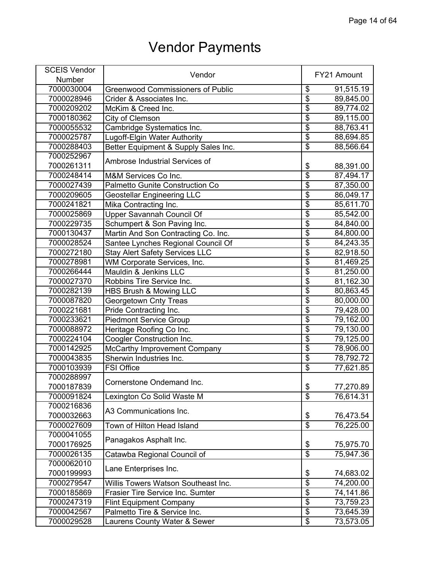| <b>SCEIS Vendor</b> |                                          |                           | FY21 Amount |
|---------------------|------------------------------------------|---------------------------|-------------|
| Number              | Vendor                                   |                           |             |
| 7000030004          | <b>Greenwood Commissioners of Public</b> | \$                        | 91,515.19   |
| 7000028946          | Crider & Associates Inc.                 | $\overline{\$}$           | 89,845.00   |
| 7000209202          | McKim & Creed Inc.                       | $\overline{\$}$           | 89,774.02   |
| 7000180362          | City of Clemson                          | $\overline{\$}$           | 89,115.00   |
| 7000055532          | Cambridge Systematics Inc.               | $\overline{\$}$           | 88,763.41   |
| 7000025787          | Lugoff-Elgin Water Authority             | $\overline{\mathfrak{s}}$ | 88,694.85   |
| 7000288403          | Better Equipment & Supply Sales Inc.     | $\overline{\mathcal{E}}$  | 88,566.64   |
| 7000252967          |                                          |                           |             |
| 7000261311          | Ambrose Industrial Services of           | \$                        | 88,391.00   |
| 7000248414          | M&M Services Co Inc.                     | $\overline{\$}$           | 87,494.17   |
| 7000027439          | <b>Palmetto Gunite Construction Co</b>   | $\overline{\$}$           | 87,350.00   |
| 7000209605          | <b>Geostellar Engineering LLC</b>        | $\overline{\mathfrak{s}}$ | 86,049.17   |
| 7000241821          | Mika Contracting Inc.                    | \$                        | 85,611.70   |
| 7000025869          | Upper Savannah Council Of                | $\overline{\$}$           | 85,542.00   |
| 7000229735          | Schumpert & Son Paving Inc.              | $\overline{\$}$           | 84,840.00   |
| 7000130437          | Martin And Son Contracting Co. Inc.      | $\overline{\$}$           | 84,800.00   |
| 7000028524          | Santee Lynches Regional Council Of       | \$                        | 84,243.35   |
| 7000272180          | <b>Stay Alert Safety Services LLC</b>    | $\overline{\$}$           | 82,918.50   |
| 7000278981          | WM Corporate Services, Inc.              | $\overline{\mathbf{S}}$   | 81,469.25   |
| 7000266444          | Mauldin & Jenkins LLC                    | $\overline{\$}$           | 81,250.00   |
| 7000027370          | Robbins Tire Service Inc.                | \$                        | 81,162.30   |
| 7000282139          | HBS Brush & Mowing LLC                   | \$                        | 80,863.45   |
| 7000087820          | Georgetown Cnty Treas                    | \$                        | 80,000.00   |
| 7000221681          | Pride Contracting Inc.                   | $\overline{\$}$           | 79,428.00   |
| 7000233621          | <b>Piedmont Service Group</b>            | $\overline{\$}$           | 79,162.00   |
| 7000088972          | Heritage Roofing Co Inc.                 | \$                        | 79,130.00   |
| 7000224104          | <b>Coogler Construction Inc.</b>         | $\overline{\$}$           | 79,125.00   |
| 7000142925          | McCarthy Improvement Company             | $\overline{\$}$           | 78,906.00   |
| 7000043835          | Sherwin Industries Inc.                  | $\overline{\$}$           | 78,792.72   |
| 7000103939          | <b>FSI Office</b>                        | $\overline{\$}$           | 77,621.85   |
| 7000288997          |                                          |                           |             |
| 7000187839          | Cornerstone Ondemand Inc.                | \$                        | 77,270.89   |
| 7000091824          | Lexington Co Solid Waste M               | $\overline{\$}$           | 76,614.31   |
| 7000216836          |                                          |                           |             |
| 7000032663          | A3 Communications Inc.                   | \$                        | 76,473.54   |
| 7000027609          | Town of Hilton Head Island               | $\overline{\mathcal{E}}$  | 76,225.00   |
| 7000041055          |                                          |                           |             |
| 7000176925          | Panagakos Asphalt Inc.                   | \$                        | 75,975.70   |
| 7000026135          | Catawba Regional Council of              | $\overline{\$}$           | 75,947.36   |
| 7000062010          |                                          |                           |             |
| 7000199993          | Lane Enterprises Inc.                    | \$                        | 74,683.02   |
| 7000279547          | Willis Towers Watson Southeast Inc.      | \$                        | 74,200.00   |
| 7000185869          | Frasier Tire Service Inc. Sumter         | $\overline{\mathcal{S}}$  | 74,141.86   |
| 7000247319          | <b>Flint Equipment Company</b>           | $\overline{\mathfrak{s}}$ | 73,759.23   |
| 7000042567          | Palmetto Tire & Service Inc.             | $\overline{\mathcal{E}}$  | 73,645.39   |
| 7000029528          | Laurens County Water & Sewer             | \$                        | 73,573.05   |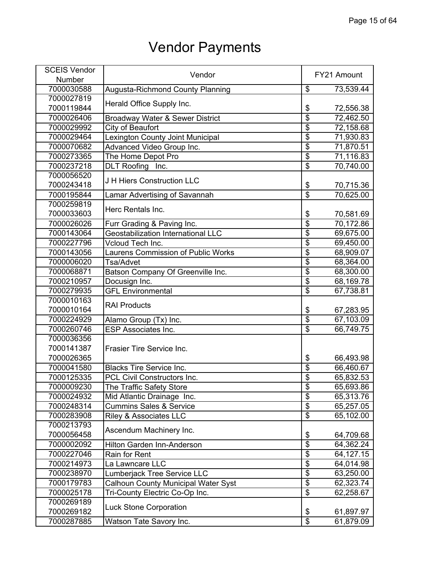| <b>SCEIS Vendor</b> | Vendor                                     |                                      | FY21 Amount |
|---------------------|--------------------------------------------|--------------------------------------|-------------|
| Number              |                                            |                                      |             |
| 7000030588          | <b>Augusta-Richmond County Planning</b>    | \$                                   | 73,539.44   |
| 7000027819          |                                            |                                      |             |
| 7000119844          | Herald Office Supply Inc.                  | \$                                   | 72,556.38   |
| 7000026406          | Broadway Water & Sewer District            | $\overline{\$}$                      | 72,462.50   |
| 7000029992          | City of Beaufort                           | $\overline{\$}$                      | 72,158.68   |
| 7000029464          | Lexington County Joint Municipal           | $\overline{\$}$                      | 71,930.83   |
| 7000070682          | Advanced Video Group Inc.                  | $\overline{\$}$                      | 71,870.51   |
| 7000273365          | The Home Depot Pro                         | $\overline{\$}$                      | 71,116.83   |
| 7000237218          | DLT Roofing Inc.                           | $\overline{\$}$                      | 70,740.00   |
| 7000056520          | J H Hiers Construction LLC                 |                                      |             |
| 7000243418          |                                            | \$                                   | 70,715.36   |
| 7000195844          | Lamar Advertising of Savannah              | $\overline{\boldsymbol{\mathsf{S}}}$ | 70,625.00   |
| 7000259819          | Herc Rentals Inc.                          |                                      |             |
| 7000033603          |                                            | \$                                   | 70,581.69   |
| 7000026026          | Furr Grading & Paving Inc.                 | $\overline{\$}$                      | 70,172.86   |
| 7000143064          | <b>Geostabilization International LLC</b>  | $\overline{\$}$                      | 69,675.00   |
| 7000227796          | Vcloud Tech Inc.                           | $\overline{\$}$                      | 69,450.00   |
| 7000143056          | <b>Laurens Commission of Public Works</b>  | $\overline{\$}$                      | 68,909.07   |
| 7000006020          | Tsa/Advet                                  | $\overline{\mathbf{S}}$              | 68,364.00   |
| 7000068871          | Batson Company Of Greenville Inc.          | $\overline{\$}$                      | 68,300.00   |
| 7000210957          | Docusign Inc.                              | $\overline{\$}$                      | 68,169.78   |
| 7000279935          | <b>GFL Environmental</b>                   | $\overline{\$}$                      | 67,738.81   |
| 7000010163          | <b>RAI Products</b>                        |                                      |             |
| 7000010164          |                                            | \$                                   | 67,283.95   |
| 7000224929          | Alamo Group (Tx) Inc.                      | $\overline{\$}$                      | 67,103.09   |
| 7000260746          | <b>ESP Associates Inc.</b>                 | $\overline{\$}$                      | 66,749.75   |
| 7000036356          |                                            |                                      |             |
| 7000141387          | Frasier Tire Service Inc.                  |                                      |             |
| 7000026365          |                                            | \$                                   | 66,493.98   |
| 7000041580          | <b>Blacks Tire Service Inc.</b>            | $\overline{\$}$                      | 66,460.67   |
| 7000125335          | PCL Civil Constructors Inc.                | $\overline{\mathbf{S}}$              | 65,832.53   |
| 7000009230          | The Traffic Safety Store                   | $\overline{\mathcal{G}}$             | 65,693.86   |
| 7000024932          | Mid Atlantic Drainage Inc.                 | $\overline{\$}$                      | 65,313.76   |
| 7000248314          | <b>Cummins Sales &amp; Service</b>         | $\overline{\mathcal{L}}$             | 65,257.05   |
| 7000283908          | <b>Riley &amp; Associates LLC</b>          | $\overline{\$}$                      | 65,102.00   |
| 7000213793          | Ascendum Machinery Inc.                    |                                      |             |
| 7000056458          |                                            | \$                                   | 64,709.68   |
| 7000002092          | Hilton Garden Inn-Anderson                 | \$                                   | 64,362.24   |
| 7000227046          | Rain for Rent                              | $\overline{\mathbf{S}}$              | 64,127.15   |
| 7000214973          | La Lawncare LLC                            | $\overline{\mathbf{S}}$              | 64,014.98   |
| 7000238970          | Lumberjack Tree Service LLC                | $\overline{\$}$                      | 63,250.00   |
| 7000179783          | <b>Calhoun County Municipal Water Syst</b> | $\overline{\$}$                      | 62,323.74   |
| 7000025178          | Tri-County Electric Co-Op Inc.             | $\overline{\$}$                      | 62,258.67   |
| 7000269189          |                                            |                                      |             |
| 7000269182          | <b>Luck Stone Corporation</b>              | \$                                   | 61,897.97   |
| 7000287885          | Watson Tate Savory Inc.                    | $\overline{\$}$                      | 61,879.09   |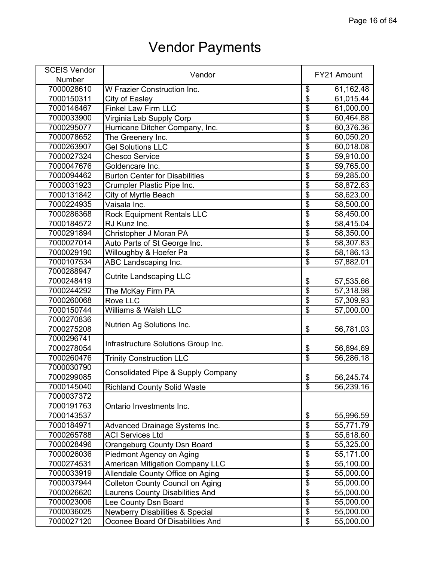| <b>SCEIS Vendor</b> | Vendor                                     |                                  | FY21 Amount |
|---------------------|--------------------------------------------|----------------------------------|-------------|
| Number              |                                            |                                  |             |
| 7000028610          | W Frazier Construction Inc.                | \$                               | 61,162.48   |
| 7000150311          | City of Easley                             | \$                               | 61,015.44   |
| 7000146467          | <b>Finkel Law Firm LLC</b>                 | \$                               | 61,000.00   |
| 7000033900          | Virginia Lab Supply Corp                   | $\overline{\mathcal{G}}$         | 60,464.88   |
| 7000295077          | Hurricane Ditcher Company, Inc.            | $\overline{\$}$                  | 60,376.36   |
| 7000078652          | The Greenery Inc.                          | $\overline{\$}$                  | 60,050.20   |
| 7000263907          | <b>Gel Solutions LLC</b>                   | $\overline{\$}$                  | 60,018.08   |
| 7000027324          | <b>Chesco Service</b>                      | $\overline{\$}$                  | 59,910.00   |
| 7000047676          | Goldencare Inc.                            | $\overline{\$}$                  | 59,765.00   |
| 7000094462          | <b>Burton Center for Disabilities</b>      | $\overline{\$}$                  | 59,285.00   |
| 7000031923          | Crumpler Plastic Pipe Inc.                 | $\overline{\$}$                  | 58,872.63   |
| 7000131842          | City of Myrtle Beach                       | $\overline{\mathbf{S}}$          | 58,623.00   |
| 7000224935          | Vaisala Inc.                               | $\overline{\mathfrak{s}}$        | 58,500.00   |
| 7000286368          | <b>Rock Equipment Rentals LLC</b>          | $\overline{\$}$                  | 58,450.00   |
| 7000184572          | RJ Kunz Inc.                               | $\overline{\$}$                  | 58,415.04   |
| 7000291894          | Christopher J Moran PA                     | $\overline{\$}$                  | 58,350.00   |
| 7000027014          | Auto Parts of St George Inc.               | $\overline{\mathfrak{s}}$        | 58,307.83   |
| 7000029190          | Willoughby & Hoefer Pa                     | $\overline{\$}$                  | 58,186.13   |
| 7000107534          | ABC Landscaping Inc.                       | \$                               | 57,882.01   |
| 7000288947          |                                            |                                  |             |
| 7000248419          | <b>Cutrite Landscaping LLC</b>             | \$                               | 57,535.66   |
| 7000244292          | The McKay Firm PA                          | $\overline{\$}$                  | 57,318.98   |
| 7000260068          | Rove LLC                                   | $\overline{\$}$                  | 57,309.93   |
| 7000150744          | Williams & Walsh LLC                       | $\overline{\$}$                  | 57,000.00   |
| 7000270836          |                                            |                                  |             |
| 7000275208          | Nutrien Ag Solutions Inc.                  | \$                               | 56,781.03   |
| 7000296741          |                                            |                                  |             |
| 7000278054          | Infrastructure Solutions Group Inc.        | \$                               | 56,694.69   |
| 7000260476          | <b>Trinity Construction LLC</b>            | \$                               | 56,286.18   |
| 7000030790          |                                            |                                  |             |
| 7000299085          | Consolidated Pipe & Supply Company         | \$                               | 56,245.74   |
| 7000145040          | <b>Richland County Solid Waste</b>         | $\overline{\mathcal{E}}$         | 56,239.16   |
| 7000037372          |                                            |                                  |             |
| 7000191763          | Ontario Investments Inc.                   |                                  |             |
| 7000143537          |                                            | \$                               | 55,996.59   |
| 7000184971          | Advanced Drainage Systems Inc.             | $\overline{\$}$                  | 55,771.79   |
| 7000265788          | <b>ACI Services Ltd</b>                    | $\overline{\$}$                  | 55,618.60   |
| 7000028496          | Orangeburg County Dsn Board                | $\overline{\mathbf{S}}$          | 55,325.00   |
| 7000026036          | Piedmont Agency on Aging                   | $\overline{\$}$                  | 55,171.00   |
| 7000274531          | <b>American Mitigation Company LLC</b>     | $\overline{\boldsymbol{\theta}}$ | 55,100.00   |
| 7000033919          | Allendale County Office on Aging           | $\overline{\$}$                  | 55,000.00   |
| 7000037944          | Colleton County Council on Aging           | $\overline{\$}$                  | 55,000.00   |
| 7000026620          | Laurens County Disabilities And            | $\overline{\$}$                  | 55,000.00   |
| 7000023006          | Lee County Dsn Board                       | \$                               | 55,000.00   |
| 7000036025          | <b>Newberry Disabilities &amp; Special</b> | \$                               | 55,000.00   |
| 7000027120          | Oconee Board Of Disabilities And           | $\overline{\$}$                  | 55,000.00   |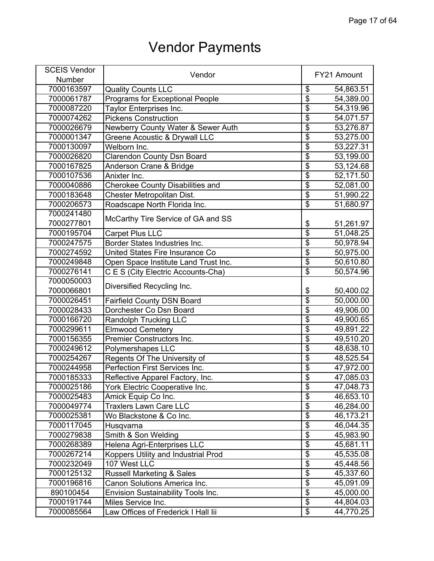| <b>SCEIS Vendor</b> | Vendor                                    |                                  | FY21 Amount |
|---------------------|-------------------------------------------|----------------------------------|-------------|
| Number              |                                           |                                  |             |
| 7000163597          | <b>Quality Counts LLC</b>                 | \$                               | 54,863.51   |
| 7000061787          | Programs for Exceptional People           | $\overline{\$}$                  | 54,389.00   |
| 7000087220          | Taylor Enterprises Inc.                   | $\overline{\$}$                  | 54,319.96   |
| 7000074262          | <b>Pickens Construction</b>               | $\overline{\$}$                  | 54,071.57   |
| 7000026679          | Newberry County Water & Sewer Auth        | $\overline{\$}$                  | 53,276.87   |
| 7000001347          | <b>Greene Acoustic &amp; Drywall LLC</b>  | $\overline{\mathfrak{s}}$        | 53,275.00   |
| 7000130097          | Welborn Inc.                              | $\overline{\$}$                  | 53,227.31   |
| 7000026820          | <b>Clarendon County Dsn Board</b>         | $\overline{\boldsymbol{\theta}}$ | 53,199.00   |
| 7000167825          | Anderson Crane & Bridge                   | $\overline{\$}$                  | 53,124.68   |
| 7000107536          | Anixter Inc.                              | $\overline{\$}$                  | 52,171.50   |
| 7000040886          | <b>Cherokee County Disabilities and</b>   | $\overline{\$}$                  | 52,081.00   |
| 7000183648          | Chester Metropolitan Dist.                | $\overline{\mathbf{S}}$          | 51,990.22   |
| 7000206573          | Roadscape North Florida Inc.              | $\overline{\mathbf{S}}$          | 51,680.97   |
| 7000241480          |                                           |                                  |             |
| 7000277801          | McCarthy Tire Service of GA and SS        | \$                               | 51,261.97   |
| 7000195704          | <b>Carpet Plus LLC</b>                    | $\overline{\$}$                  | 51,048.25   |
| 7000247575          | <b>Border States Industries Inc.</b>      | $\overline{\$}$                  | 50,978.94   |
| 7000274592          | United States Fire Insurance Co           | $\overline{\$}$                  | 50,975.00   |
| 7000249848          | Open Space Institute Land Trust Inc.      | $\overline{\mathbf{S}}$          | 50,610.80   |
| 7000276141          | C E S (City Electric Accounts-Cha)        | $\overline{\$}$                  | 50,574.96   |
| 7000050003          |                                           |                                  |             |
| 7000066801          | Diversified Recycling Inc.                | \$                               | 50,400.02   |
| 7000026451          | <b>Fairfield County DSN Board</b>         | $\overline{\boldsymbol{\theta}}$ | 50,000.00   |
| 7000028433          | Dorchester Co Dsn Board                   | $\overline{\$}$                  | 49,906.00   |
| 7000166720          | <b>Randolph Trucking LLC</b>              | \$                               | 49,900.65   |
| 7000299611          | <b>Elmwood Cemetery</b>                   | $\overline{\$}$                  | 49,891.22   |
| 7000156355          | Premier Constructors Inc.                 | $\overline{\$}$                  | 49,510.20   |
| 7000249612          | Polymershapes LLC                         | $\overline{\$}$                  | 48,638.10   |
| 7000254267          | Regents Of The University of              | $\overline{\$}$                  | 48,525.54   |
| 7000244958          | Perfection First Services Inc.            | $\overline{\$}$                  | 47,972.00   |
| 7000185333          | Reflective Apparel Factory, Inc.          | $\overline{\mathbf{S}}$          | 47,085.03   |
| 7000025186          | York Electric Cooperative Inc.            | \$                               | 47,048.73   |
| 7000025483          | Amick Equip Co Inc.                       | $\overline{\boldsymbol{\theta}}$ | 46,653.10   |
| 7000049774          | <b>Traxlers Lawn Care LLC</b>             | \$                               | 46,284.00   |
| 7000025381          | Wo Blackstone & Co Inc.                   | $\overline{\$}$                  | 46,173.21   |
| 7000117045          | Husqvarna                                 | $\overline{\$}$                  | 46,044.35   |
| 7000279838          | Smith & Son Welding                       | $\overline{\$}$                  | 45,983.90   |
| 7000268389          | Helena Agri-Enterprises LLC               | $\overline{\$}$                  | 45,681.11   |
| 7000267214          | Koppers Utility and Industrial Prod       | $\overline{\$}$                  | 45,535.08   |
| 7000232049          | 107 West LLC                              | $\overline{\$}$                  | 45,448.56   |
| 7000125132          | <b>Russell Marketing &amp; Sales</b>      | $\overline{\$}$                  | 45,337.60   |
| 7000196816          | Canon Solutions America Inc.              | $\overline{\$}$                  | 45,091.09   |
| 890100454           | <b>Envision Sustainability Tools Inc.</b> | $\overline{\mathbf{e}}$          | 45,000.00   |
| 7000191744          | Miles Service Inc.                        | \$                               | 44,804.03   |
| 7000085564          | Law Offices of Frederick I Hall lii       | $\overline{\$}$                  | 44,770.25   |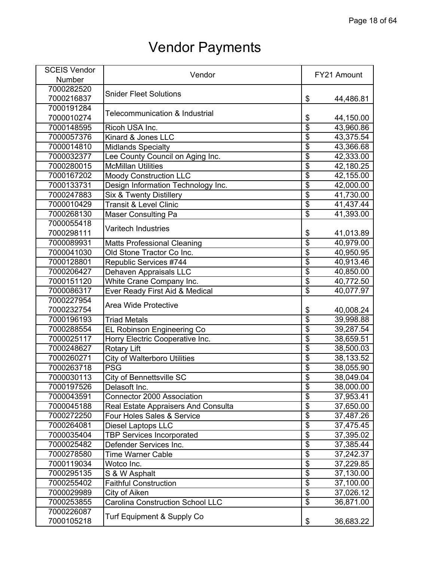| <b>SCEIS Vendor</b> | Vendor                                             |                           | FY21 Amount |
|---------------------|----------------------------------------------------|---------------------------|-------------|
| Number              |                                                    |                           |             |
| 7000282520          |                                                    |                           |             |
| 7000216837          | <b>Snider Fleet Solutions</b>                      | \$                        | 44,486.81   |
| 7000191284          |                                                    |                           |             |
| 7000010274          | Telecommunication & Industrial                     | \$                        | 44,150.00   |
| 7000148595          | Ricoh USA Inc.                                     | $\overline{\$}$           | 43,960.86   |
| 7000057376          | Kinard & Jones LLC                                 | $\overline{\mathbf{S}}$   | 43,375.54   |
| 7000014810          | <b>Midlands Specialty</b>                          | $\overline{\$}$           | 43,366.68   |
| 7000032377          | Lee County Council on Aging Inc.                   | $\overline{\$}$           | 42,333.00   |
| 7000280015          | <b>McMillan Utilities</b>                          | $\overline{\$}$           | 42,180.25   |
| 7000167202          | <b>Moody Construction LLC</b>                      | $\overline{\$}$           | 42,155.00   |
| 7000133731          | Design Information Technology Inc.                 | \$                        | 42,000.00   |
| 7000247883          | Six & Twenty Distillery                            | $\overline{\$}$           | 41,730.00   |
| 7000010429          | <b>Transit &amp; Level Clinic</b>                  | $\overline{\$}$           | 41,437.44   |
| 7000268130          | <b>Maser Consulting Pa</b>                         | $\overline{\$}$           | 41,393.00   |
| 7000055418          |                                                    |                           |             |
| 7000298111          | <b>Varitech Industries</b>                         | \$                        | 41,013.89   |
| 7000089931          | <b>Matts Professional Cleaning</b>                 | $\overline{\$}$           | 40,979.00   |
| 7000041030          | Old Stone Tractor Co Inc.                          | $\overline{\$}$           | 40,950.95   |
| 7000128801          | Republic Services #744                             | $\overline{\$}$           | 40,913.46   |
| 7000206427          | Dehaven Appraisals LLC                             | $\overline{\$}$           | 40,850.00   |
| 7000151120          | White Crane Company Inc.                           | $\overline{\$}$           | 40,772.50   |
| 7000086317          | Ever Ready First Aid & Medical                     | $\overline{\$}$           | 40,077.97   |
| 7000227954          |                                                    |                           |             |
| 7000232754          | Area Wide Protective                               | \$                        | 40,008.24   |
| 7000196193          | <b>Triad Metals</b>                                | $\overline{\mathfrak{s}}$ | 39,998.88   |
| 7000288554          | <b>EL Robinson Engineering Co</b>                  | $\overline{\$}$           | 39,287.54   |
| 7000025117          | Horry Electric Cooperative Inc.                    | $\overline{\$}$           | 38,659.51   |
| 7000248627          | <b>Rotary Lift</b>                                 | $\overline{\$}$           | 38,500.03   |
| 7000260271          | <b>City of Walterboro Utilities</b>                | $\overline{\$}$           | 38,133.52   |
| 7000263718          | <b>PSG</b>                                         | $\overline{\$}$           | 38,055.90   |
| 7000030113          | City of Bennettsville SC                           | $\overline{\$}$           | 38,049.04   |
| 7000197526          |                                                    |                           | 38,000.00   |
| 7000043591          | Delasoft Inc.<br><b>Connector 2000 Association</b> | \$<br>\$                  | 37,953.41   |
| 7000045188          |                                                    | $\overline{\$}$           |             |
|                     | Real Estate Appraisers And Consulta                | $\overline{\$}$           | 37,650.00   |
| 7000272250          | Four Holes Sales & Service                         | $\overline{\$}$           | 37,487.26   |
| 7000264081          | <b>Diesel Laptops LLC</b>                          |                           | 37,475.45   |
| 7000035404          | <b>TBP Services Incorporated</b>                   | $\overline{\$}$           | 37,395.02   |
| 7000025482          | Defender Services Inc.                             | $\overline{\mathcal{G}}$  | 37,385.44   |
| 7000278580          | <b>Time Warner Cable</b>                           | $\overline{\$}$           | 37,242.37   |
| 7000119034          | Wotco Inc.                                         | $\overline{\$}$           | 37,229.85   |
| 7000295135          | S & W Asphalt                                      | $\overline{\$}$           | 37,130.00   |
| 7000255402          | <b>Faithful Construction</b>                       | $\overline{\$}$           | 37,100.00   |
| 7000029989          | City of Aiken                                      | $\overline{\$}$           | 37,026.12   |
| 7000253855          | <b>Carolina Construction School LLC</b>            | $\overline{\mathcal{S}}$  | 36,871.00   |
| 7000226087          | Turf Equipment & Supply Co                         |                           |             |
| 7000105218          |                                                    | \$                        | 36,683.22   |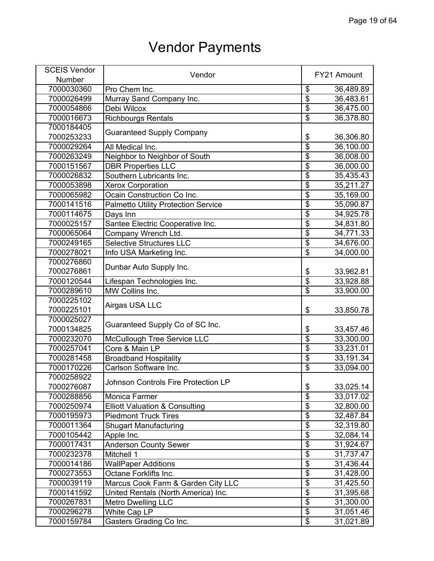| <b>SCEIS Vendor</b> | Vendor                                     |                          | FY21 Amount |
|---------------------|--------------------------------------------|--------------------------|-------------|
| Number              |                                            |                          |             |
| 7000030360          | Pro Chem Inc.                              | \$                       | 36,489.89   |
| 7000026499          | Murray Sand Company Inc.                   | $\overline{\$}$          | 36,483.61   |
| 7000054866          | Debi Wilcox                                | $\overline{\$}$          | 36,475.00   |
| 7000016673          | <b>Richbourgs Rentals</b>                  | $\overline{\$}$          | 36,378.80   |
| 7000184405          |                                            |                          |             |
| 7000253233          | <b>Guaranteed Supply Company</b>           | \$                       | 36,306.80   |
| 7000029264          | All Medical Inc.                           | $\overline{\$}$          | 36,100.00   |
| 7000263249          | Neighbor to Neighbor of South              | $\overline{\$}$          | 36,008.00   |
| 7000151567          | <b>DBR Properties LLC</b>                  | $\overline{\$}$          | 36,000.00   |
| 7000026832          | Southern Lubricants Inc.                   | $\overline{\$}$          | 35,435.43   |
| 7000053898          | <b>Xerox Corporation</b>                   | \$                       | 35,211.27   |
| 7000065982          | Ocain Construction Co Inc.                 | $\overline{\mathbf{S}}$  | 35,169.00   |
| 7000141516          | <b>Palmetto Utility Protection Service</b> | $\overline{\$}$          | 35,090.87   |
| 7000114675          | Days Inn                                   | $\overline{\$}$          | 34,925.78   |
| 7000025157          | Santee Electric Cooperative Inc.           | $\overline{\$}$          | 34,831.80   |
| 7000065064          | Company Wrench Ltd.                        | $\overline{\$}$          | 34,771.33   |
| 7000249165          | <b>Selective Structures LLC</b>            | $\overline{\$}$          | 34,676.00   |
| 7000278021          |                                            | $\overline{\$}$          | 34,000.00   |
| 7000276860          | Info USA Marketing Inc.                    |                          |             |
|                     | Dunbar Auto Supply Inc.                    |                          |             |
| 7000276861          |                                            | \$<br>$\overline{\$}$    | 33,962.81   |
| 7000120544          | Lifespan Technologies Inc.                 |                          | 33,928.88   |
| 7000289610          | MW Collins Inc.                            | $\overline{\mathcal{E}}$ | 33,900.00   |
| 7000225102          | Airgas USA LLC                             |                          |             |
| 7000225101          |                                            | \$                       | 33,850.78   |
| 7000025027          | Guaranteed Supply Co of SC Inc.            |                          |             |
| 7000134825          |                                            | \$                       | 33,457.46   |
| 7000232070          | <b>McCullough Tree Service LLC</b>         | $\overline{\$}$          | 33,300.00   |
| 7000257041          | Core & Main LP                             | $\overline{\$}$          | 33,231.01   |
| 7000281458          | <b>Broadband Hospitality</b>               | $\overline{\$}$          | 33,191.34   |
| 7000170226          | Carlson Software Inc.                      | $\overline{\$}$          | 33,094.00   |
| 7000258922          | Johnson Controls Fire Protection LP        |                          |             |
| 7000276087          |                                            | \$                       | 33,025.14   |
| 7000288856          | Monica Farmer                              | $\overline{\mathbb{S}}$  | 33,017.02   |
| 7000250974          | <b>Elliott Valuation &amp; Consulting</b>  | $\overline{\$}$          | 32,800.00   |
| 7000195973          | <b>Piedmont Truck Tires</b>                | $\overline{\$}$          | 32,487.84   |
| 7000011364          | <b>Shugart Manufacturing</b>               | $\overline{\$}$          | 32,319.80   |
| 7000105442          | Apple Inc.                                 | $\overline{\$}$          | 32,084.14   |
| 7000017431          | <b>Anderson County Sewer</b>               | $\overline{\$}$          | 31,924.67   |
| 7000232378          | Mitchell 1                                 | $\overline{\$}$          | 31,737.47   |
| 7000014186          | <b>WallPaper Additions</b>                 | $\overline{\$}$          | 31,436.44   |
| 7000273553          | Octane Forklifts Inc.                      | $\overline{\$}$          | 31,428.00   |
| 7000039119          | Marcus Cook Farm & Garden City LLC         | $\overline{\$}$          | 31,425.50   |
| 7000141592          | United Rentals (North America) Inc.        | $\overline{\$}$          | 31,395.68   |
| 7000267831          | <b>Metro Dwelling LLC</b>                  | $\overline{\mathbf{S}}$  | 31,300.00   |
| 7000296278          | White Cap LP                               | $\overline{\$}$          | 31,051.46   |
| 7000159784          | Gasters Grading Co Inc.                    | \$                       | 31,021.89   |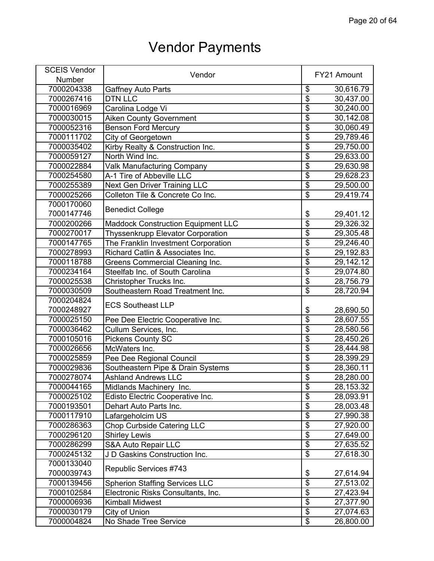| <b>SCEIS Vendor</b> |                                           |                                      |             |
|---------------------|-------------------------------------------|--------------------------------------|-------------|
| Number              | Vendor                                    |                                      | FY21 Amount |
| 7000204338          | <b>Gaffney Auto Parts</b>                 | \$                                   | 30,616.79   |
| 7000267416          | <b>DTN LLC</b>                            | $\overline{\$}$                      | 30,437.00   |
| 7000016969          | Carolina Lodge Vi                         | $\overline{\$}$                      | 30,240.00   |
| 7000030015          | <b>Aiken County Government</b>            | $\overline{\$}$                      | 30,142.08   |
| 7000052316          | <b>Benson Ford Mercury</b>                | $\overline{\$}$                      | 30,060.49   |
| 7000111702          | City of Georgetown                        | $\overline{\$}$                      | 29,789.46   |
| 7000035402          | Kirby Realty & Construction Inc.          | $\overline{\$}$                      | 29,750.00   |
| 7000059127          | North Wind Inc.                           | $\overline{\$}$                      | 29,633.00   |
| 7000022884          | <b>Valk Manufacturing Company</b>         | $\overline{\$}$                      | 29,630.98   |
| 7000254580          | A-1 Tire of Abbeville LLC                 | $\overline{\$}$                      | 29,628.23   |
| 7000255389          | <b>Next Gen Driver Training LLC</b>       | $\overline{\$}$                      | 29,500.00   |
| 7000025266          | Colleton Tile & Concrete Co Inc.          | $\overline{\$}$                      | 29,419.74   |
| 7000170060          |                                           |                                      |             |
| 7000147746          | <b>Benedict College</b>                   | \$                                   | 29,401.12   |
| 7000200266          | <b>Maddock Construction Equipment LLC</b> | $\overline{\$}$                      | 29,326.32   |
| 7000270017          | <b>Thyssenkrupp Elevator Corporation</b>  | $\overline{\$}$                      | 29,305.48   |
| 7000147765          | The Franklin Investment Corporation       | $\overline{\$}$                      | 29,246.40   |
| 7000278993          | Richard Catlin & Associates Inc.          | $\overline{\$}$                      | 29,192.83   |
| 7000118788          | Greens Commercial Cleaning Inc.           | $\overline{\$}$                      | 29,142.12   |
| 7000234164          | Steelfab Inc. of South Carolina           | $\overline{\$}$                      | 29,074.80   |
| 7000025538          | Christopher Trucks Inc.                   | $\overline{\$}$                      | 28,756.79   |
| 7000030509          | Southeastern Road Treatment Inc.          | $\overline{\$}$                      | 28,720.94   |
| 7000204824          |                                           |                                      |             |
| 7000248927          | <b>ECS Southeast LLP</b>                  | \$                                   | 28,690.50   |
| 7000025150          | Pee Dee Electric Cooperative Inc.         | $\overline{\$}$                      | 28,607.55   |
| 7000036462          | Cullum Services, Inc.                     | $\overline{\$}$                      | 28,580.56   |
| 7000105016          | <b>Pickens County SC</b>                  | $\overline{\$}$                      | 28,450.26   |
| 7000026656          | McWaters Inc.                             | $\overline{\$}$                      | 28,444.98   |
| 7000025859          | Pee Dee Regional Council                  | $\overline{\$}$                      | 28,399.29   |
| 7000029836          | Southeastern Pipe & Drain Systems         | $\overline{\$}$                      | 28,360.11   |
| 7000278074          | <b>Ashland Andrews LLC</b>                | $\overline{\$}$                      | 28,280.00   |
| 7000044165          | Midlands Machinery Inc.                   | \$                                   | 28,153.32   |
| 7000025102          | Edisto Electric Cooperative Inc.          | $\overline{\$}$                      | 28,093.91   |
| 7000193501          | Dehart Auto Parts Inc.                    | $\overline{\$}$                      | 28,003.48   |
| 7000117910          | Lafargeholcim US                          | $\overline{\$}$                      | 27,990.38   |
| 7000286363          | <b>Chop Curbside Catering LLC</b>         | $\overline{\boldsymbol{\mathsf{S}}}$ | 27,920.00   |
| 7000296120          | <b>Shirley Lewis</b>                      | $\overline{\$}$                      | 27,649.00   |
| 7000286299          | <b>S&amp;A Auto Repair LLC</b>            | \$                                   | 27,635.52   |
| 7000245132          | J D Gaskins Construction Inc.             | $\overline{\$}$                      | 27,618.30   |
| 7000133040          |                                           |                                      |             |
| 7000039743          | Republic Services #743                    | \$                                   | 27,614.94   |
| 7000139456          | <b>Spherion Staffing Services LLC</b>     | $\overline{\$}$                      | 27,513.02   |
| 7000102584          | Electronic Risks Consultants, Inc.        | $\overline{\$}$                      | 27,423.94   |
| 7000006936          | <b>Kimball Midwest</b>                    | $\overline{\mathbf{S}}$              | 27,377.90   |
| 7000030179          | City of Union                             | $\overline{\$}$                      | 27,074.63   |
| 7000004824          | No Shade Tree Service                     | $\overline{\mathbf{e}}$              | 26,800.00   |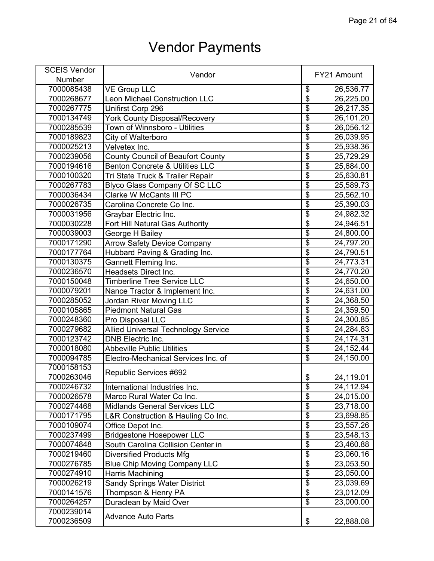| <b>SCEIS Vendor</b> |                                            |                                      | FY21 Amount |
|---------------------|--------------------------------------------|--------------------------------------|-------------|
| Number              | Vendor                                     |                                      |             |
| 7000085438          | <b>VE Group LLC</b>                        | \$                                   | 26,536.77   |
| 7000268677          | Leon Michael Construction LLC              | $\overline{\$}$                      | 26,225.00   |
| 7000267775          | Unifirst Corp 296                          | $\overline{\$}$                      | 26,217.35   |
| 7000134749          | <b>York County Disposal/Recovery</b>       | $\overline{\$}$                      | 26,101.20   |
| 7000285539          | Town of Winnsboro - Utilities              | $\overline{\$}$                      | 26,056.12   |
| 7000189823          | City of Walterboro                         | $\overline{\$}$                      | 26,039.95   |
| 7000025213          | Velvetex Inc.                              | $\overline{\$}$                      | 25,938.36   |
| 7000239056          | <b>County Council of Beaufort County</b>   | $\overline{\$}$                      | 25,729.29   |
| 7000194616          | <b>Benton Concrete &amp; Utilities LLC</b> | $\overline{\$}$                      | 25,684.00   |
| 7000100320          | Tri State Truck & Trailer Repair           | $\overline{\$}$                      | 25,630.81   |
| 7000267783          | <b>Blyco Glass Company Of SC LLC</b>       | $\overline{\$}$                      | 25,589.73   |
| 7000036434          | Clarke W McCants III PC                    | $\overline{\$}$                      | 25,562.10   |
| 7000026735          | Carolina Concrete Co Inc.                  | $\overline{\boldsymbol{\mathsf{S}}}$ | 25,390.03   |
| 7000031956          | Graybar Electric Inc.                      | $\overline{\$}$                      | 24,982.32   |
| 7000030228          | Fort Hill Natural Gas Authority            | $\overline{\$}$                      | 24,946.51   |
| 7000039003          | George H Bailey                            | $\overline{\$}$                      | 24,800.00   |
| 7000171290          | <b>Arrow Safety Device Company</b>         | $\overline{\$}$                      | 24,797.20   |
| 7000177764          | Hubbard Paving & Grading Inc.              | $\overline{\$}$                      | 24,790.51   |
| 7000130375          | Gannett Fleming Inc.                       | $\overline{\boldsymbol{\mathsf{S}}}$ | 24,773.31   |
| 7000236570          | Headsets Direct Inc.                       | $\overline{\$}$                      | 24,770.20   |
| 7000150048          | <b>Timberline Tree Service LLC</b>         | $\overline{\$}$                      | 24,650.00   |
| 7000079201          | Nance Tractor & Implement Inc.             | $\overline{\$}$                      | 24,631.00   |
| 7000285052          | <b>Jordan River Moving LLC</b>             | $\overline{\$}$                      | 24,368.50   |
| 7000105865          | <b>Piedmont Natural Gas</b>                | $\overline{\$}$                      | 24,359.50   |
| 7000248360          | Pro Disposal LLC                           | $\overline{\$}$                      | 24,300.85   |
| 7000279682          | <b>Allied Universal Technology Service</b> | $\overline{\$}$                      | 24,284.83   |
| 7000123742          | <b>DNB</b> Electric Inc.                   | $\overline{\$}$                      | 24,174.31   |
| 7000018080          | <b>Abbeville Public Utilities</b>          | $\overline{\$}$                      | 24, 152. 44 |
| 7000094785          | Electro-Mechanical Services Inc. of        | $\overline{\$}$                      | 24,150.00   |
| 7000158153          |                                            |                                      |             |
| 7000263046          | Republic Services #692                     | \$                                   | 24,119.01   |
| 7000246732          | International Industries Inc.              | \$                                   | 24,112.94   |
| 7000026578          | Marco Rural Water Co Inc.                  | $\overline{\$}$                      | 24,015.00   |
| 7000274468          | <b>Midlands General Services LLC</b>       | $\overline{\$}$                      | 23,718.00   |
| 7000171795          | L&R Construction & Hauling Co Inc.         | $\overline{\$}$                      | 23,698.85   |
| 7000109074          | Office Depot Inc.                          | $\overline{\$}$                      | 23,557.26   |
| 7000237499          | <b>Bridgestone Hosepower LLC</b>           | $\overline{\$}$                      | 23,548.13   |
| 7000074848          | South Carolina Collision Center in         | $\overline{\mathbf{S}}$              | 23,460.88   |
| 7000219460          | <b>Diversified Products Mfg</b>            | $\overline{\$}$                      | 23,060.16   |
| 7000276785          | <b>Blue Chip Moving Company LLC</b>        | $\overline{\$}$                      | 23,053.50   |
| 7000274910          | Harris Machining                           | $\overline{\$}$                      | 23,050.00   |
| 7000026219          | <b>Sandy Springs Water District</b>        | $\overline{\mathbf{e}}$              | 23,039.69   |
| 7000141576          | Thompson & Henry PA                        | $\overline{\$}$                      | 23,012.09   |
| 7000264257          | Duraclean by Maid Over                     | $\overline{\mathcal{E}}$             | 23,000.00   |
| 7000239014          |                                            |                                      |             |
| 7000236509          | <b>Advance Auto Parts</b>                  | \$                                   | 22,888.08   |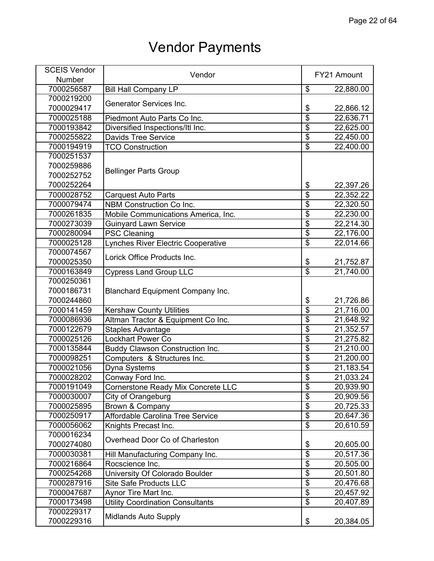| <b>SCEIS Vendor</b> | Vendor                                  |                                  | FY21 Amount |
|---------------------|-----------------------------------------|----------------------------------|-------------|
| Number              |                                         |                                  |             |
| 7000256587          | <b>Bill Hall Company LP</b>             | \$                               | 22,880.00   |
| 7000219200          |                                         |                                  |             |
| 7000029417          | <b>Generator Services Inc.</b>          | \$                               | 22,866.12   |
| 7000025188          | Piedmont Auto Parts Co Inc.             | $\overline{\$}$                  | 22,636.71   |
| 7000193842          | Diversified Inspections/Itl Inc.        | \$                               | 22,625.00   |
| 7000255822          | <b>Davids Tree Service</b>              | $\overline{\mathbf{S}}$          | 22,450.00   |
| 7000194919          | <b>TCO Construction</b>                 | $\overline{\$}$                  | 22,400.00   |
| 7000251537          |                                         |                                  |             |
| 7000259886          |                                         |                                  |             |
| 7000252752          | <b>Bellinger Parts Group</b>            |                                  |             |
| 7000252264          |                                         | \$                               | 22,397.26   |
| 7000028752          | <b>Carquest Auto Parts</b>              | $\overline{\mathbf{S}}$          | 22,352.22   |
| 7000079474          | <b>NBM Construction Co Inc.</b>         | $\overline{\mathfrak{s}}$        | 22,320.50   |
| 7000261835          | Mobile Communications America, Inc.     | $\overline{\$}$                  | 22,230.00   |
| 7000273039          | <b>Guinyard Lawn Service</b>            | $\overline{\$}$                  | 22,214.30   |
| 7000280094          | <b>PSC Cleaning</b>                     | $\overline{\$}$                  | 22,176.00   |
| 7000025128          | Lynches River Electric Cooperative      | $\overline{\$}$                  | 22,014.66   |
| 7000074567          |                                         |                                  |             |
| 7000025350          | Lorick Office Products Inc.             | \$                               | 21,752.87   |
| 7000163849          | <b>Cypress Land Group LLC</b>           | $\overline{\$}$                  | 21,740.00   |
| 7000250361          |                                         |                                  |             |
| 7000186731          | <b>Blanchard Equipment Company Inc.</b> |                                  |             |
| 7000244860          |                                         | \$                               | 21,726.86   |
| 7000141459          | <b>Kershaw County Utilities</b>         | $\overline{\$}$                  | 21,716.00   |
| 7000086936          | Altman Tractor & Equipment Co Inc.      | $\overline{\$}$                  | 21,648.92   |
| 7000122679          | <b>Staples Advantage</b>                | \$                               | 21,352.57   |
| 7000025126          | <b>Lockhart Power Co</b>                | $\overline{\$}$                  | 21,275.82   |
| 7000135844          | <b>Buddy Clawson Construction Inc.</b>  | $\overline{\$}$                  | 21,210.00   |
| 7000098251          | Computers & Structures Inc.             | $\overline{\$}$                  | 21,200.00   |
| 7000021056          | Dyna Systems                            | $\overline{\$}$                  | 21,183.54   |
| 7000028202          | Conway Ford Inc.                        | $\overline{\$}$                  | 21,033.24   |
| 7000191049          | Cornerstone Ready Mix Concrete LLC      | $\overline{\mathcal{G}}$         | 20,939.90   |
| 7000030007          | City of Orangeburg                      | $\overline{\$}$                  | 20,909.56   |
| 7000025895          | Brown & Company                         | $\overline{\$}$                  | 20,725.33   |
| 7000250917          | Affordable Carolina Tree Service        | $\overline{\$}$                  | 20,647.36   |
| 7000056062          | Knights Precast Inc.                    | $\overline{\$}$                  | 20,610.59   |
| 7000016234          |                                         |                                  |             |
| 7000274080          | Overhead Door Co of Charleston          | \$                               | 20,605.00   |
| 7000030381          | Hill Manufacturing Company Inc.         | $\overline{\$}$                  | 20,517.36   |
| 7000216864          | Rocscience Inc.                         | $\overline{\boldsymbol{\theta}}$ | 20,505.00   |
| 7000254268          | <b>University Of Colorado Boulder</b>   | $\overline{\$}$                  | 20,501.80   |
| 7000287916          | <b>Site Safe Products LLC</b>           | $\overline{\$}$                  | 20,476.68   |
| 7000047687          | Aynor Tire Mart Inc.                    | $\overline{\$}$                  | 20,457.92   |
|                     | <b>Utility Coordination Consultants</b> | \$                               |             |
| 7000173498          |                                         |                                  | 20,407.89   |
| 7000229317          | <b>Midlands Auto Supply</b>             |                                  |             |
| 7000229316          |                                         | \$                               | 20,384.05   |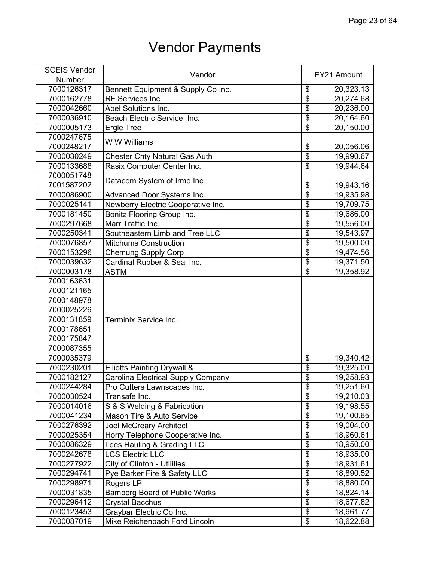| <b>SCEIS Vendor</b> | Vendor                               |                                  | FY21 Amount |
|---------------------|--------------------------------------|----------------------------------|-------------|
| Number              |                                      |                                  |             |
| 7000126317          | Bennett Equipment & Supply Co Inc.   | \$                               | 20,323.13   |
| 7000162778          | RF Services Inc.                     | $\overline{\$}$                  | 20,274.68   |
| 7000042660          | Abel Solutions Inc.                  | $\overline{\$}$                  | 20,236.00   |
| 7000036910          | Beach Electric Service Inc.          | $\overline{\$}$                  | 20,164.60   |
| 7000005173          | <b>Ergle Tree</b>                    | $\overline{\$}$                  | 20,150.00   |
| 7000247675          |                                      |                                  |             |
| 7000248217          | W W Williams                         | \$                               | 20,056.06   |
| 7000030249          | <b>Chester Cnty Natural Gas Auth</b> | $\overline{\$}$                  | 19,990.67   |
| 7000133688          | Rasix Computer Center Inc.           | $\overline{\boldsymbol{\theta}}$ | 19,944.64   |
| 7000051748          |                                      |                                  |             |
| 7001587202          | Datacom System of Irmo Inc.          | \$                               | 19,943.16   |
| 7000086900          | Advanced Door Systems Inc.           | $\overline{\$}$                  | 19,935.98   |
| 7000025141          | Newberry Electric Cooperative Inc.   | $\overline{\$}$                  | 19,709.75   |
| 7000181450          | Bonitz Flooring Group Inc.           | $\overline{\$}$                  | 19,686.00   |
| 7000297668          | Marr Traffic Inc.                    | $\overline{\$}$                  | 19,556.00   |
| 7000250341          | Southeastern Limb and Tree LLC       | $\overline{\$}$                  | 19,543.97   |
| 7000076857          | <b>Mitchums Construction</b>         | $\overline{\$}$                  | 19,500.00   |
| 7000153296          | <b>Chemung Supply Corp</b>           | $\overline{\$}$                  | 19,474.56   |
| 7000039632          | Cardinal Rubber & Seal Inc.          | $\overline{\mathbf{S}}$          | 19,371.50   |
| 7000003178          | <b>ASTM</b>                          | $\overline{\$}$                  | 19,358.92   |
| 7000163631          |                                      |                                  |             |
| 7000121165          |                                      |                                  |             |
| 7000148978          |                                      |                                  |             |
| 7000025226          |                                      |                                  |             |
| 7000131859          | Terminix Service Inc.                |                                  |             |
| 7000178651          |                                      |                                  |             |
| 7000175847          |                                      |                                  |             |
| 7000087355          |                                      |                                  |             |
| 7000035379          |                                      | \$                               | 19,340.42   |
| 7000230201          | Elliotts Painting Drywall &          | $\overline{\$}$                  | 19,325.00   |
| 7000182127          | Carolina Electrical Supply Company   | $\overline{\mathbf{S}}$          | 19,258.93   |
| 7000244284          | Pro Cutters Lawnscapes Inc.          | \$                               | 19,251.60   |
| 7000030524          | Transafe Inc.                        | $\overline{\$}$                  | 19,210.03   |
| 7000014016          | S & S Welding & Fabrication          | $\overline{\$}$                  | 19,198.55   |
| 7000041234          | Mason Tire & Auto Service            | $\overline{\$}$                  | 19,100.65   |
| 7000276392          | <b>Joel McCreary Architect</b>       | $\overline{\$}$                  | 19,004.00   |
| 7000025354          | Horry Telephone Cooperative Inc.     | $\overline{\mathbf{S}}$          | 18,960.61   |
| 7000086329          | Lees Hauling & Grading LLC           | \$                               | 18,950.00   |
| 7000242678          | <b>LCS Electric LLC</b>              | $\overline{\$}$                  | 18,935.00   |
| 7000277922          | City of Clinton - Utilities          | $\overline{\$}$                  | 18,931.61   |
| 7000294741          | Pye Barker Fire & Safety LLC         | $\overline{\$}$                  | 18,890.52   |
| 7000298971          | Rogers LP                            | $\overline{\$}$                  | 18,880.00   |
| 7000031835          | <b>Bamberg Board of Public Works</b> | $\overline{\$}$                  | 18,824.14   |
| 7000296412          | <b>Crystal Bacchus</b>               | $\overline{\mathbf{S}}$          | 18,677.82   |
| 7000123453          | Graybar Electric Co Inc.             | $\overline{\mathcal{G}}$         | 18,661.77   |
| 7000087019          | Mike Reichenbach Ford Lincoln        | $\overline{\mathbf{e}}$          | 18,622.88   |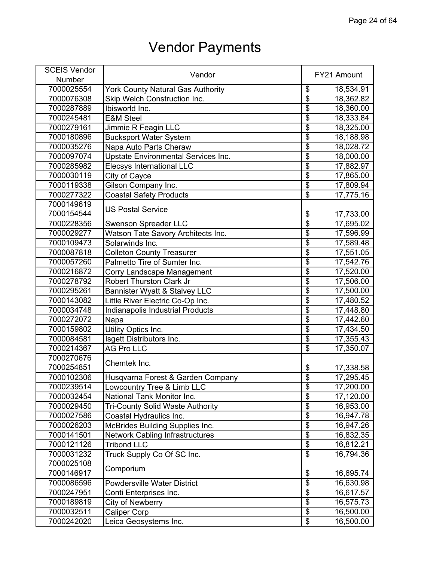| <b>SCEIS Vendor</b> |                                         |                                  |             |
|---------------------|-----------------------------------------|----------------------------------|-------------|
| Number              | Vendor                                  |                                  | FY21 Amount |
| 7000025554          | York County Natural Gas Authority       | \$                               | 18,534.91   |
| 7000076308          | Skip Welch Construction Inc.            | $\overline{\$}$                  | 18,362.82   |
| 7000287889          | Ibisworld Inc.                          | $\overline{\$}$                  | 18,360.00   |
| 7000245481          | <b>E&amp;M Steel</b>                    | $\overline{\$}$                  | 18,333.84   |
| 7000279161          | Jimmie R Feagin LLC                     | $\overline{\$}$                  | 18,325.00   |
| 7000180896          | <b>Bucksport Water System</b>           | $\overline{\$}$                  | 18,188.98   |
| 7000035276          | Napa Auto Parts Cheraw                  | $\overline{\boldsymbol{\theta}}$ | 18,028.72   |
| 7000097074          | Upstate Environmental Services Inc.     | $\overline{\$}$                  | 18,000.00   |
| 7000285982          | Elecsys International LLC               | $\overline{\$}$                  | 17,882.97   |
| 7000030119          | City of Cayce                           | $\overline{\$}$                  | 17,865.00   |
| 7000119338          | Gilson Company Inc.                     | $\overline{\mathbf{e}}$          | 17,809.94   |
| 7000277322          | <b>Coastal Safety Products</b>          | $\overline{\mathbf{S}}$          | 17,775.16   |
| 7000149619          | <b>US Postal Service</b>                |                                  |             |
| 7000154544          |                                         | \$                               | 17,733.00   |
| 7000228356          | <b>Swenson Spreader LLC</b>             | $\overline{\$}$                  | 17,695.02   |
| 7000029277          | Watson Tate Savory Architects Inc.      | $\overline{\$}$                  | 17,596.99   |
| 7000109473          | Solarwinds Inc.                         | $\overline{\$}$                  | 17,589.48   |
| 7000087818          | <b>Colleton County Treasurer</b>        | $\overline{\$}$                  | 17,551.05   |
| 7000057260          | Palmetto Tire of Sumter Inc.            | $\overline{\mathfrak{s}}$        | 17,542.76   |
| 7000216872          | <b>Corry Landscape Management</b>       | $\overline{\$}$                  | 17,520.00   |
| 7000278792          | <b>Robert Thurston Clark Jr</b>         | $\overline{\$}$                  | 17,506.00   |
| 7000295261          | Bannister Wyatt & Stalvey LLC           | $\overline{\$}$                  | 17,500.00   |
| 7000143082          | Little River Electric Co-Op Inc.        | $\overline{\boldsymbol{\theta}}$ | 17,480.52   |
| 7000034748          | Indianapolis Industrial Products        | $\overline{\$}$                  | 17,448.80   |
| 7000272072          | Napa                                    | $\overline{\$}$                  | 17,442.60   |
| 7000159802          | Utility Optics Inc.                     | $\overline{\$}$                  | 17,434.50   |
| 7000084581          | Isgett Distributors Inc.                | $\overline{\mathbf{e}}$          | 17,355.43   |
| 7000214367          | <b>AG Pro LLC</b>                       | $\overline{\$}$                  | 17,350.07   |
| 7000270676          | Chemtek Inc.                            |                                  |             |
| 7000254851          |                                         | \$                               | 17,338.58   |
| 7000102306          | Husqvarna Forest & Garden Company       | $\overline{\mathbf{S}}$          | 17,295.45   |
| 7000239514          | Lowcountry Tree & Limb LLC              | \$                               | 17,200.00   |
| 7000032454          | National Tank Monitor Inc.              | $\overline{\$}$                  | 17,120.00   |
| 7000029450          | <b>Tri-County Solid Waste Authority</b> | $\overline{\$}$                  | 16,953.00   |
| 7000027586          | Coastal Hydraulics Inc.                 | $\overline{\$}$                  | 16,947.78   |
| 7000026203          | <b>McBrides Building Supplies Inc.</b>  | $\overline{\boldsymbol{\theta}}$ | 16,947.26   |
| 7000141501          | <b>Network Cabling Infrastructures</b>  | $\overline{\$}$                  | 16,832.35   |
| 7000121126          | <b>Tribond LLC</b>                      | \$                               | 16,812.21   |
| 7000031232          | Truck Supply Co Of SC Inc.              | $\overline{\$}$                  | 16,794.36   |
| 7000025108          | Comporium                               |                                  |             |
| 7000146917          |                                         | \$                               | 16,695.74   |
| 7000086596          | <b>Powdersville Water District</b>      | $\overline{\$}$                  | 16,630.98   |
| 7000247951          | Conti Enterprises Inc.                  | $\overline{\$}$                  | 16,617.57   |
| 7000189819          | City of Newberry                        | $\overline{\mathbf{S}}$          | 16,575.73   |
| 7000032511          | <b>Caliper Corp</b>                     | $\overline{\$}$                  | 16,500.00   |
| 7000242020          | Leica Geosystems Inc.                   | $\overline{\mathbf{e}}$          | 16,500.00   |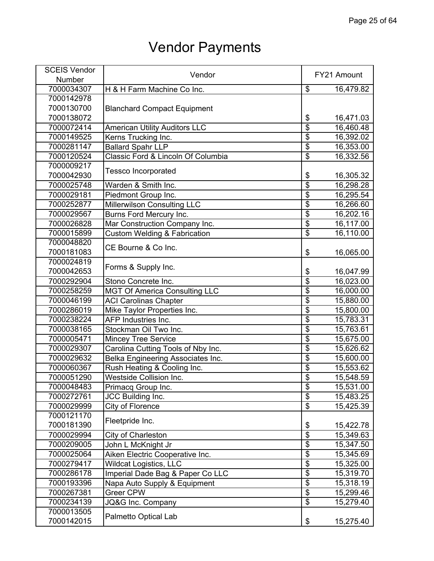| <b>Number</b><br>7000034307<br>\$<br>H & H Farm Machine Co Inc.<br>16,479.82<br>7000142978<br>7000130700<br><b>Blanchard Compact Equipment</b><br>7000138072<br>\$<br>16,471.03<br>$\overline{\$}$<br>7000072414<br><b>American Utility Auditors LLC</b><br>16,460.48<br>$\overline{\$}$<br>16,392.02<br>7000149525<br>Kerns Trucking Inc.<br>$\overline{\$}$<br>16,353.00<br>7000281147<br><b>Ballard Spahr LLP</b><br>$\overline{\$}$<br>Classic Ford & Lincoln Of Columbia<br>16,332.56<br>7000120524<br>7000009217<br><b>Tessco Incorporated</b><br>7000042930<br>\$<br>16,305.32<br>$\overline{\$}$<br>7000025748<br>Warden & Smith Inc.<br>16,298.28<br>$\overline{\$}$<br>7000029181<br>Piedmont Group Inc.<br>16,295.54<br>\$<br><b>Millerwilson Consulting LLC</b><br>7000252877<br>16,266.60<br>\$<br>Burns Ford Mercury Inc.<br>16,202.16<br>7000029567<br>\$<br>Mar Construction Company Inc.<br>7000026828<br>16,117.00<br>$\overline{\$}$<br><b>Custom Welding &amp; Fabrication</b><br>16,110.00<br>7000015899<br>7000048820<br>CE Bourne & Co Inc.<br>7000181083<br>\$<br>16,065.00<br>7000024819<br>Forms & Supply Inc.<br>7000042653<br>\$<br>16,047.99<br>$\overline{\$}$<br>7000292904<br>Stono Concrete Inc.<br>16,023.00<br>$\overline{\$}$<br>16,000.00<br>7000258259<br><b>MGT Of America Consulting LLC</b><br>\$<br><b>ACI</b> Carolinas Chapter<br>7000046199<br>15,880.00<br>$\overline{\$}$<br>Mike Taylor Properties Inc.<br>7000286019<br>15,800.00<br>$\overline{\$}$<br>AFP Industries Inc.<br>7000238224<br>15,783.31<br>$\overline{\$}$<br>15,763.61<br>7000038165<br>Stockman Oil Two Inc.<br>\$<br>7000005471<br>15,675.00<br><b>Mincey Tree Service</b><br>\$<br>7000029307<br>Carolina Cutting Tools of Nby Inc.<br>15,626.62<br>\$<br>Belka Engineering Associates Inc.<br>7000029632<br>15,600.00<br>$\overline{\$}$<br>Rush Heating & Cooling Inc.<br>15,553.62<br>7000060367<br>$\overline{\$}$<br><b>Westside Collision Inc.</b><br>7000051290<br>15,548.59<br>7000048483<br>Primacq Group Inc.<br>\$<br>15,531.00<br>$\overline{\$}$<br>7000272761<br>JCC Building Inc.<br>15,483.25<br>$\overline{\$}$<br>15,425.39<br>7000029999<br>City of Florence<br>7000121170<br>Fleetpride Inc.<br>7000181390<br>\$<br>15,422.78<br>$\overline{\$}$<br>7000029994<br>City of Charleston<br>15,349.63<br>$\overline{\$}$<br>7000209005<br>John L McKnight Jr<br>15,347.50<br>$\overline{\$}$<br>Aiken Electric Cooperative Inc.<br>7000025064<br>15,345.69<br>$\overline{\$}$<br>Wildcat Logistics, LLC<br>7000279417<br>15,325.00<br>$\overline{\$}$<br>15,319.70<br>7000286178<br>Imperial Dade Bag & Paper Co LLC<br>$\overline{\$}$<br>15,318.19<br>7000193396<br>Napa Auto Supply & Equipment<br>$\overline{\$}$<br>Greer CPW<br>7000267381<br>15,299.46<br>$\overline{\mathcal{S}}$<br>7000234139<br>JQ&G Inc. Company<br>15,279.40<br>7000013505<br>Palmetto Optical Lab<br>7000142015<br>\$<br>15,275.40 | <b>SCEIS Vendor</b> | Vendor | FY21 Amount |
|------------------------------------------------------------------------------------------------------------------------------------------------------------------------------------------------------------------------------------------------------------------------------------------------------------------------------------------------------------------------------------------------------------------------------------------------------------------------------------------------------------------------------------------------------------------------------------------------------------------------------------------------------------------------------------------------------------------------------------------------------------------------------------------------------------------------------------------------------------------------------------------------------------------------------------------------------------------------------------------------------------------------------------------------------------------------------------------------------------------------------------------------------------------------------------------------------------------------------------------------------------------------------------------------------------------------------------------------------------------------------------------------------------------------------------------------------------------------------------------------------------------------------------------------------------------------------------------------------------------------------------------------------------------------------------------------------------------------------------------------------------------------------------------------------------------------------------------------------------------------------------------------------------------------------------------------------------------------------------------------------------------------------------------------------------------------------------------------------------------------------------------------------------------------------------------------------------------------------------------------------------------------------------------------------------------------------------------------------------------------------------------------------------------------------------------------------------------------------------------------------------------------------------------------------------------------------------------------------------------------------------------------------------------------------------------------------------------------------------------------------------------------------------------------------------------------------------------------------------------------------------------------------------------------------------------------------|---------------------|--------|-------------|
|                                                                                                                                                                                                                                                                                                                                                                                                                                                                                                                                                                                                                                                                                                                                                                                                                                                                                                                                                                                                                                                                                                                                                                                                                                                                                                                                                                                                                                                                                                                                                                                                                                                                                                                                                                                                                                                                                                                                                                                                                                                                                                                                                                                                                                                                                                                                                                                                                                                                                                                                                                                                                                                                                                                                                                                                                                                                                                                                                      |                     |        |             |
|                                                                                                                                                                                                                                                                                                                                                                                                                                                                                                                                                                                                                                                                                                                                                                                                                                                                                                                                                                                                                                                                                                                                                                                                                                                                                                                                                                                                                                                                                                                                                                                                                                                                                                                                                                                                                                                                                                                                                                                                                                                                                                                                                                                                                                                                                                                                                                                                                                                                                                                                                                                                                                                                                                                                                                                                                                                                                                                                                      |                     |        |             |
|                                                                                                                                                                                                                                                                                                                                                                                                                                                                                                                                                                                                                                                                                                                                                                                                                                                                                                                                                                                                                                                                                                                                                                                                                                                                                                                                                                                                                                                                                                                                                                                                                                                                                                                                                                                                                                                                                                                                                                                                                                                                                                                                                                                                                                                                                                                                                                                                                                                                                                                                                                                                                                                                                                                                                                                                                                                                                                                                                      |                     |        |             |
|                                                                                                                                                                                                                                                                                                                                                                                                                                                                                                                                                                                                                                                                                                                                                                                                                                                                                                                                                                                                                                                                                                                                                                                                                                                                                                                                                                                                                                                                                                                                                                                                                                                                                                                                                                                                                                                                                                                                                                                                                                                                                                                                                                                                                                                                                                                                                                                                                                                                                                                                                                                                                                                                                                                                                                                                                                                                                                                                                      |                     |        |             |
|                                                                                                                                                                                                                                                                                                                                                                                                                                                                                                                                                                                                                                                                                                                                                                                                                                                                                                                                                                                                                                                                                                                                                                                                                                                                                                                                                                                                                                                                                                                                                                                                                                                                                                                                                                                                                                                                                                                                                                                                                                                                                                                                                                                                                                                                                                                                                                                                                                                                                                                                                                                                                                                                                                                                                                                                                                                                                                                                                      |                     |        |             |
|                                                                                                                                                                                                                                                                                                                                                                                                                                                                                                                                                                                                                                                                                                                                                                                                                                                                                                                                                                                                                                                                                                                                                                                                                                                                                                                                                                                                                                                                                                                                                                                                                                                                                                                                                                                                                                                                                                                                                                                                                                                                                                                                                                                                                                                                                                                                                                                                                                                                                                                                                                                                                                                                                                                                                                                                                                                                                                                                                      |                     |        |             |
|                                                                                                                                                                                                                                                                                                                                                                                                                                                                                                                                                                                                                                                                                                                                                                                                                                                                                                                                                                                                                                                                                                                                                                                                                                                                                                                                                                                                                                                                                                                                                                                                                                                                                                                                                                                                                                                                                                                                                                                                                                                                                                                                                                                                                                                                                                                                                                                                                                                                                                                                                                                                                                                                                                                                                                                                                                                                                                                                                      |                     |        |             |
|                                                                                                                                                                                                                                                                                                                                                                                                                                                                                                                                                                                                                                                                                                                                                                                                                                                                                                                                                                                                                                                                                                                                                                                                                                                                                                                                                                                                                                                                                                                                                                                                                                                                                                                                                                                                                                                                                                                                                                                                                                                                                                                                                                                                                                                                                                                                                                                                                                                                                                                                                                                                                                                                                                                                                                                                                                                                                                                                                      |                     |        |             |
|                                                                                                                                                                                                                                                                                                                                                                                                                                                                                                                                                                                                                                                                                                                                                                                                                                                                                                                                                                                                                                                                                                                                                                                                                                                                                                                                                                                                                                                                                                                                                                                                                                                                                                                                                                                                                                                                                                                                                                                                                                                                                                                                                                                                                                                                                                                                                                                                                                                                                                                                                                                                                                                                                                                                                                                                                                                                                                                                                      |                     |        |             |
|                                                                                                                                                                                                                                                                                                                                                                                                                                                                                                                                                                                                                                                                                                                                                                                                                                                                                                                                                                                                                                                                                                                                                                                                                                                                                                                                                                                                                                                                                                                                                                                                                                                                                                                                                                                                                                                                                                                                                                                                                                                                                                                                                                                                                                                                                                                                                                                                                                                                                                                                                                                                                                                                                                                                                                                                                                                                                                                                                      |                     |        |             |
|                                                                                                                                                                                                                                                                                                                                                                                                                                                                                                                                                                                                                                                                                                                                                                                                                                                                                                                                                                                                                                                                                                                                                                                                                                                                                                                                                                                                                                                                                                                                                                                                                                                                                                                                                                                                                                                                                                                                                                                                                                                                                                                                                                                                                                                                                                                                                                                                                                                                                                                                                                                                                                                                                                                                                                                                                                                                                                                                                      |                     |        |             |
|                                                                                                                                                                                                                                                                                                                                                                                                                                                                                                                                                                                                                                                                                                                                                                                                                                                                                                                                                                                                                                                                                                                                                                                                                                                                                                                                                                                                                                                                                                                                                                                                                                                                                                                                                                                                                                                                                                                                                                                                                                                                                                                                                                                                                                                                                                                                                                                                                                                                                                                                                                                                                                                                                                                                                                                                                                                                                                                                                      |                     |        |             |
|                                                                                                                                                                                                                                                                                                                                                                                                                                                                                                                                                                                                                                                                                                                                                                                                                                                                                                                                                                                                                                                                                                                                                                                                                                                                                                                                                                                                                                                                                                                                                                                                                                                                                                                                                                                                                                                                                                                                                                                                                                                                                                                                                                                                                                                                                                                                                                                                                                                                                                                                                                                                                                                                                                                                                                                                                                                                                                                                                      |                     |        |             |
|                                                                                                                                                                                                                                                                                                                                                                                                                                                                                                                                                                                                                                                                                                                                                                                                                                                                                                                                                                                                                                                                                                                                                                                                                                                                                                                                                                                                                                                                                                                                                                                                                                                                                                                                                                                                                                                                                                                                                                                                                                                                                                                                                                                                                                                                                                                                                                                                                                                                                                                                                                                                                                                                                                                                                                                                                                                                                                                                                      |                     |        |             |
|                                                                                                                                                                                                                                                                                                                                                                                                                                                                                                                                                                                                                                                                                                                                                                                                                                                                                                                                                                                                                                                                                                                                                                                                                                                                                                                                                                                                                                                                                                                                                                                                                                                                                                                                                                                                                                                                                                                                                                                                                                                                                                                                                                                                                                                                                                                                                                                                                                                                                                                                                                                                                                                                                                                                                                                                                                                                                                                                                      |                     |        |             |
|                                                                                                                                                                                                                                                                                                                                                                                                                                                                                                                                                                                                                                                                                                                                                                                                                                                                                                                                                                                                                                                                                                                                                                                                                                                                                                                                                                                                                                                                                                                                                                                                                                                                                                                                                                                                                                                                                                                                                                                                                                                                                                                                                                                                                                                                                                                                                                                                                                                                                                                                                                                                                                                                                                                                                                                                                                                                                                                                                      |                     |        |             |
|                                                                                                                                                                                                                                                                                                                                                                                                                                                                                                                                                                                                                                                                                                                                                                                                                                                                                                                                                                                                                                                                                                                                                                                                                                                                                                                                                                                                                                                                                                                                                                                                                                                                                                                                                                                                                                                                                                                                                                                                                                                                                                                                                                                                                                                                                                                                                                                                                                                                                                                                                                                                                                                                                                                                                                                                                                                                                                                                                      |                     |        |             |
|                                                                                                                                                                                                                                                                                                                                                                                                                                                                                                                                                                                                                                                                                                                                                                                                                                                                                                                                                                                                                                                                                                                                                                                                                                                                                                                                                                                                                                                                                                                                                                                                                                                                                                                                                                                                                                                                                                                                                                                                                                                                                                                                                                                                                                                                                                                                                                                                                                                                                                                                                                                                                                                                                                                                                                                                                                                                                                                                                      |                     |        |             |
|                                                                                                                                                                                                                                                                                                                                                                                                                                                                                                                                                                                                                                                                                                                                                                                                                                                                                                                                                                                                                                                                                                                                                                                                                                                                                                                                                                                                                                                                                                                                                                                                                                                                                                                                                                                                                                                                                                                                                                                                                                                                                                                                                                                                                                                                                                                                                                                                                                                                                                                                                                                                                                                                                                                                                                                                                                                                                                                                                      |                     |        |             |
|                                                                                                                                                                                                                                                                                                                                                                                                                                                                                                                                                                                                                                                                                                                                                                                                                                                                                                                                                                                                                                                                                                                                                                                                                                                                                                                                                                                                                                                                                                                                                                                                                                                                                                                                                                                                                                                                                                                                                                                                                                                                                                                                                                                                                                                                                                                                                                                                                                                                                                                                                                                                                                                                                                                                                                                                                                                                                                                                                      |                     |        |             |
|                                                                                                                                                                                                                                                                                                                                                                                                                                                                                                                                                                                                                                                                                                                                                                                                                                                                                                                                                                                                                                                                                                                                                                                                                                                                                                                                                                                                                                                                                                                                                                                                                                                                                                                                                                                                                                                                                                                                                                                                                                                                                                                                                                                                                                                                                                                                                                                                                                                                                                                                                                                                                                                                                                                                                                                                                                                                                                                                                      |                     |        |             |
|                                                                                                                                                                                                                                                                                                                                                                                                                                                                                                                                                                                                                                                                                                                                                                                                                                                                                                                                                                                                                                                                                                                                                                                                                                                                                                                                                                                                                                                                                                                                                                                                                                                                                                                                                                                                                                                                                                                                                                                                                                                                                                                                                                                                                                                                                                                                                                                                                                                                                                                                                                                                                                                                                                                                                                                                                                                                                                                                                      |                     |        |             |
|                                                                                                                                                                                                                                                                                                                                                                                                                                                                                                                                                                                                                                                                                                                                                                                                                                                                                                                                                                                                                                                                                                                                                                                                                                                                                                                                                                                                                                                                                                                                                                                                                                                                                                                                                                                                                                                                                                                                                                                                                                                                                                                                                                                                                                                                                                                                                                                                                                                                                                                                                                                                                                                                                                                                                                                                                                                                                                                                                      |                     |        |             |
|                                                                                                                                                                                                                                                                                                                                                                                                                                                                                                                                                                                                                                                                                                                                                                                                                                                                                                                                                                                                                                                                                                                                                                                                                                                                                                                                                                                                                                                                                                                                                                                                                                                                                                                                                                                                                                                                                                                                                                                                                                                                                                                                                                                                                                                                                                                                                                                                                                                                                                                                                                                                                                                                                                                                                                                                                                                                                                                                                      |                     |        |             |
|                                                                                                                                                                                                                                                                                                                                                                                                                                                                                                                                                                                                                                                                                                                                                                                                                                                                                                                                                                                                                                                                                                                                                                                                                                                                                                                                                                                                                                                                                                                                                                                                                                                                                                                                                                                                                                                                                                                                                                                                                                                                                                                                                                                                                                                                                                                                                                                                                                                                                                                                                                                                                                                                                                                                                                                                                                                                                                                                                      |                     |        |             |
|                                                                                                                                                                                                                                                                                                                                                                                                                                                                                                                                                                                                                                                                                                                                                                                                                                                                                                                                                                                                                                                                                                                                                                                                                                                                                                                                                                                                                                                                                                                                                                                                                                                                                                                                                                                                                                                                                                                                                                                                                                                                                                                                                                                                                                                                                                                                                                                                                                                                                                                                                                                                                                                                                                                                                                                                                                                                                                                                                      |                     |        |             |
|                                                                                                                                                                                                                                                                                                                                                                                                                                                                                                                                                                                                                                                                                                                                                                                                                                                                                                                                                                                                                                                                                                                                                                                                                                                                                                                                                                                                                                                                                                                                                                                                                                                                                                                                                                                                                                                                                                                                                                                                                                                                                                                                                                                                                                                                                                                                                                                                                                                                                                                                                                                                                                                                                                                                                                                                                                                                                                                                                      |                     |        |             |
|                                                                                                                                                                                                                                                                                                                                                                                                                                                                                                                                                                                                                                                                                                                                                                                                                                                                                                                                                                                                                                                                                                                                                                                                                                                                                                                                                                                                                                                                                                                                                                                                                                                                                                                                                                                                                                                                                                                                                                                                                                                                                                                                                                                                                                                                                                                                                                                                                                                                                                                                                                                                                                                                                                                                                                                                                                                                                                                                                      |                     |        |             |
|                                                                                                                                                                                                                                                                                                                                                                                                                                                                                                                                                                                                                                                                                                                                                                                                                                                                                                                                                                                                                                                                                                                                                                                                                                                                                                                                                                                                                                                                                                                                                                                                                                                                                                                                                                                                                                                                                                                                                                                                                                                                                                                                                                                                                                                                                                                                                                                                                                                                                                                                                                                                                                                                                                                                                                                                                                                                                                                                                      |                     |        |             |
|                                                                                                                                                                                                                                                                                                                                                                                                                                                                                                                                                                                                                                                                                                                                                                                                                                                                                                                                                                                                                                                                                                                                                                                                                                                                                                                                                                                                                                                                                                                                                                                                                                                                                                                                                                                                                                                                                                                                                                                                                                                                                                                                                                                                                                                                                                                                                                                                                                                                                                                                                                                                                                                                                                                                                                                                                                                                                                                                                      |                     |        |             |
|                                                                                                                                                                                                                                                                                                                                                                                                                                                                                                                                                                                                                                                                                                                                                                                                                                                                                                                                                                                                                                                                                                                                                                                                                                                                                                                                                                                                                                                                                                                                                                                                                                                                                                                                                                                                                                                                                                                                                                                                                                                                                                                                                                                                                                                                                                                                                                                                                                                                                                                                                                                                                                                                                                                                                                                                                                                                                                                                                      |                     |        |             |
|                                                                                                                                                                                                                                                                                                                                                                                                                                                                                                                                                                                                                                                                                                                                                                                                                                                                                                                                                                                                                                                                                                                                                                                                                                                                                                                                                                                                                                                                                                                                                                                                                                                                                                                                                                                                                                                                                                                                                                                                                                                                                                                                                                                                                                                                                                                                                                                                                                                                                                                                                                                                                                                                                                                                                                                                                                                                                                                                                      |                     |        |             |
|                                                                                                                                                                                                                                                                                                                                                                                                                                                                                                                                                                                                                                                                                                                                                                                                                                                                                                                                                                                                                                                                                                                                                                                                                                                                                                                                                                                                                                                                                                                                                                                                                                                                                                                                                                                                                                                                                                                                                                                                                                                                                                                                                                                                                                                                                                                                                                                                                                                                                                                                                                                                                                                                                                                                                                                                                                                                                                                                                      |                     |        |             |
|                                                                                                                                                                                                                                                                                                                                                                                                                                                                                                                                                                                                                                                                                                                                                                                                                                                                                                                                                                                                                                                                                                                                                                                                                                                                                                                                                                                                                                                                                                                                                                                                                                                                                                                                                                                                                                                                                                                                                                                                                                                                                                                                                                                                                                                                                                                                                                                                                                                                                                                                                                                                                                                                                                                                                                                                                                                                                                                                                      |                     |        |             |
|                                                                                                                                                                                                                                                                                                                                                                                                                                                                                                                                                                                                                                                                                                                                                                                                                                                                                                                                                                                                                                                                                                                                                                                                                                                                                                                                                                                                                                                                                                                                                                                                                                                                                                                                                                                                                                                                                                                                                                                                                                                                                                                                                                                                                                                                                                                                                                                                                                                                                                                                                                                                                                                                                                                                                                                                                                                                                                                                                      |                     |        |             |
|                                                                                                                                                                                                                                                                                                                                                                                                                                                                                                                                                                                                                                                                                                                                                                                                                                                                                                                                                                                                                                                                                                                                                                                                                                                                                                                                                                                                                                                                                                                                                                                                                                                                                                                                                                                                                                                                                                                                                                                                                                                                                                                                                                                                                                                                                                                                                                                                                                                                                                                                                                                                                                                                                                                                                                                                                                                                                                                                                      |                     |        |             |
|                                                                                                                                                                                                                                                                                                                                                                                                                                                                                                                                                                                                                                                                                                                                                                                                                                                                                                                                                                                                                                                                                                                                                                                                                                                                                                                                                                                                                                                                                                                                                                                                                                                                                                                                                                                                                                                                                                                                                                                                                                                                                                                                                                                                                                                                                                                                                                                                                                                                                                                                                                                                                                                                                                                                                                                                                                                                                                                                                      |                     |        |             |
|                                                                                                                                                                                                                                                                                                                                                                                                                                                                                                                                                                                                                                                                                                                                                                                                                                                                                                                                                                                                                                                                                                                                                                                                                                                                                                                                                                                                                                                                                                                                                                                                                                                                                                                                                                                                                                                                                                                                                                                                                                                                                                                                                                                                                                                                                                                                                                                                                                                                                                                                                                                                                                                                                                                                                                                                                                                                                                                                                      |                     |        |             |
|                                                                                                                                                                                                                                                                                                                                                                                                                                                                                                                                                                                                                                                                                                                                                                                                                                                                                                                                                                                                                                                                                                                                                                                                                                                                                                                                                                                                                                                                                                                                                                                                                                                                                                                                                                                                                                                                                                                                                                                                                                                                                                                                                                                                                                                                                                                                                                                                                                                                                                                                                                                                                                                                                                                                                                                                                                                                                                                                                      |                     |        |             |
|                                                                                                                                                                                                                                                                                                                                                                                                                                                                                                                                                                                                                                                                                                                                                                                                                                                                                                                                                                                                                                                                                                                                                                                                                                                                                                                                                                                                                                                                                                                                                                                                                                                                                                                                                                                                                                                                                                                                                                                                                                                                                                                                                                                                                                                                                                                                                                                                                                                                                                                                                                                                                                                                                                                                                                                                                                                                                                                                                      |                     |        |             |
|                                                                                                                                                                                                                                                                                                                                                                                                                                                                                                                                                                                                                                                                                                                                                                                                                                                                                                                                                                                                                                                                                                                                                                                                                                                                                                                                                                                                                                                                                                                                                                                                                                                                                                                                                                                                                                                                                                                                                                                                                                                                                                                                                                                                                                                                                                                                                                                                                                                                                                                                                                                                                                                                                                                                                                                                                                                                                                                                                      |                     |        |             |
|                                                                                                                                                                                                                                                                                                                                                                                                                                                                                                                                                                                                                                                                                                                                                                                                                                                                                                                                                                                                                                                                                                                                                                                                                                                                                                                                                                                                                                                                                                                                                                                                                                                                                                                                                                                                                                                                                                                                                                                                                                                                                                                                                                                                                                                                                                                                                                                                                                                                                                                                                                                                                                                                                                                                                                                                                                                                                                                                                      |                     |        |             |
|                                                                                                                                                                                                                                                                                                                                                                                                                                                                                                                                                                                                                                                                                                                                                                                                                                                                                                                                                                                                                                                                                                                                                                                                                                                                                                                                                                                                                                                                                                                                                                                                                                                                                                                                                                                                                                                                                                                                                                                                                                                                                                                                                                                                                                                                                                                                                                                                                                                                                                                                                                                                                                                                                                                                                                                                                                                                                                                                                      |                     |        |             |
|                                                                                                                                                                                                                                                                                                                                                                                                                                                                                                                                                                                                                                                                                                                                                                                                                                                                                                                                                                                                                                                                                                                                                                                                                                                                                                                                                                                                                                                                                                                                                                                                                                                                                                                                                                                                                                                                                                                                                                                                                                                                                                                                                                                                                                                                                                                                                                                                                                                                                                                                                                                                                                                                                                                                                                                                                                                                                                                                                      |                     |        |             |
|                                                                                                                                                                                                                                                                                                                                                                                                                                                                                                                                                                                                                                                                                                                                                                                                                                                                                                                                                                                                                                                                                                                                                                                                                                                                                                                                                                                                                                                                                                                                                                                                                                                                                                                                                                                                                                                                                                                                                                                                                                                                                                                                                                                                                                                                                                                                                                                                                                                                                                                                                                                                                                                                                                                                                                                                                                                                                                                                                      |                     |        |             |
|                                                                                                                                                                                                                                                                                                                                                                                                                                                                                                                                                                                                                                                                                                                                                                                                                                                                                                                                                                                                                                                                                                                                                                                                                                                                                                                                                                                                                                                                                                                                                                                                                                                                                                                                                                                                                                                                                                                                                                                                                                                                                                                                                                                                                                                                                                                                                                                                                                                                                                                                                                                                                                                                                                                                                                                                                                                                                                                                                      |                     |        |             |
|                                                                                                                                                                                                                                                                                                                                                                                                                                                                                                                                                                                                                                                                                                                                                                                                                                                                                                                                                                                                                                                                                                                                                                                                                                                                                                                                                                                                                                                                                                                                                                                                                                                                                                                                                                                                                                                                                                                                                                                                                                                                                                                                                                                                                                                                                                                                                                                                                                                                                                                                                                                                                                                                                                                                                                                                                                                                                                                                                      |                     |        |             |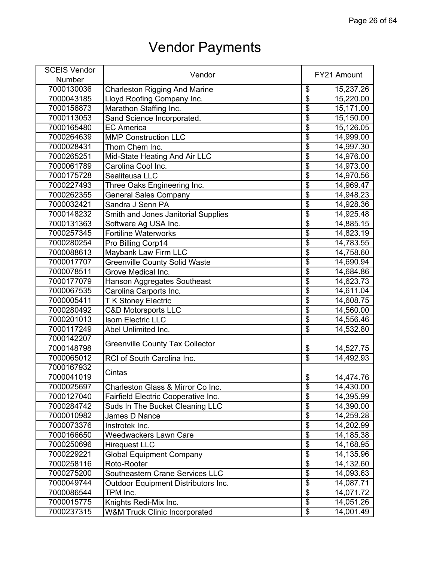| <b>SCEIS Vendor</b> |                                          |                         |             |
|---------------------|------------------------------------------|-------------------------|-------------|
| Number              | Vendor                                   |                         | FY21 Amount |
| 7000130036          | <b>Charleston Rigging And Marine</b>     | $\frac{1}{2}$           | 15,237.26   |
| 7000043185          | Lloyd Roofing Company Inc.               | $\overline{\$}$         | 15,220.00   |
| 7000156873          | Marathon Staffing Inc.                   | $\overline{\$}$         | 15,171.00   |
| 7000113053          | Sand Science Incorporated.               | $\overline{\$}$         | 15,150.00   |
| 7000165480          | <b>EC America</b>                        | $\overline{\$}$         | 15,126.05   |
| 7000264639          | <b>MMP Construction LLC</b>              | $\overline{\$}$         | 14,999.00   |
| 7000028431          | Thom Chem Inc.                           | $\overline{\$}$         | 14,997.30   |
| 7000265251          | Mid-State Heating And Air LLC            | $\overline{\$}$         | 14,976.00   |
| 7000061789          | Carolina Cool Inc.                       | $\overline{\$}$         | 14,973.00   |
| 7000175728          | Sealiteusa LLC                           | $\overline{\$}$         | 14,970.56   |
| 7000227493          | Three Oaks Engineering Inc.              | $\overline{\$}$         | 14,969.47   |
| 7000262355          | <b>General Sales Company</b>             | $\overline{\$}$         | 14,948.23   |
| 7000032421          | Sandra J Senn PA                         | $\overline{\$}$         | 14,928.36   |
| 7000148232          | Smith and Jones Janitorial Supplies      | $\overline{\$}$         | 14,925.48   |
| 7000131363          | Software Ag USA Inc.                     | $\overline{\$}$         | 14,885.15   |
| 7000257345          | <b>Fortiline Waterworks</b>              | $\overline{\$}$         | 14,823.19   |
| 7000280254          | Pro Billing Corp14                       | $\overline{\$}$         | 14,783.55   |
| 7000088613          | Maybank Law Firm LLC                     | $\overline{\$}$         | 14,758.60   |
| 7000017707          | Greenville County Solid Waste            | $\overline{\mathbf{S}}$ | 14,690.94   |
| 7000078511          | Grove Medical Inc.                       | $\overline{\$}$         | 14,684.86   |
| 7000177079          | Hanson Aggregates Southeast              | $\overline{\$}$         | 14,623.73   |
| 7000067535          | Carolina Carports Inc.                   | $\overline{\$}$         | 14,611.04   |
| 7000005411          | <b>T K Stoney Electric</b>               | $\overline{\$}$         | 14,608.75   |
| 7000280492          | <b>C&amp;D Motorsports LLC</b>           | $\overline{\$}$         | 14,560.00   |
| 7000201013          | Isom Electric LLC                        | $\overline{\$}$         | 14,556.46   |
| 7000117249          | Abel Unlimited Inc.                      | $\overline{\$}$         | 14,532.80   |
| 7000142207          |                                          |                         |             |
| 7000148798          | <b>Greenville County Tax Collector</b>   | \$                      | 14,527.75   |
| 7000065012          | RCI of South Carolina Inc.               | $\overline{\$}$         | 14,492.93   |
| 7000167932          | Cintas                                   |                         |             |
| 7000041019          |                                          | \$                      | 14,474.76   |
| 7000025697          | Charleston Glass & Mirror Co Inc.        | \$                      | 14,430.00   |
| 7000127040          | Fairfield Electric Cooperative Inc.      | $\overline{\$}$         | 14,395.99   |
| 7000284742          | Suds In The Bucket Cleaning LLC          | $\overline{\$}$         | 14,390.00   |
| 7000010982          | James D Nance                            | $\overline{\$}$         | 14,259.28   |
| 7000073376          | Instrotek Inc.                           | $\overline{\$}$         | 14,202.99   |
| 7000166650          | <b>Weedwackers Lawn Care</b>             | $\overline{\$}$         | 14,185.38   |
| 7000250696          | <b>Hirequest LLC</b>                     | $\overline{\$}$         | 14,168.95   |
| 7000229221          | <b>Global Equipment Company</b>          | $\overline{\$}$         | 14,135.96   |
| 7000258116          | Roto-Rooter                              | $\overline{\$}$         | 14,132.60   |
| 7000275200          | Southeastern Crane Services LLC          | $\overline{\$}$         | 14,093.63   |
| 7000049744          | Outdoor Equipment Distributors Inc.      | $\overline{\$}$         | 14,087.71   |
| 7000086544          | TPM Inc.                                 | $\overline{\$}$         | 14,071.72   |
| 7000015775          | Knights Redi-Mix Inc.                    | $\overline{\mathbf{S}}$ | 14,051.26   |
| 7000237315          | <b>W&amp;M Truck Clinic Incorporated</b> | $\overline{\mathbf{S}}$ | 14,001.49   |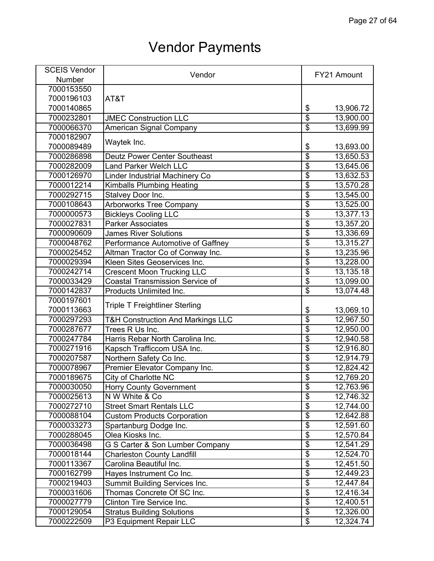| <b>SCEIS Vendor</b> | Vendor                                       |                                  | FY21 Amount |
|---------------------|----------------------------------------------|----------------------------------|-------------|
| Number              |                                              |                                  |             |
| 7000153550          |                                              |                                  |             |
| 7000196103          | AT&T                                         |                                  |             |
| 7000140865          |                                              | \$                               | 13,906.72   |
| 7000232801          | <b>JMEC Construction LLC</b>                 | $\overline{\$}$                  | 13,900.00   |
| 7000066370          | American Signal Company                      | $\overline{\$}$                  | 13,699.99   |
| 7000182907          |                                              |                                  |             |
| 7000089489          | Waytek Inc.                                  | \$                               | 13,693.00   |
| 7000286898          | <b>Deutz Power Center Southeast</b>          | $\overline{\$}$                  | 13,650.53   |
| 7000282009          | <b>Land Parker Welch LLC</b>                 | \$                               | 13,645.06   |
| 7000126970          | Linder Industrial Machinery Co               | $\overline{\$}$                  | 13,632.53   |
| 7000012214          | <b>Kimballs Plumbing Heating</b>             | $\overline{\$}$                  | 13,570.28   |
| 7000292715          | Stalvey Door Inc.                            | $\overline{\mathfrak{s}}$        | 13,545.00   |
| 7000108643          | <b>Arborworks Tree Company</b>               | \$                               | 13,525.00   |
| 7000000573          | <b>Bickleys Cooling LLC</b>                  | $\overline{\$}$                  | 13,377.13   |
| 7000027831          | <b>Parker Associates</b>                     | $\overline{\$}$                  | 13,357.20   |
| 7000090609          | <b>James River Solutions</b>                 | $\overline{\$}$                  | 13,336.69   |
| 7000048762          | Performance Automotive of Gaffney            | $\overline{\$}$                  | 13,315.27   |
| 7000025452          | Altman Tractor Co of Conway Inc.             | $\overline{\$}$                  | 13,235.96   |
| 7000029394          | Kleen Sites Geoservices Inc.                 | \$                               | 13,228.00   |
| 7000242714          | <b>Crescent Moon Trucking LLC</b>            | $\overline{\$}$                  | 13,135.18   |
| 7000033429          | <b>Coastal Transmission Service of</b>       | \$                               | 13,099.00   |
| 7000142837          | Products Unlimited Inc.                      | \$                               | 13,074.48   |
| 7000197601          |                                              |                                  |             |
| 7000113663          | <b>Triple T Freightliner Sterling</b>        | \$                               | 13,069.10   |
| 7000297293          | <b>T&amp;H Construction And Markings LLC</b> | $\overline{\$}$                  | 12,967.50   |
| 7000287677          | Trees R Us Inc.                              | \$                               | 12,950.00   |
| 7000247784          | Harris Rebar North Carolina Inc.             | $\overline{\$}$                  | 12,940.58   |
| 7000271916          | Kapsch Trafficcom USA Inc.                   | $\overline{\$}$                  | 12,916.80   |
| 7000207587          | Northern Safety Co Inc.                      | $\overline{\$}$                  | 12,914.79   |
| 7000078967          | Premier Elevator Company Inc.                | \$                               | 12,824.42   |
| 7000189675          | City of Charlotte NC                         | \$                               | 12,769.20   |
| 7000030050          | <b>Horry County Government</b>               | \$                               | 12,763.96   |
| 7000025613          | N W White & Co                               | $\overline{\$}$                  | 12,746.32   |
| 7000272710          | <b>Street Smart Rentals LLC</b>              | $\overline{\mathcal{S}}$         | 12,744.00   |
| 7000088104          | <b>Custom Products Corporation</b>           | $\overline{\boldsymbol{\theta}}$ | 12,642.88   |
| 7000033273          | Spartanburg Dodge Inc.                       | $\overline{\boldsymbol{\theta}}$ | 12,591.60   |
| 7000288045          | Olea Kiosks Inc.                             | $\overline{\mathcal{G}}$         | 12,570.84   |
| 7000036498          | G S Carter & Son Lumber Company              | \$                               | 12,541.29   |
| 7000018144          | <b>Charleston County Landfill</b>            | $\overline{\$}$                  | 12,524.70   |
| 7000113367          | Carolina Beautiful Inc.                      | $\overline{\$}$                  | 12,451.50   |
| 7000162799          | Hayes Instrument Co Inc.                     | \$                               | 12,449.23   |
| 7000219403          | <b>Summit Building Services Inc.</b>         | $\overline{\$}$                  | 12,447.84   |
| 7000031606          | Thomas Concrete Of SC Inc.                   | $\overline{\$}$                  | 12,416.34   |
| 7000027779          | Clinton Tire Service Inc.                    | $\overline{\mathbf{S}}$          | 12,400.51   |
| 7000129054          | <b>Stratus Building Solutions</b>            | $\overline{\$}$                  | 12,326.00   |
| 7000222509          | P3 Equipment Repair LLC                      | \$                               | 12,324.74   |
|                     |                                              |                                  |             |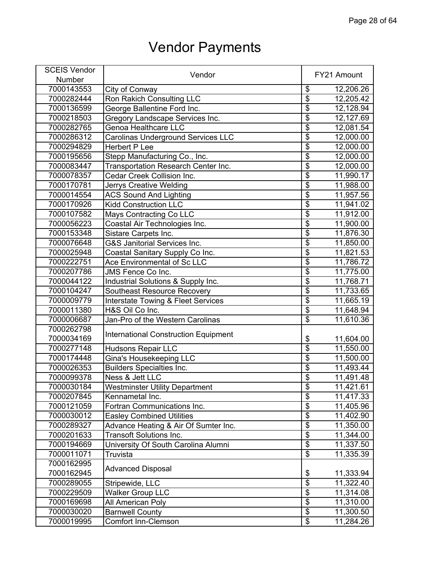| <b>SCEIS Vendor</b> | Vendor                                        |                                      | FY21 Amount |
|---------------------|-----------------------------------------------|--------------------------------------|-------------|
| Number              |                                               |                                      |             |
| 7000143553          | City of Conway                                | \$                                   | 12,206.26   |
| 7000282444          | Ron Rakich Consulting LLC                     | $\overline{\$}$                      | 12,205.42   |
| 7000136599          | George Ballentine Ford Inc.                   | \$                                   | 12,128.94   |
| 7000218503          | Gregory Landscape Services Inc.               | $\overline{\$}$                      | 12,127.69   |
| 7000282765          | <b>Genoa Healthcare LLC</b>                   | $\overline{\$}$                      | 12,081.54   |
| 7000286312          | <b>Carolinas Underground Services LLC</b>     | $\overline{\$}$                      | 12,000.00   |
| 7000294829          | <b>Herbert P Lee</b>                          | $\overline{\$}$                      | 12,000.00   |
| 7000195656          | Stepp Manufacturing Co., Inc.                 | $\overline{\$}$                      | 12,000.00   |
| 7000083447          | Transportation Research Center Inc.           | $\overline{\$}$                      | 12,000.00   |
| 7000078357          | Cedar Creek Collision Inc.                    | $\overline{\$}$                      | 11,990.17   |
| 7000170781          | <b>Jerrys Creative Welding</b>                | $\overline{\$}$                      | 11,988.00   |
| 7000014554          | <b>ACS Sound And Lighting</b>                 | $\overline{\mathbf{S}}$              | 11,957.56   |
| 7000170926          | <b>Kidd Construction LLC</b>                  | $\overline{\$}$                      | 11,941.02   |
| 7000107582          | Mays Contracting Co LLC                       | $\overline{\$}$                      | 11,912.00   |
| 7000056223          | Coastal Air Technologies Inc.                 | $\overline{\$}$                      | 11,900.00   |
| 7000153348          | Sistare Carpets Inc.                          | $\overline{\$}$                      | 11,876.30   |
| 7000076648          | G&S Janitorial Services Inc.                  | $\overline{\$}$                      | 11,850.00   |
| 7000025948          | Coastal Sanitary Supply Co Inc.               | $\overline{\$}$                      | 11,821.53   |
| 7000222751          | Ace Environmental of Sc LLC                   | $\overline{\mathbf{S}}$              | 11,786.72   |
| 7000207786          | JMS Fence Co Inc.                             | $\overline{\$}$                      | 11,775.00   |
| 7000044122          | Industrial Solutions & Supply Inc.            | $\overline{\$}$                      | 11,768.71   |
| 7000104247          | <b>Southeast Resource Recovery</b>            | $\overline{\$}$                      | 11,733.65   |
| 7000009779          | <b>Interstate Towing &amp; Fleet Services</b> | $\overline{\$}$                      | 11,665.19   |
| 7000011380          | H&S Oil Co Inc.                               | $\overline{\$}$                      | 11,648.94   |
| 7000006687          | Jan-Pro of the Western Carolinas              | $\overline{\$}$                      | 11,610.36   |
| 7000262798          |                                               |                                      |             |
| 7000034169          | <b>International Construction Equipment</b>   | \$                                   | 11,604.00   |
| 7000277148          | <b>Hudsons Repair LLC</b>                     | $\overline{\$}$                      | 11,550.00   |
| 7000174448          | Gina's Housekeeping LLC                       | $\overline{\$}$                      | 11,500.00   |
| 7000026353          | <b>Builders Specialties Inc.</b>              | $\overline{\$}$                      | 11,493.44   |
| 7000099378          | Ness & Jett LLC                               | $\overline{\boldsymbol{\mathsf{S}}}$ | 11,491.48   |
| 7000030184          | <b>Westminster Utility Department</b>         | $\overline{\mathcal{E}}$             | 11,421.61   |
| 7000207845          | Kennametal Inc.                               | $\overline{\$}$                      | 11,417.33   |
| 7000121059          | Fortran Communications Inc.                   | $\overline{\$}$                      | 11,405.96   |
| 7000030012          | <b>Easley Combined Utilities</b>              | $\overline{\$}$                      | 11,402.90   |
| 7000289327          | Advance Heating & Air Of Sumter Inc.          | $\overline{\$}$                      | 11,350.00   |
| 7000201633          | Transoft Solutions Inc.                       | $\overline{\$}$                      | 11,344.00   |
| 7000194669          | University Of South Carolina Alumni           | $\overline{\mathbf{e}}$              | 11,337.50   |
| 7000011071          | Truvista                                      | $\overline{\$}$                      | 11,335.39   |
| 7000162995          |                                               |                                      |             |
| 7000162945          | <b>Advanced Disposal</b>                      | \$                                   | 11,333.94   |
| 7000289055          | Stripewide, LLC                               | $\overline{\boldsymbol{\theta}}$     | 11,322.40   |
| 7000229509          | <b>Walker Group LLC</b>                       | $\overline{\$}$                      | 11,314.08   |
| 7000169698          | All American Poly                             | $\overline{\mathbf{S}}$              | 11,310.00   |
| 7000030020          | <b>Barnwell County</b>                        | $\overline{\$}$                      | 11,300.50   |
| 7000019995          | <b>Comfort Inn-Clemson</b>                    | $\overline{\$}$                      | 11,284.26   |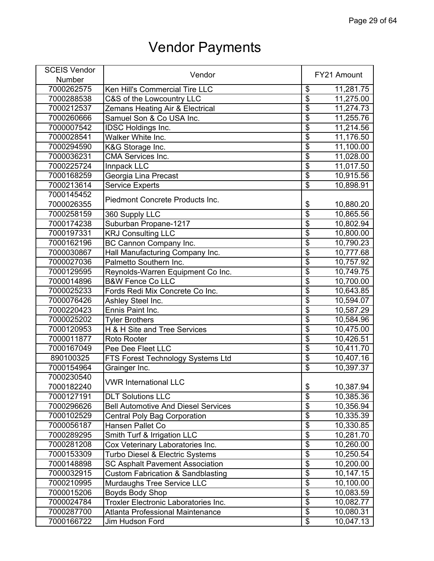| <b>SCEIS Vendor</b> |                                              |                                  |             |
|---------------------|----------------------------------------------|----------------------------------|-------------|
| Number              | Vendor                                       |                                  | FY21 Amount |
| 7000262575          | Ken Hill's Commercial Tire LLC               | \$                               | 11,281.75   |
| 7000288538          | C&S of the Lowcountry LLC                    | $\overline{\$}$                  | 11,275.00   |
| 7000212537          | Zemans Heating Air & Electrical              | $\overline{\$}$                  | 11,274.73   |
| 7000260666          | Samuel Son & Co USA Inc.                     | $\overline{\$}$                  | 11,255.76   |
| 7000007542          | <b>IDSC Holdings Inc.</b>                    | $\overline{\$}$                  | 11,214.56   |
| 7000028541          | Walker White Inc.                            | $\overline{\$}$                  | 11,176.50   |
| 7000294590          | K&G Storage Inc.                             | $\overline{\$}$                  | 11,100.00   |
| 7000036231          | <b>CMA Services Inc.</b>                     | $\overline{\$}$                  | 11,028.00   |
| 7000225724          | Innpack LLC                                  | $\overline{\$}$                  | 11,017.50   |
| 7000168259          | Georgia Lina Precast                         | $\overline{\$}$                  | 10,915.56   |
| 7000213614          | <b>Service Experts</b>                       | $\overline{\$}$                  | 10,898.91   |
| 7000145452          |                                              |                                  |             |
| 7000026355          | Piedmont Concrete Products Inc.              | \$                               | 10,880.20   |
| 7000258159          | 360 Supply LLC                               | $\overline{\$}$                  | 10,865.56   |
| 7000174238          | Suburban Propane-1217                        | $\overline{\boldsymbol{\theta}}$ | 10,802.94   |
| 7000197331          | <b>KRJ Consulting LLC</b>                    | $\overline{\$}$                  | 10,800.00   |
| 7000162196          | BC Cannon Company Inc.                       | \$                               | 10,790.23   |
| 7000030867          | Hall Manufacturing Company Inc.              | $\overline{\$}$                  | 10,777.68   |
| 7000027036          | Palmetto Southern Inc.                       | $\overline{\mathbf{S}}$          | 10,757.92   |
| 7000129595          | Reynolds-Warren Equipment Co Inc.            | $\overline{\$}$                  | 10,749.75   |
| 7000014896          | <b>B&amp;W Fence Co LLC</b>                  | $\overline{\$}$                  | 10,700.00   |
| 7000025233          | Fords Redi Mix Concrete Co Inc.              | $\overline{\$}$                  | 10,643.85   |
| 7000076426          | Ashley Steel Inc.                            | $\overline{\$}$                  | 10,594.07   |
| 7000220423          | Ennis Paint Inc.                             | $\overline{\$}$                  | 10,587.29   |
| 7000025202          | <b>Tyler Brothers</b>                        | $\overline{\$}$                  | 10,584.96   |
| 7000120953          | H & H Site and Tree Services                 | $\overline{\mathcal{S}}$         | 10,475.00   |
| 7000011877          | Roto Rooter                                  | $\overline{\$}$                  | 10,426.51   |
| 7000167049          | Pee Dee Fleet LLC                            | $\overline{\$}$                  | 10,411.70   |
| 890100325           | FTS Forest Technology Systems Ltd            | $\overline{\$}$                  | 10,407.16   |
| 7000154964          | Grainger Inc.                                | $\overline{\mathcal{E}}$         | 10,397.37   |
| 7000230540          |                                              |                                  |             |
| 7000182240          | <b>VWR International LLC</b>                 | \$                               | 10,387.94   |
| 7000127191          | <b>DLT Solutions LLC</b>                     | $\overline{\$}$                  | 10,385.36   |
| 7000296626          | <b>Bell Automotive And Diesel Services</b>   | $\overline{\$}$                  | 10,356.94   |
| 7000102529          | <b>Central Poly Bag Corporation</b>          | $\overline{\$}$                  | 10,335.39   |
| 7000056187          | Hansen Pallet Co                             | $\overline{\$}$                  | 10,330.85   |
| 7000289295          | Smith Turf & Irrigation LLC                  | $\overline{\$}$                  | 10,281.70   |
| 7000281208          | Cox Veterinary Laboratories Inc.             | $\overline{\mathbf{S}}$          | 10,260.00   |
| 7000153309          | Turbo Diesel & Electric Systems              | $\overline{\$}$                  | 10,250.54   |
| 7000148898          | <b>SC Asphalt Pavement Association</b>       | $\overline{\$}$                  | 10,200.00   |
| 7000032915          | <b>Custom Fabrication &amp; Sandblasting</b> | $\overline{\$}$                  | 10,147.15   |
| 7000210995          | Murdaughs Tree Service LLC                   | $\overline{\mathbf{e}}$          | 10,100.00   |
| 7000015206          | Boyds Body Shop                              | $\overline{\$}$                  | 10,083.59   |
| 7000024784          | Troxler Electronic Laboratories Inc.         | $\overline{\$}$                  | 10,082.77   |
| 7000287700          | Atlanta Professional Maintenance             | $\overline{\$}$                  | 10,080.31   |
| 7000166722          | Jim Hudson Ford                              | $\overline{\mathbf{e}}$          | 10,047.13   |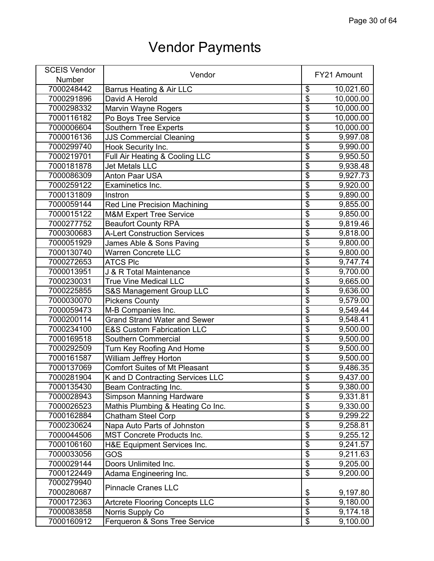| <b>SCEIS Vendor</b> |                                       |                           |             |
|---------------------|---------------------------------------|---------------------------|-------------|
| Number              | Vendor                                |                           | FY21 Amount |
| 7000248442          | Barrus Heating & Air LLC              | \$                        | 10,021.60   |
| 7000291896          | David A Herold                        | $\overline{\$}$           | 10,000.00   |
| 7000298332          | Marvin Wayne Rogers                   | $\overline{\mathfrak{s}}$ | 10,000.00   |
| 7000116182          | Po Boys Tree Service                  | $\overline{\$}$           | 10,000.00   |
| 7000006604          | <b>Southern Tree Experts</b>          | $\overline{\mathfrak{s}}$ | 10,000.00   |
| 7000016136          | <b>JJS Commercial Cleaning</b>        | $\overline{\mathbf{S}}$   | 9,997.08    |
| 7000299740          | Hook Security Inc.                    | $\overline{\$}$           | 9,990.00    |
| 7000219701          | Full Air Heating & Cooling LLC        | $\overline{\$}$           | 9,950.50    |
| 7000181878          | <b>Jet Metals LLC</b>                 | $\overline{\$}$           | 9,938.48    |
| 7000086309          | <b>Anton Paar USA</b>                 | $\overline{\$}$           | 9,927.73    |
| 7000259122          | Examinetics Inc.                      | $\overline{\mathfrak{s}}$ | 9,920.00    |
| 7000131809          | Instron                               | $\overline{\$}$           | 9,890.00    |
| 7000059144          | <b>Red Line Precision Machining</b>   | $\overline{\mathfrak{s}}$ | 9,855.00    |
| 7000015122          | <b>M&amp;M Expert Tree Service</b>    | $\overline{\$}$           | 9,850.00    |
| 7000277752          | <b>Beaufort County RPA</b>            | $\overline{\mathfrak{s}}$ | 9,819.46    |
| 7000300683          | <b>A-Lert Construction Services</b>   | $\overline{\$}$           | 9,818.00    |
| 7000051929          | James Able & Sons Paving              | $\overline{\$}$           | 9,800.00    |
| 7000130740          | <b>Warren Concrete LLC</b>            | $\overline{\$}$           | 9,800.00    |
| 7000272653          | <b>ATCS Plc</b>                       | $\overline{\mathbf{S}}$   | 9,747.74    |
| 7000013951          | J & R Total Maintenance               | $\overline{\$}$           | 9,700.00    |
| 7000230031          | <b>True Vine Medical LLC</b>          | $\overline{\$}$           | 9,665.00    |
| 7000225855          | S&S Management Group LLC              | $\overline{\$}$           | 9,636.00    |
| 7000030070          | <b>Pickens County</b>                 | $\overline{\$}$           | 9,579.00    |
| 7000059473          | M-B Companies Inc.                    | $\overline{\$}$           | 9,549.44    |
| 7000200114          | <b>Grand Strand Water and Sewer</b>   | $\overline{\mathfrak{s}}$ | 9,548.41    |
| 7000234100          | <b>E&amp;S Custom Fabrication LLC</b> | $\overline{\mathfrak{s}}$ | 9,500.00    |
| 7000169518          | Southern Commercial                   | $\overline{\$}$           | 9,500.00    |
| 7000292509          | Turn Key Roofing And Home             | $\overline{\$}$           | 9,500.00    |
| 7000161587          | William Jeffrey Horton                | $\overline{\$}$           | 9,500.00    |
| 7000137069          | <b>Comfort Suites of Mt Pleasant</b>  | $\overline{\mathfrak{s}}$ | 9,486.35    |
| 7000281904          | K and D Contracting Services LLC      | \$                        | 9,437.00    |
| 7000135430          | Beam Contracting Inc.                 | \$                        | 9,380.00    |
| 7000028943          | <b>Simpson Manning Hardware</b>       | $\overline{\$}$           | 9,331.81    |
| 7000026523          | Mathis Plumbing & Heating Co Inc.     | $\overline{\$}$           | 9,330.00    |
| 7000162884          | <b>Chatham Steel Corp</b>             | $\overline{\$}$           | 9,299.22    |
| 7000230624          | Napa Auto Parts of Johnston           | $\overline{\$}$           | 9,258.81    |
| 7000044506          | <b>MST Concrete Products Inc.</b>     | $\overline{\$}$           | 9,255.12    |
| 7000106160          | H&E Equipment Services Inc.           | $\overline{\$}$           | 9,241.57    |
| 7000033056          | GOS                                   | $\overline{\$}$           | 9,211.63    |
| 7000029144          | Doors Unlimited Inc.                  | $\overline{\$}$           | 9,205.00    |
| 7000122449          | Adama Engineering Inc.                | $\overline{\$}$           | 9,200.00    |
| 7000279940          |                                       |                           |             |
| 7000280687          | <b>Pinnacle Cranes LLC</b>            | \$                        | 9,197.80    |
| 7000172363          | <b>Artcrete Flooring Concepts LLC</b> | $\overline{\$}$           | 9,180.00    |
| 7000083858          | Norris Supply Co                      | $\overline{\$}$           | 9,174.18    |
| 7000160912          | Ferqueron & Sons Tree Service         | $\overline{\$}$           | 9,100.00    |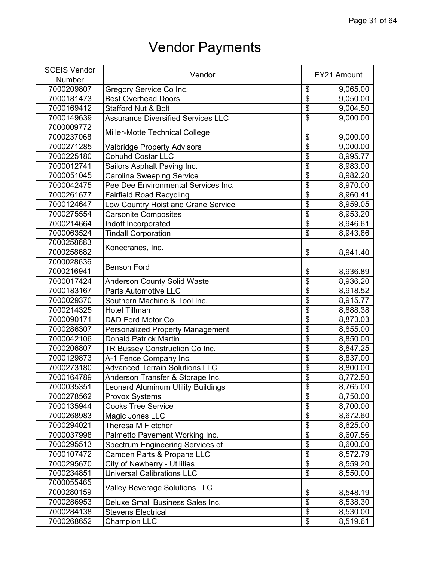| <b>SCEIS Vendor</b> | Vendor                                    |                                  | FY21 Amount |
|---------------------|-------------------------------------------|----------------------------------|-------------|
| Number              |                                           |                                  |             |
| 7000209807          | Gregory Service Co Inc.                   | \$                               | 9,065.00    |
| 7000181473          | <b>Best Overhead Doors</b>                | $\overline{\$}$                  | 9,050.00    |
| 7000169412          | <b>Stafford Nut &amp; Bolt</b>            | $\overline{\$}$                  | 9,004.50    |
| 7000149639          | <b>Assurance Diversified Services LLC</b> | $\overline{\$}$                  | 9,000.00    |
| 7000009772          |                                           |                                  |             |
| 7000237068          | Miller-Motte Technical College            | \$                               | 9,000.00    |
| 7000271285          | <b>Valbridge Property Advisors</b>        | $\overline{\$}$                  | 9,000.00    |
| 7000225180          | <b>Cohuhd Costar LLC</b>                  | $\overline{\$}$                  | 8,995.77    |
| 7000012741          | Sailors Asphalt Paving Inc.               | $\overline{\$}$                  | 8,983.00    |
| 7000051045          | <b>Carolina Sweeping Service</b>          | $\overline{\$}$                  | 8,982.20    |
| 7000042475          | Pee Dee Environmental Services Inc.       | $\overline{\$}$                  | 8,970.00    |
| 7000261677          | <b>Fairfield Road Recycling</b>           | $\overline{\$}$                  | 8,960.41    |
| 7000124647          | Low Country Hoist and Crane Service       | $\overline{\$}$                  | 8,959.05    |
| 7000275554          | <b>Carsonite Composites</b>               | $\overline{\$}$                  | 8,953.20    |
| 7000214664          | Indoff Incorporated                       | $\overline{\$}$                  | 8,946.61    |
| 7000063524          | <b>Tindall Corporation</b>                | $\overline{\$}$                  | 8,943.86    |
| 7000258683          |                                           |                                  |             |
| 7000258682          | Konecranes, Inc.                          | \$                               | 8,941.40    |
| 7000028636          |                                           |                                  |             |
| 7000216941          | <b>Benson Ford</b>                        | \$                               | 8,936.89    |
| 7000017424          | <b>Anderson County Solid Waste</b>        | $\overline{\$}$                  | 8,936.20    |
| 7000183167          | <b>Parts Automotive LLC</b>               | $\overline{\$}$                  | 8,918.52    |
| 7000029370          | Southern Machine & Tool Inc.              | $\overline{\$}$                  | 8,915.77    |
| 7000214325          | <b>Hotel Tillman</b>                      | $\overline{\$}$                  | 8,888.38    |
| 7000090171          | D&D Ford Motor Co                         | $\overline{\$}$                  | 8,873.03    |
| 7000286307          | <b>Personalized Property Management</b>   | $\overline{\$}$                  | 8,855.00    |
| 7000042106          | <b>Donald Patrick Martin</b>              | $\overline{\$}$                  | 8,850.00    |
| 7000206807          | TR Bussey Construction Co Inc.            | $\overline{\$}$                  | 8,847.25    |
| 7000129873          | A-1 Fence Company Inc.                    | $\overline{\$}$                  | 8,837.00    |
| 7000273180          | <b>Advanced Terrain Solutions LLC</b>     | $\overline{\$}$                  | 8,800.00    |
| 7000164789          | Anderson Transfer & Storage Inc.          | $\overline{\$}$                  | 8,772.50    |
| 7000035351          | <b>Leonard Aluminum Utility Buildings</b> | \$                               | 8,765.00    |
| 7000278562          | <b>Provox Systems</b>                     | $\overline{\$}$                  | 8,750.00    |
| 7000135944          | <b>Cooks Tree Service</b>                 | $\overline{\$}$                  | 8,700.00    |
| 7000268983          | Magic Jones LLC                           | $\overline{\$}$                  | 8,672.60    |
| 7000294021          | Theresa M Fletcher                        | $\overline{\boldsymbol{\theta}}$ | 8,625.00    |
| 7000037998          | Palmetto Pavement Working Inc.            | $\overline{\mathbf{S}}$          | 8,607.56    |
| 7000295513          | Spectrum Engineering Services of          | \$                               | 8,600.00    |
| 7000107472          | Camden Parts & Propane LLC                | $\overline{\$}$                  | 8,572.79    |
| 7000295670          | City of Newberry - Utilities              | $\overline{\$}$                  | 8,559.20    |
| 7000234851          | <b>Universal Calibrations LLC</b>         | \$                               | 8,550.00    |
| 7000055465          |                                           |                                  |             |
| 7000280159          | <b>Valley Beverage Solutions LLC</b>      | \$                               | 8,548.19    |
| 7000286953          | Deluxe Small Business Sales Inc.          | $\overline{\mathfrak{s}}$        | 8,538.30    |
| 7000284138          | <b>Stevens Electrical</b>                 | $\overline{\mathbf{e}}$          | 8,530.00    |
| 7000268652          | <b>Champion LLC</b>                       | \$                               | 8,519.61    |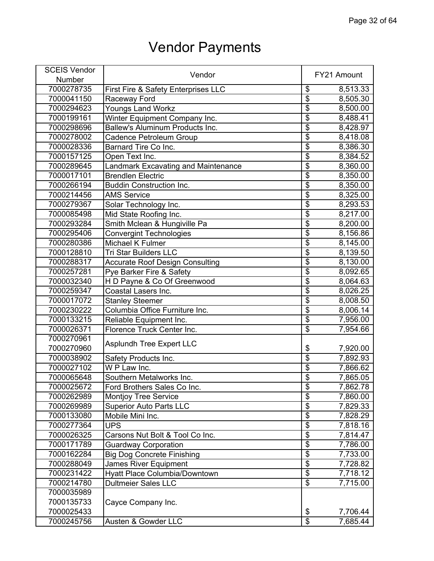| <b>SCEIS Vendor</b> | Vendor                                     |                                      | FY21 Amount |
|---------------------|--------------------------------------------|--------------------------------------|-------------|
| Number              |                                            |                                      |             |
| 7000278735          | First Fire & Safety Enterprises LLC        | \$                                   | 8,513.33    |
| 7000041150          | Raceway Ford                               | $\overline{\$}$                      | 8,505.30    |
| 7000294623          | Youngs Land Workz                          | $\overline{\mathbf{S}}$              | 8,500.00    |
| 7000199161          | Winter Equipment Company Inc.              | $\overline{\$}$                      | 8,488.41    |
| 7000298696          | Ballew's Aluminum Products Inc.            | $\overline{\boldsymbol{\mathsf{S}}}$ | 8,428.97    |
| 7000278002          | Cadence Petroleum Group                    | $\overline{\$}$                      | 8,418.08    |
| 7000028336          | Barnard Tire Co Inc.                       | $\overline{\$}$                      | 8,386.30    |
| 7000157125          | Open Text Inc.                             | $\overline{\$}$                      | 8,384.52    |
| 7000289645          | <b>Landmark Excavating and Maintenance</b> | $\overline{\boldsymbol{\theta}}$     | 8,360.00    |
| 7000017101          | <b>Brendlen Electric</b>                   | $\overline{\$}$                      | 8,350.00    |
| 7000266194          | <b>Buddin Construction Inc.</b>            | $\overline{\$}$                      | 8,350.00    |
| 7000214456          | <b>AMS Service</b>                         | $\overline{\mathbf{S}}$              | 8,325.00    |
| 7000279367          | Solar Technology Inc.                      | $\overline{\mathbf{S}}$              | 8,293.53    |
| 7000085498          | Mid State Roofing Inc.                     | $\overline{\$}$                      | 8,217.00    |
| 7000293284          | Smith Mclean & Hungiville Pa               | $\overline{\mathbf{S}}$              | 8,200.00    |
| 7000295406          | <b>Convergint Technologies</b>             | $\overline{\$}$                      | 8,156.86    |
| 7000280386          | <b>Michael K Fulmer</b>                    | $\overline{\$}$                      | 8,145.00    |
| 7000128810          | <b>Tri Star Builders LLC</b>               | $\overline{\$}$                      | 8,139.50    |
| 7000288317          | <b>Accurate Roof Design Consulting</b>     | $\overline{\mathbf{S}}$              | 8,130.00    |
| 7000257281          | Pye Barker Fire & Safety                   | $\overline{\$}$                      | 8,092.65    |
| 7000032340          | H D Payne & Co Of Greenwood                | $\overline{\$}$                      | 8,064.63    |
| 7000259347          | Coastal Lasers Inc.                        | $\overline{\$}$                      | 8,026.25    |
| 7000017072          | <b>Stanley Steemer</b>                     | $\overline{\$}$                      | 8,008.50    |
| 7000230222          | Columbia Office Furniture Inc.             | $\overline{\$}$                      | 8,006.14    |
| 7000133215          | Reliable Equipment Inc.                    | $\overline{\mathbf{S}}$              | 7,956.00    |
| 7000026371          | Florence Truck Center Inc.                 | $\overline{\$}$                      | 7,954.66    |
| 7000270961          |                                            |                                      |             |
| 7000270960          | <b>Asplundh Tree Expert LLC</b>            | \$                                   | 7,920.00    |
| 7000038902          | Safety Products Inc.                       | $\overline{\$}$                      | 7,892.93    |
| 7000027102          | W P Law Inc.                               | \$                                   | 7,866.62    |
| 7000065648          | Southern Metalworks Inc.                   | \$                                   | 7,865.05    |
| 7000025672          | Ford Brothers Sales Co Inc.                | \$                                   | 7,862.78    |
| 7000262989          | <b>Montjoy Tree Service</b>                | $\overline{\$}$                      | 7,860.00    |
| 7000269989          | <b>Superior Auto Parts LLC</b>             | $\overline{\mathbf{S}}$              | 7,829.33    |
| 7000133080          | Mobile Mini Inc.                           | $\overline{\$}$                      | 7,828.29    |
| 7000277364          | <b>UPS</b>                                 | $\overline{\boldsymbol{\mathsf{S}}}$ | 7,818.16    |
| 7000026325          | Carsons Nut Bolt & Tool Co Inc.            | $\overline{\mathcal{G}}$             | 7,814.47    |
| 7000171789          | <b>Guardway Corporation</b>                | $\overline{\mathbf{S}}$              | 7,786.00    |
| 7000162284          | <b>Big Dog Concrete Finishing</b>          | $\overline{\$}$                      | 7,733.00    |
| 7000288049          | <b>James River Equipment</b>               | $\overline{\$}$                      | 7,728.82    |
| 7000231422          | <b>Hyatt Place Columbia/Downtown</b>       | $\overline{\$}$                      | 7,718.12    |
| 7000214780          | <b>Dultmeier Sales LLC</b>                 | $\overline{\mathcal{E}}$             | 7,715.00    |
| 7000035989          |                                            |                                      |             |
| 7000135733          | Cayce Company Inc.                         |                                      |             |
| 7000025433          |                                            | \$                                   | 7,706.44    |
| 7000245756          | Austen & Gowder LLC                        | $\overline{\mathbf{e}}$              | 7,685.44    |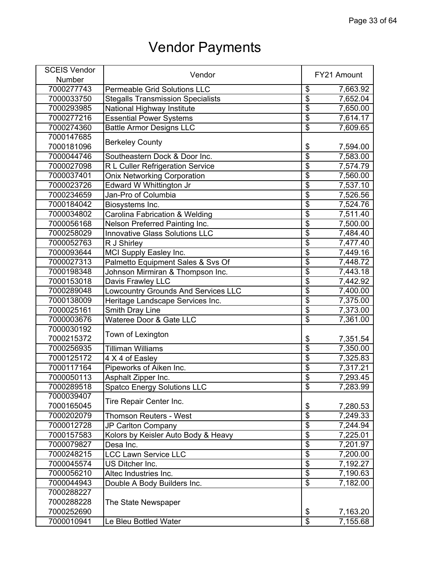| <b>SCEIS Vendor</b> |                                            |                           |             |
|---------------------|--------------------------------------------|---------------------------|-------------|
| Number              | Vendor                                     |                           | FY21 Amount |
| 7000277743          | <b>Permeable Grid Solutions LLC</b>        | \$                        | 7,663.92    |
| 7000033750          | <b>Stegalls Transmission Specialists</b>   | \$                        | 7,652.04    |
| 7000293985          | National Highway Institute                 | \$                        | 7,650.00    |
| 7000277216          | <b>Essential Power Systems</b>             | $\overline{\$}$           | 7,614.17    |
| 7000274360          | <b>Battle Armor Designs LLC</b>            | $\overline{\$}$           | 7,609.65    |
| 7000147685          |                                            |                           |             |
| 7000181096          | <b>Berkeley County</b>                     | \$                        | 7,594.00    |
| 7000044746          | Southeastern Dock & Door Inc.              | $\overline{\$}$           | 7,583.00    |
| 7000027098          | R L Culler Refrigeration Service           | \$                        | 7,574.79    |
| 7000037401          | <b>Onix Networking Corporation</b>         | \$                        | 7,560.00    |
| 7000023726          | Edward W Whittington Jr                    | \$                        | 7,537.10    |
| 7000234659          | Jan-Pro of Columbia                        | \$                        | 7,526.56    |
| 7000184042          | Biosystems Inc.                            | \$                        | 7,524.76    |
| 7000034802          | <b>Carolina Fabrication &amp; Welding</b>  | $\overline{\$}$           | 7,511.40    |
| 7000056168          | Nelson Preferred Painting Inc.             | $\overline{\$}$           | 7,500.00    |
| 7000258029          | <b>Innovative Glass Solutions LLC</b>      | $\overline{\$}$           | 7,484.40    |
| 7000052763          | R J Shirley                                | $\overline{\$}$           | 7,477.40    |
| 7000093644          | MCI Supply Easley Inc.                     | \$                        | 7,449.16    |
| 7000027313          | Palmetto Equipment Sales & Svs Of          | $\overline{\mathfrak{s}}$ | 7,448.72    |
| 7000198348          | Johnson Mirmiran & Thompson Inc.           | \$                        | 7,443.18    |
| 7000153018          | Davis Frawley LLC                          | \$                        | 7,442.92    |
| 7000289048          | <b>Lowcountry Grounds And Services LLC</b> | $\overline{\$}$           | 7,400.00    |
| 7000138009          | Heritage Landscape Services Inc.           | $\overline{\$}$           | 7,375.00    |
| 7000025161          | Smith Dray Line                            | \$                        | 7,373.00    |
| 7000003676          | Wateree Door & Gate LLC                    | $\overline{\mathfrak{s}}$ | 7,361.00    |
| 7000030192          |                                            |                           |             |
| 7000215372          | Town of Lexington                          | \$                        | 7,351.54    |
| 7000256935          | <b>Tilliman Williams</b>                   | $\overline{\$}$           | 7,350.00    |
| 7000125172          | 4 X 4 of Easley                            | $\overline{\$}$           | 7,325.83    |
| 7000117164          | Pipeworks of Aiken Inc.                    | \$                        | 7,317.21    |
| 7000050113          | Asphalt Zipper Inc.                        | $\overline{\$}$           | 7,293.45    |
| 7000289518          | <b>Spatco Energy Solutions LLC</b>         | \$                        | 7,283.99    |
| 7000039407          |                                            |                           |             |
| 7000165045          | Tire Repair Center Inc.                    | \$                        | 7,280.53    |
| 7000202079          | <b>Thomson Reuters - West</b>              | $\overline{\$}$           | 7,249.33    |
| 7000012728          | JP Carlton Company                         | $\overline{\mathcal{S}}$  | 7,244.94    |
| 7000157583          | Kolors by Keisler Auto Body & Heavy        | $\overline{\$}$           | 7,225.01    |
| 7000079827          | Desa Inc.                                  | $\overline{\mathbf{S}}$   | 7,201.97    |
| 7000248215          | <b>LCC Lawn Service LLC</b>                | $\overline{\$}$           | 7,200.00    |
| 7000045574          | US Ditcher Inc.                            | $\overline{\$}$           | 7,192.27    |
| 7000056210          | Altec Industries Inc.                      | $\overline{\$}$           | 7,190.63    |
| 7000044943          | Double A Body Builders Inc.                | $\overline{\$}$           | 7,182.00    |
| 7000288227          |                                            |                           |             |
| 7000288228          | The State Newspaper                        |                           |             |
| 7000252690          |                                            | \$                        | 7,163.20    |
| 7000010941          | Le Bleu Bottled Water                      | $\overline{\$}$           | 7,155.68    |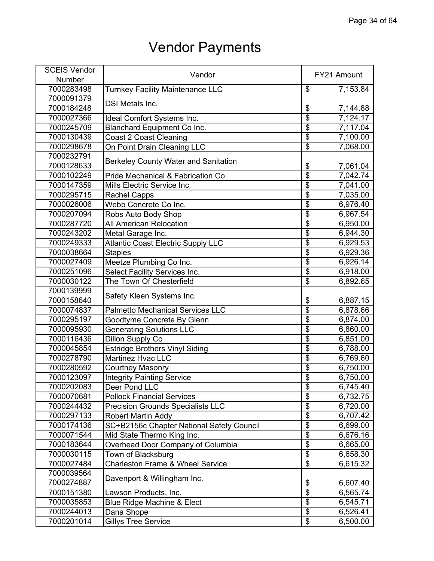| <b>SCEIS Vendor</b> | Vendor                                      |                          | FY21 Amount |
|---------------------|---------------------------------------------|--------------------------|-------------|
| Number              |                                             |                          |             |
| 7000283498          | <b>Turnkey Facility Maintenance LLC</b>     | \$                       | 7,153.84    |
| 7000091379          |                                             |                          |             |
| 7000184248          | <b>DSI Metals Inc.</b>                      | \$                       | 7,144.88    |
| 7000027366          | Ideal Comfort Systems Inc.                  | $\overline{\$}$          | 7,124.17    |
| 7000245709          | Blanchard Equipment Co Inc.                 | $\overline{\$}$          | 7,117.04    |
| 7000130439          | <b>Coast 2 Coast Cleaning</b>               | $\overline{\mathbf{S}}$  | 7,100.00    |
| 7000298678          | On Point Drain Cleaning LLC                 | \$                       | 7,068.00    |
| 7000232791          |                                             |                          |             |
| 7000128633          | <b>Berkeley County Water and Sanitation</b> | \$                       | 7,061.04    |
| 7000102249          | Pride Mechanical & Fabrication Co           | \$                       | 7,042.74    |
| 7000147359          | Mills Electric Service Inc.                 | \$                       | 7,041.00    |
| 7000295715          | <b>Rachel Capps</b>                         | $\overline{\mathbf{S}}$  | 7,035.00    |
| 7000026006          | Webb Concrete Co Inc.                       | \$                       | 6,976.40    |
| 7000207094          | Robs Auto Body Shop                         | $\overline{\$}$          | 6,967.54    |
| 7000287720          | <b>All American Relocation</b>              | $\overline{\$}$          | 6,950.00    |
| 7000243202          | Metal Garage Inc.                           | $\overline{\$}$          | 6,944.30    |
| 7000249333          | <b>Atlantic Coast Electric Supply LLC</b>   | $\overline{\$}$          | 6,929.53    |
| 7000038664          | <b>Staples</b>                              | $\overline{\$}$          | 6,929.36    |
| 7000027409          | Meetze Plumbing Co Inc.                     | \$                       | 6,926.14    |
| 7000251096          | Select Facility Services Inc.               | $\overline{\$}$          | 6,918.00    |
| 7000030122          | The Town Of Chesterfield                    | $\overline{\$}$          | 6,892.65    |
| 7000139999          |                                             |                          |             |
| 7000158640          | Safety Kleen Systems Inc.                   | \$                       | 6,887.15    |
| 7000074837          | <b>Palmetto Mechanical Services LLC</b>     | $\overline{\$}$          | 6,878.66    |
| 7000295197          | Goodtyme Concrete By Glenn                  | \$                       | 6,874.00    |
| 7000095930          | <b>Generating Solutions LLC</b>             | \$                       | 6,860.00    |
| 7000116436          | Dillon Supply Co                            | $\overline{\$}$          | 6,851.00    |
| 7000045854          | <b>Estridge Brothers Vinyl Siding</b>       | \$                       | 6,788.00    |
| 7000278790          | <b>Martinez Hvac LLC</b>                    | $\overline{\$}$          | 6,769.60    |
| 7000280592          | <b>Courtney Masonry</b>                     | $\overline{\$}$          | 6,750.00    |
| 7000123097          | <b>Integrity Painting Service</b>           | $\overline{\$}$          | 6,750.00    |
| 7000202083          | Deer Pond LLC                               | \$                       | 6,745.40    |
| 7000070681          | <b>Pollock Financial Services</b>           | \$                       | 6,732.75    |
| 7000244432          | <b>Precision Grounds Specialists LLC</b>    | $\overline{\$}$          | 6,720.00    |
| 7000297133          | <b>Robert Martin Addy</b>                   | $\overline{\mathcal{S}}$ | 6,707.42    |
| 7000174136          | SC+B2156c Chapter National Safety Council   | $\overline{\$}$          | 6,699.00    |
| 7000071544          | Mid State Thermo King Inc.                  | $\overline{\mathbf{S}}$  | 6,676.16    |
| 7000183644          | Overhead Door Company of Columbia           | $\overline{\mathbf{S}}$  |             |
| 7000030115          |                                             | $\overline{\mathcal{S}}$ | 6,665.00    |
|                     | Town of Blacksburg                          | $\overline{\mathcal{E}}$ | 6,658.30    |
| 7000027484          | <b>Charleston Frame &amp; Wheel Service</b> |                          | 6,615.32    |
| 7000039564          | Davenport & Willingham Inc.                 |                          |             |
| 7000274887          |                                             | \$                       | 6,607.40    |
| 7000151380          | Lawson Products, Inc.                       | $\overline{\$}$          | 6,565.74    |
| 7000035853          | Blue Ridge Machine & Elect                  | \$                       | 6,545.71    |
| 7000244013          | Dana Shope                                  | $\overline{\mathcal{S}}$ | 6,526.41    |
| 7000201014          | Gillys Tree Service                         | \$                       | 6,500.00    |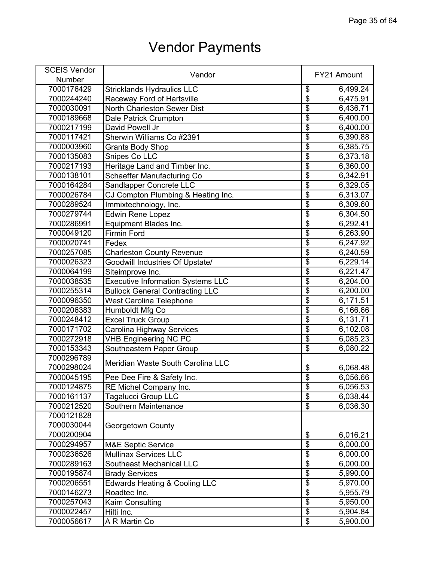| <b>SCEIS Vendor</b> |                                          |                          |             |
|---------------------|------------------------------------------|--------------------------|-------------|
| Number              | Vendor                                   |                          | FY21 Amount |
| 7000176429          | <b>Stricklands Hydraulics LLC</b>        | \$                       | 6,499.24    |
| 7000244240          | Raceway Ford of Hartsville               | \$                       | 6,475.91    |
| 7000030091          | North Charleston Sewer Dist              | \$                       | 6,436.71    |
| 7000189668          | Dale Patrick Crumpton                    | $\overline{\$}$          | 6,400.00    |
| 7000217199          | David Powell Jr                          | $\overline{\$}$          | 6,400.00    |
| 7000117421          | Sherwin Williams Co #2391                | $\overline{\$}$          | 6,390.88    |
| 7000003960          | <b>Grants Body Shop</b>                  | $\overline{\$}$          | 6,385.75    |
| 7000135083          | Snipes Co LLC                            | $\overline{\$}$          | 6,373.18    |
| 7000217193          | Heritage Land and Timber Inc.            | \$                       | 6,360.00    |
| 7000138101          | Schaeffer Manufacturing Co               | \$                       | 6,342.91    |
| 7000164284          | Sandlapper Concrete LLC                  | $\overline{\$}$          | 6,329.05    |
| 7000026784          | CJ Compton Plumbing & Heating Inc.       | $\overline{\$}$          | 6,313.07    |
| 7000289524          | Immixtechnology, Inc.                    | \$                       | 6,309.60    |
| 7000279744          | <b>Edwin Rene Lopez</b>                  | $\overline{\$}$          | 6,304.50    |
| 7000286991          | Equipment Blades Inc.                    | \$                       | 6,292.41    |
| 7000049120          | <b>Firmin Ford</b>                       | $\overline{\$}$          | 6,263.90    |
| 7000020741          | Fedex                                    | \$                       | 6,247.92    |
| 7000257085          | <b>Charleston County Revenue</b>         | $\overline{\$}$          | 6,240.59    |
| 7000026323          | Goodwill Industries Of Upstate/          | $\overline{\mathbf{S}}$  | 6,229.14    |
| 7000064199          | Siteimprove Inc.                         | $\overline{\$}$          | 6,221.47    |
| 7000038535          | <b>Executive Information Systems LLC</b> | $\overline{\$}$          | 6,204.00    |
| 7000255314          | <b>Bullock General Contracting LLC</b>   | $\overline{\$}$          | 6,200.00    |
| 7000096350          | <b>West Carolina Telephone</b>           | $\overline{\$}$          | 6,171.51    |
| 7000206383          | Humboldt Mfg Co                          | $\overline{\$}$          | 6,166.66    |
| 7000248412          | <b>Excel Truck Group</b>                 | \$                       | 6,131.71    |
| 7000171702          | Carolina Highway Services                | $\overline{\mathcal{S}}$ | 6,102.08    |
| 7000272918          | <b>VHB Engineering NC PC</b>             | $\overline{\$}$          | 6,085.23    |
| 7000153343          | Southeastern Paper Group                 | $\overline{\$}$          | 6,080.22    |
| 7000296789          |                                          |                          |             |
| 7000298024          | Meridian Waste South Carolina LLC        | \$                       | 6,068.48    |
| 7000045195          | Pee Dee Fire & Safety Inc.               | $\overline{\mathbf{S}}$  | 6,056.66    |
| 7000124875          | RE Michel Company Inc.                   | \$                       | 6,056.53    |
| 7000161137          | Tagalucci Group LLC                      | $\overline{\$}$          | 6,038.44    |
| 7000212520          | Southern Maintenance                     | $\overline{\$}$          | 6,036.30    |
| 7000121828          |                                          |                          |             |
| 7000030044          | Georgetown County                        |                          |             |
| 7000200904          |                                          | \$                       | 6,016.21    |
| 7000294957          | <b>M&amp;E Septic Service</b>            | $\overline{\mathbf{S}}$  | 6,000.00    |
| 7000236526          | <b>Mullinax Services LLC</b>             | $\overline{\$}$          | 6,000.00    |
| 7000289163          | <b>Southeast Mechanical LLC</b>          | $\overline{\$}$          | 6,000.00    |
| 7000195874          | <b>Brady Services</b>                    | $\overline{\$}$          | 5,990.00    |
| 7000206551          | <b>Edwards Heating &amp; Cooling LLC</b> | $\overline{\mathbf{S}}$  | 5,970.00    |
| 7000146273          | Roadtec Inc.                             | $\overline{\$}$          | 5,955.79    |
| 7000257043          | Kaim Consulting                          | $\overline{\mathbf{S}}$  | 5,950.00    |
| 7000022457          | Hilti Inc.                               | $\overline{\$}$          | 5,904.84    |
| 7000056617          | A R Martin Co                            | $\overline{\$}$          | 5,900.00    |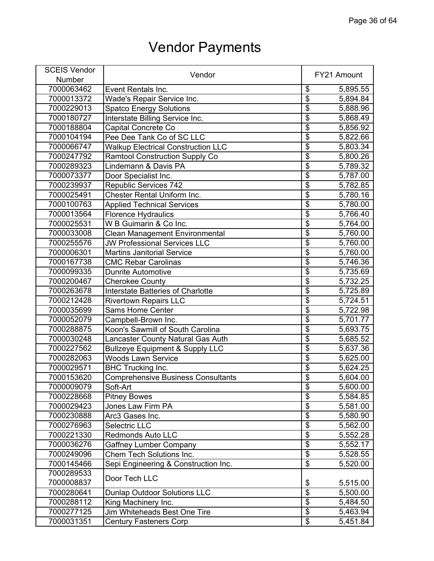| <b>SCEIS Vendor</b> |                                            |                                      |             |
|---------------------|--------------------------------------------|--------------------------------------|-------------|
| Number              | Vendor                                     |                                      | FY21 Amount |
| 7000063462          | Event Rentals Inc.                         | \$                                   | 5,895.55    |
| 7000013372          | Wade's Repair Service Inc.                 | $\overline{\$}$                      | 5,894.84    |
| 7000229013          | <b>Spatco Energy Solutions</b>             | $\overline{\$}$                      | 5,888.96    |
| 7000180727          | Interstate Billing Service Inc.            | $\overline{\$}$                      | 5,868.49    |
| 7000188804          | Capital Concrete Co                        | $\overline{\$}$                      | 5,856.92    |
| 7000104194          | Pee Dee Tank Co of SC LLC                  | $\overline{\$}$                      | 5,822.66    |
| 7000066747          | <b>Walkup Electrical Construction LLC</b>  | $\overline{\$}$                      | 5,803.34    |
| 7000247792          | <b>Ramtool Construction Supply Co</b>      | $\overline{\$}$                      | 5,800.26    |
| 7000289323          | Lindemann & Davis PA                       | $\overline{\$}$                      | 5,789.32    |
| 7000073377          | Door Specialist Inc.                       | $\overline{\$}$                      | 5,787.00    |
| 7000239937          | <b>Republic Services 742</b>               | $\overline{\$}$                      | 5,782.85    |
| 7000025491          | Chester Rental Uniform Inc.                | $\overline{\mathbf{S}}$              | 5,780.16    |
| 7000100763          | <b>Applied Technical Services</b>          | $\overline{\mathbf{S}}$              | 5,780.00    |
| 7000013564          | <b>Florence Hydraulics</b>                 | $\overline{\$}$                      | 5,766.40    |
| 7000025531          | W B Guimarin & Co Inc.                     | $\overline{\$}$                      | 5,764.00    |
| 7000033008          | <b>Clean Management Environmental</b>      | $\overline{\$}$                      | 5,760.00    |
| 7000255576          | <b>JW Professional Services LLC</b>        | $\overline{\$}$                      | 5,760.00    |
| 7000006301          | <b>Martins Janitorial Service</b>          | $\overline{\$}$                      | 5,760.00    |
| 7000167738          | <b>CMC Rebar Carolinas</b>                 | $\overline{\boldsymbol{\mathsf{S}}}$ | 5,746.36    |
| 7000099335          | <b>Dunrite Automotive</b>                  | $\overline{\$}$                      | 5,735.69    |
| 7000200467          | <b>Cherokee County</b>                     | $\overline{\$}$                      | 5,732.25    |
| 7000263678          | <b>Interstate Batteries of Charlotte</b>   | $\overline{\$}$                      | 5,725.89    |
| 7000212428          | <b>Rivertown Repairs LLC</b>               | $\overline{\boldsymbol{\mathsf{S}}}$ | 5,724.51    |
| 7000035699          | <b>Sams Home Center</b>                    | $\overline{\$}$                      | 5,722.98    |
| 7000052079          | Campbell-Brown Inc.                        | $\overline{\$}$                      | 5,701.77    |
| 7000288875          | Koon's Sawmill of South Carolina           | $\overline{\$}$                      | 5,693.75    |
| 7000030248          | Lancaster County Natural Gas Auth          | $\overline{\$}$                      | 5,685.52    |
| 7000227562          | <b>Bullzeye Equipment &amp; Supply LLC</b> | $\overline{\$}$                      | 5,637.36    |
| 7000282063          | <b>Woods Lawn Service</b>                  | $\overline{\$}$                      | 5,625.00    |
| 7000029571          | <b>BHC Trucking Inc.</b>                   | $\overline{\$}$                      | 5,624.25    |
| 7000153620          | <b>Comprehensive Business Consultants</b>  | $\overline{\$}$                      | 5,604.00    |
| 7000009079          | Soft-Art                                   | \$                                   | 5,600.00    |
| 7000228668          | <b>Pitney Bowes</b>                        | $\overline{\$}$                      | 5,584.85    |
| 7000029423          | Jones Law Firm PA                          | $\overline{\$}$                      | 5,581.00    |
| 7000230888          | Arc3 Gases Inc.                            | $\overline{\$}$                      | 5,580.90    |
| 7000276963          | <b>Selectric LLC</b>                       | $\overline{\$}$                      | 5,562.00    |
| 7000221330          | <b>Redmonds Auto LLC</b>                   | $\overline{\$}$                      | 5,552.28    |
| 7000036276          | <b>Gaffney Lumber Company</b>              | $\overline{\mathbf{S}}$              | 5,552.17    |
| 7000249096          | Chem Tech Solutions Inc.                   | $\overline{\$}$                      | 5,528.55    |
| 7000145466          | Sepi Engineering & Construction Inc.       | $\overline{\$}$                      | 5,520.00    |
| 7000289533          |                                            |                                      |             |
| 7000008837          | Door Tech LLC                              | \$                                   | 5,515.00    |
| 7000280641          | <b>Dunlap Outdoor Solutions LLC</b>        | $\overline{\$}$                      | 5,500.00    |
| 7000288112          | King Machinery Inc.                        | $\overline{\mathbf{S}}$              | 5,484.50    |
| 7000277125          | Jim Whiteheads Best One Tire               | $\overline{\$}$                      | 5,463.94    |
| 7000031351          | <b>Century Fasteners Corp</b>              | $\overline{\mathbf{e}}$              | 5,451.84    |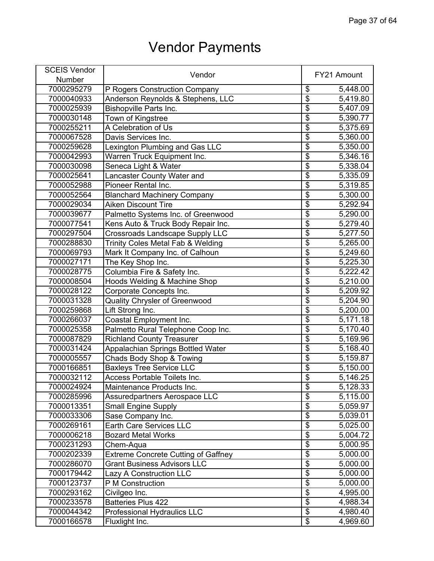| <b>SCEIS Vendor</b> |                                            |                                  |             |
|---------------------|--------------------------------------------|----------------------------------|-------------|
| Number              | Vendor                                     |                                  | FY21 Amount |
| 7000295279          | P Rogers Construction Company              | \$                               | 5,448.00    |
| 7000040933          | Anderson Reynolds & Stephens, LLC          | $\overline{\$}$                  | 5,419.80    |
| 7000025939          | <b>Bishopville Parts Inc.</b>              | $\overline{\$}$                  | 5,407.09    |
| 7000030148          | Town of Kingstree                          | $\overline{\$}$                  | 5,390.77    |
| 7000255211          | A Celebration of Us                        | $\overline{\$}$                  | 5,375.69    |
| 7000067528          | Davis Services Inc.                        | $\overline{\$}$                  | 5,360.00    |
| 7000259628          | Lexington Plumbing and Gas LLC             | $\overline{\$}$                  | 5,350.00    |
| 7000042993          | Warren Truck Equipment Inc.                | $\overline{\$}$                  | 5,346.16    |
| 7000030098          | Seneca Light & Water                       | $\overline{\$}$                  | 5,338.04    |
| 7000025641          | Lancaster County Water and                 | $\overline{\$}$                  | 5,335.09    |
| 7000052988          | Pioneer Rental Inc.                        | $\overline{\mathcal{S}}$         | 5,319.85    |
| 7000052564          | <b>Blanchard Machinery Company</b>         | $\overline{\$}$                  | 5,300.00    |
| 7000029034          | <b>Aiken Discount Tire</b>                 | $\overline{\mathfrak{s}}$        | 5,292.94    |
| 7000039677          | Palmetto Systems Inc. of Greenwood         | $\overline{\$}$                  | 5,290.00    |
| 7000077541          | Kens Auto & Truck Body Repair Inc.         | $\overline{\$}$                  | 5,279.40    |
| 7000297504          | <b>Crossroads Landscape Supply LLC</b>     | $\overline{\$}$                  | 5,277.50    |
| 7000288830          | Trinity Coles Metal Fab & Welding          | \$                               | 5,265.00    |
| 7000069793          | Mark It Company Inc. of Calhoun            | $\overline{\$}$                  | 5,249.60    |
| 7000027171          | The Key Shop Inc.                          | $\overline{\mathbf{S}}$          | 5,225.30    |
| 7000028775          | Columbia Fire & Safety Inc.                | $\overline{\$}$                  | 5,222.42    |
| 7000008504          | Hoods Welding & Machine Shop               | $\overline{\$}$                  | 5,210.00    |
| 7000028122          | Corporate Concepts Inc.                    | $\overline{\$}$                  | 5,209.92    |
| 7000031328          | Quality Chrysler of Greenwood              | $\overline{\boldsymbol{\theta}}$ | 5,204.90    |
| 7000259868          | Lift Strong Inc.                           | $\overline{\$}$                  | 5,200.00    |
| 7000266037          | Coastal Employment Inc.                    | $\overline{\$}$                  | 5,171.18    |
| 7000025358          | Palmetto Rural Telephone Coop Inc.         | $\overline{\$}$                  | 5,170.40    |
| 7000087829          | <b>Richland County Treasurer</b>           | $\overline{\$}$                  | 5,169.96    |
| 7000031424          | Appalachian Springs Bottled Water          | $\overline{\$}$                  | 5,168.40    |
| 7000005557          | Chads Body Shop & Towing                   | $\overline{\$}$                  | 5,159.87    |
| 7000166851          | <b>Baxleys Tree Service LLC</b>            | $\overline{\$}$                  | 5,150.00    |
| 7000032112          | Access Portable Toilets Inc.               | $\overline{\$}$                  | 5,146.25    |
| 7000024924          | Maintenance Products Inc.                  | \$                               | 5,128.33    |
| 7000285996          | Assuredpartners Aerospace LLC              | $\overline{\$}$                  | 5,115.00    |
| 7000013351          | Small Engine Supply                        | $\overline{\$}$                  | 5,059.97    |
| 7000033306          | Sase Company Inc.                          | $\overline{\$}$                  | 5,039.01    |
| 7000269161          | Earth Care Services LLC                    | $\overline{\boldsymbol{\theta}}$ | 5,025.00    |
| 7000006218          | <b>Bozard Metal Works</b>                  | $\overline{\$}$                  | 5,004.72    |
| 7000231293          | Chem-Aqua                                  | \$                               | 5,000.95    |
| 7000202339          | <b>Extreme Concrete Cutting of Gaffney</b> | $\overline{\$}$                  | 5,000.00    |
| 7000286070          | <b>Grant Business Advisors LLC</b>         | $\overline{\$}$                  | 5,000.00    |
| 7000179442          | Lazy A Construction LLC                    | $\overline{\$}$                  | 5,000.00    |
| 7000123737          | P M Construction                           | $\overline{\$}$                  | 5,000.00    |
| 7000293162          | Civilgeo Inc.                              | $\overline{\$}$                  | 4,995.00    |
| 7000233578          | Batteries Plus 422                         | $\overline{\mathbf{S}}$          | 4,988.34    |
| 7000044342          | Professional Hydraulics LLC                | $\overline{\$}$                  | 4,980.40    |
| 7000166578          | Fluxlight Inc.                             | \$                               | 4,969.60    |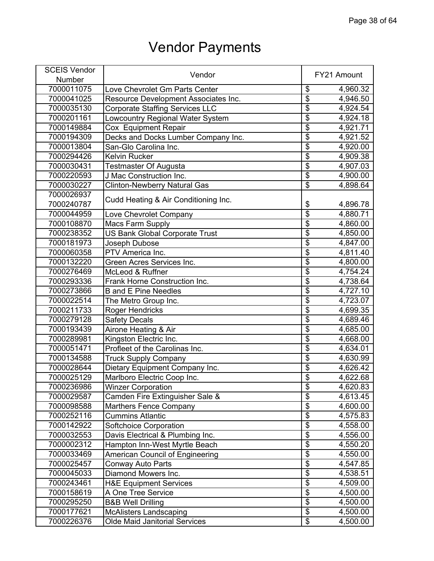| <b>SCEIS Vendor</b> | Vendor                                 |                                  | FY21 Amount           |
|---------------------|----------------------------------------|----------------------------------|-----------------------|
| Number              |                                        |                                  |                       |
| 7000011075          | Love Chevrolet Gm Parts Center         | \$                               | 4,960.32              |
| 7000041025          | Resource Development Associates Inc.   | $\overline{\$}$                  | 4,946.50              |
| 7000035130          | <b>Corporate Staffing Services LLC</b> | $\overline{\$}$                  | 4,924.54              |
| 7000201161          | Lowcountry Regional Water System       | $\overline{\$}$                  | 4,924.18              |
| 7000149884          | Cox Equipment Repair                   | $\overline{\$}$                  | 4,921.71              |
| 7000194309          | Decks and Docks Lumber Company Inc.    | $\overline{\$}$                  | 4,921.52              |
| 7000013804          | San-Glo Carolina Inc.                  | $\overline{\$}$                  | 4,920.00              |
| 7000294426          | <b>Kelvin Rucker</b>                   | $\overline{\$}$                  | 4,909.38              |
| 7000030431          | <b>Testmaster Of Augusta</b>           | $\overline{\$}$                  | 4,907.03              |
| 7000220593          | J Mac Construction Inc.                | $\overline{\$}$                  | 4,900.00              |
| 7000030227          | <b>Clinton-Newberry Natural Gas</b>    | $\overline{\$}$                  | 4,898.64              |
| 7000026937          |                                        |                                  |                       |
| 7000240787          | Cudd Heating & Air Conditioning Inc.   | \$                               | 4,896.78              |
| 7000044959          | Love Chevrolet Company                 | \$                               | 4,880.71              |
| 7000108870          | <b>Macs Farm Supply</b>                | $\overline{\mathbb{S}}$          | 4,860.00              |
| 7000238352          | <b>US Bank Global Corporate Trust</b>  | $\overline{\$}$                  | 4,850.00              |
| 7000181973          | Joseph Dubose                          | $\overline{\$}$                  | 4,847.00              |
| 7000060358          | PTV America Inc.                       | $\overline{\$}$                  | 4,811.40              |
| 7000132220          | Green Acres Services Inc.              | $\overline{\$}$                  | 4,800.00              |
| 7000276469          | McLeod & Ruffner                       | $\overline{\$}$                  | 4,754.24              |
| 7000293336          | Frank Horne Construction Inc.          | $\overline{\$}$                  | 4,738.64              |
| 7000273866          | <b>B</b> and E Pine Needles            | $\overline{\$}$                  | 4,727.10              |
| 7000022514          | The Metro Group Inc.                   | $\overline{\$}$                  | 4,723.07              |
| 7000211733          | <b>Roger Hendricks</b>                 | $\overline{\$}$                  | $\overline{4,699.35}$ |
| 7000279128          | <b>Safety Decals</b>                   | $\overline{\$}$                  | 4,689.46              |
| 7000193439          | Airone Heating & Air                   | $\overline{\mathcal{S}}$         | 4,685.00              |
| 7000289981          | Kingston Electric Inc.                 | $\overline{\$}$                  | 4,668.00              |
| 7000051471          | Profleet of the Carolinas Inc.         | $\overline{\$}$                  | 4,634.01              |
| 7000134588          | <b>Truck Supply Company</b>            | $\overline{\$}$                  | 4,630.99              |
| 7000028644          | Dietary Equipment Company Inc.         | $\overline{\boldsymbol{\theta}}$ | 4,626.42              |
| 7000025129          | Marlboro Electric Coop Inc.            | $\overline{\mathbf{S}}$          | 4,622.68              |
| 7000236986          | <b>Winzer Corporation</b>              | \$                               | 4,620.83              |
| 7000029587          | Camden Fire Extinguisher Sale &        | $\overline{\$}$                  | 4,613.45              |
| 7000098588          | <b>Marthers Fence Company</b>          | $\overline{\$}$                  | 4,600.00              |
| 7000252116          | <b>Cummins Atlantic</b>                | $\overline{\$}$                  | 4,575.83              |
| 7000142922          | Softchoice Corporation                 | $\overline{\$}$                  | 4,558.00              |
| 7000032553          | Davis Electrical & Plumbing Inc.       | $\overline{\$}$                  | 4,556.00              |
| 7000002312          | Hampton Inn-West Myrtle Beach          | $\overline{\mathbf{S}}$          | 4,550.20              |
| 7000033469          | American Council of Engineering        | $\overline{\$}$                  | 4,550.00              |
| 7000025457          | <b>Conway Auto Parts</b>               | $\overline{\$}$                  | 4,547.85              |
| 7000045033          | Diamond Mowers Inc.                    | $\overline{\$}$                  | 4,538.51              |
| 7000243461          | <b>H&amp;E Equipment Services</b>      | $\overline{\boldsymbol{\theta}}$ | 4,509.00              |
| 7000158619          | A One Tree Service                     | $\overline{\$}$                  | 4,500.00              |
| 7000295250          | <b>B&amp;B Well Drilling</b>           | $\overline{\$}$                  | 4,500.00              |
| 7000177621          | <b>McAlisters Landscaping</b>          | $\overline{\mathcal{L}}$         | 4,500.00              |
| 7000226376          | <b>Olde Maid Janitorial Services</b>   | $\overline{\mathbf{e}}$          | 4,500.00              |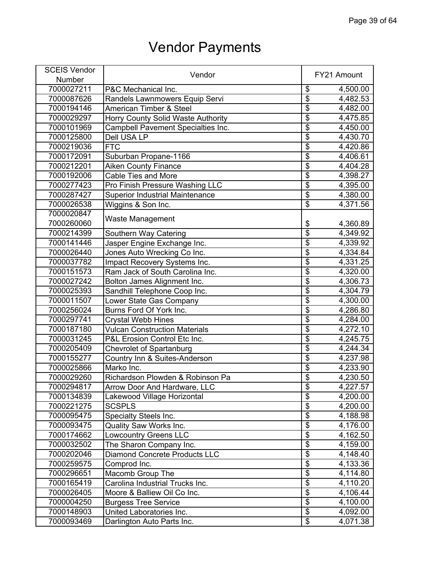| <b>SCEIS Vendor</b> | Vendor                                 |                                      | FY21 Amount             |
|---------------------|----------------------------------------|--------------------------------------|-------------------------|
| Number              |                                        |                                      |                         |
| 7000027211          | P&C Mechanical Inc.                    | \$                                   | 4,500.00                |
| 7000087626          | Randels Lawnmowers Equip Servi         | $\overline{\mathbb{S}}$              | 4,482.53                |
| 7000194146          | American Timber & Steel                | $\overline{\$}$                      | 4,482.00                |
| 7000029297          | Horry County Solid Waste Authority     | $\overline{\$}$                      | 4,475.85                |
| 7000101969          | Campbell Pavement Specialties Inc.     | $\overline{\$}$                      | 4,450.00                |
| 7000125800          | <b>Dell USA LP</b>                     | $\overline{\$}$                      | 4,430.70                |
| 7000219036          | <b>FTC</b>                             | $\overline{\$}$                      | 4,420.86                |
| 7000172091          | Suburban Propane-1166                  | $\overline{\boldsymbol{\theta}}$     | 4,406.61                |
| 7000212201          | <b>Aiken County Finance</b>            | $\overline{\$}$                      | 4,404.28                |
| 7000192006          | <b>Cable Ties and More</b>             | $\overline{\$}$                      | $\overline{4}$ , 398.27 |
| 7000277423          | Pro Finish Pressure Washing LLC        | $\overline{\$}$                      | 4,395.00                |
| 7000287427          | <b>Superior Industrial Maintenance</b> | $\overline{\mathbf{S}}$              | 4,380.00                |
| 7000026538          | Wiggins & Son Inc.                     | $\overline{\mathbf{S}}$              | 4,371.56                |
| 7000020847          |                                        |                                      |                         |
| 7000260060          | <b>Waste Management</b>                | \$                                   | 4,360.89                |
| 7000214399          | Southern Way Catering                  | $\overline{\$}$                      | 4,349.92                |
| 7000141446          | Jasper Engine Exchange Inc.            | $\overline{\boldsymbol{\mathsf{S}}}$ | 4,339.92                |
| 7000026440          | Jones Auto Wrecking Co Inc.            | $\overline{\$}$                      | 4,334.84                |
| 7000037782          |                                        | $\overline{\mathbf{S}}$              |                         |
| 7000151573          | Impact Recovery Systems Inc.           | $\overline{\$}$                      | 4,331.25                |
| 7000027242          | Ram Jack of South Carolina Inc.        | $\overline{\$}$                      | 4,320.00                |
|                     | Bolton James Alignment Inc.            | $\overline{\$}$                      | 4,306.73                |
| 7000025393          | Sandhill Telephone Coop Inc.           |                                      | 4,304.79                |
| 7000011507          | Lower State Gas Company                | $\overline{\$}$                      | 4,300.00                |
| 7000256024          | Burns Ford Of York Inc.                | $\overline{\$}$                      | 4,286.80                |
| 7000297741          | <b>Crystal Webb Hines</b>              | $\overline{\$}$                      | 4,284.00                |
| 7000187180          | <b>Vulcan Construction Materials</b>   | $\overline{\$}$                      | 4,272.10                |
| 7000031245          | P&L Erosion Control Etc Inc.           | $\overline{\boldsymbol{\theta}}$     | 4,245.75                |
| 7000205409          | <b>Chevrolet of Spartanburg</b>        | $\overline{\$}$                      | 4,244.34                |
| 7000155277          | Country Inn & Suites-Anderson          | $\overline{\$}$                      | 4,237.98                |
| 7000025866          | Marko Inc.                             | $\overline{\$}$                      | 4,233.90                |
| 7000029260          | Richardson Plowden & Robinson Pa       | $\overline{\mathbf{S}}$              | 4,230.50                |
| 7000294817          | Arrow Door And Hardware, LLC           | $\overline{\mathcal{G}}$             | 4,227.57                |
| 7000134839          | Lakewood Village Horizontal            | $\overline{\$}$                      | 4,200.00                |
| 7000221275          | <b>SCSPLS</b>                          | $\overline{\$}$                      | 4,200.00                |
| 7000095475          | Specialty Steels Inc.                  | $\overline{\$}$                      | 4,188.98                |
| 7000093475          | Quality Saw Works Inc.                 | $\overline{\$}$                      | 4,176.00                |
| 7000174662          | <b>Lowcountry Greens LLC</b>           | $\overline{\$}$                      | 4,162.50                |
| 7000032502          | The Sharon Company Inc.                | $\overline{\mathbf{S}}$              | 4,159.00                |
| 7000202046          | <b>Diamond Concrete Products LLC</b>   | $\overline{\$}$                      | 4,148.40                |
| 7000259575          | Comprod Inc.                           | $\overline{\$}$                      | 4,133.36                |
| 7000296651          | Macomb Group The                       | $\overline{\$}$                      | 4,114.80                |
| 7000165419          | Carolina Industrial Trucks Inc.        | $\overline{\boldsymbol{\theta}}$     | 4,110.20                |
| 7000026405          | Moore & Balliew Oil Co Inc.            | $\overline{\$}$                      | 4,106.44                |
| 7000004250          | <b>Burgess Tree Service</b>            | $\overline{\boldsymbol{\mathsf{S}}}$ | 4,100.00                |
| 7000148903          | United Laboratories Inc.               | $\overline{\mathcal{L}}$             | 4,092.00                |
| 7000093469          | Darlington Auto Parts Inc.             | $\overline{\$}$                      | 4,071.38                |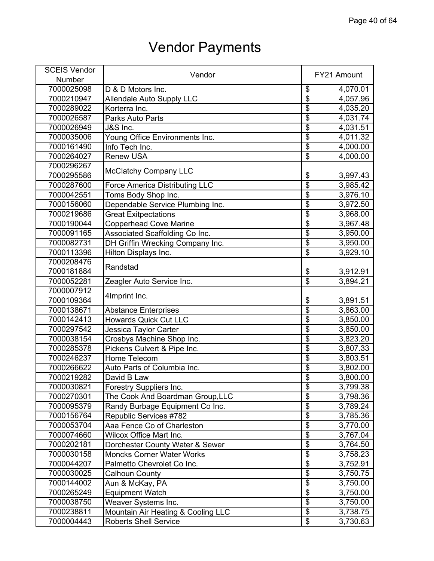| <b>SCEIS Vendor</b> | Vendor                                                      |                         | FY21 Amount          |
|---------------------|-------------------------------------------------------------|-------------------------|----------------------|
| Number              |                                                             |                         |                      |
| 7000025098          | D & D Motors Inc.                                           | \$                      | 4,070.01             |
| 7000210947          | <b>Allendale Auto Supply LLC</b>                            | \$                      | 4,057.96             |
| 7000289022          | Korterra Inc.                                               | \$                      | 4,035.20             |
| 7000026587          | <b>Parks Auto Parts</b>                                     | \$                      | 4,031.74             |
| 7000026949          | J&S Inc.                                                    | $\overline{\$}$         | 4,031.51             |
| 7000035006          | Young Office Environments Inc.                              | $\overline{\$}$         | 4,011.32             |
| 7000161490          | Info Tech Inc.                                              | $\overline{\$}$         | 4,000.00             |
| 7000264027          | <b>Renew USA</b>                                            | $\overline{\$}$         | 4,000.00             |
| 7000296267          |                                                             |                         |                      |
| 7000295586          | <b>McClatchy Company LLC</b>                                | \$                      | 3,997.43             |
| 7000287600          | <b>Force America Distributing LLC</b>                       | \$                      | 3,985.42             |
| 7000042551          | Toms Body Shop Inc.                                         | $\overline{\mathbf{S}}$ | 3,976.10             |
| 7000156060          | Dependable Service Plumbing Inc.                            | $\overline{\mathbf{S}}$ | 3,972.50             |
| 7000219686          | <b>Great Exitpectations</b>                                 | $\overline{\$}$         | 3,968.00             |
| 7000190044          | <b>Copperhead Cove Marine</b>                               | $\overline{\$}$         | 3,967.48             |
| 7000091165          | Associated Scaffolding Co Inc.                              | $\overline{\$}$         | 3,950.00             |
| 7000082731          | DH Griffin Wrecking Company Inc.                            | $\overline{\$}$         | 3,950.00             |
| 7000113396          | Hilton Displays Inc.                                        | $\overline{\$}$         | 3,929.10             |
| 7000208476          |                                                             |                         |                      |
| 7000181884          | Randstad                                                    |                         |                      |
| 7000052281          |                                                             | \$<br>$\overline{\$}$   | 3,912.91<br>3,894.21 |
| 7000007912          | Zeagler Auto Service Inc.                                   |                         |                      |
| 7000109364          | 4Imprint Inc.                                               |                         |                      |
| 7000138671          |                                                             | \$<br>$\overline{\$}$   | 3,891.51             |
|                     | <b>Abstance Enterprises</b><br><b>Howards Quick Cut LLC</b> | \$                      | 3,863.00             |
| 7000142413          |                                                             | $\overline{\$}$         | 3,850.00             |
| 7000297542          | Jessica Taylor Carter                                       |                         | 3,850.00             |
| 7000038154          | Crosbys Machine Shop Inc.                                   | \$                      | 3,823.20             |
| 7000285378          | Pickens Culvert & Pipe Inc.                                 | $\overline{\$}$         | 3,807.33             |
| 7000246237          | Home Telecom                                                | $\overline{\$}$         | 3,803.51             |
| 7000266622          | Auto Parts of Columbia Inc.                                 | $\overline{\$}$         | 3,802.00             |
| 7000219282          | David B Law                                                 | $\overline{\$}$         | 3,800.00             |
| 7000030821          | Forestry Suppliers Inc.                                     | \$                      | 3,799.38             |
| 7000270301          | The Cook And Boardman Group, LLC                            | $\overline{\$}$         | 3,798.36             |
| 7000095379          | Randy Burbage Equipment Co Inc.                             | $\overline{\$}$         | 3,789.24             |
| 7000156764          | Republic Services #782                                      | $\overline{\$}$         | 3,785.36             |
| 7000053704          | Aaa Fence Co of Charleston                                  | $\overline{\$}$         | 3,770.00             |
| 7000074660          | Wilcox Office Mart Inc.                                     | $\overline{\$}$         | 3,767.04             |
| 7000202181          | Dorchester County Water & Sewer                             | \$                      | 3,764.50             |
| 7000030158          | <b>Moncks Corner Water Works</b>                            | $\overline{\$}$         | 3,758.23             |
| 7000044207          | Palmetto Chevrolet Co Inc.                                  | $\overline{\$}$         | 3,752.91             |
| 7000030025          | Calhoun County                                              | $\overline{\$}$         | 3,750.75             |
| 7000144002          | Aun & McKay, PA                                             | $\overline{\mathbf{S}}$ | 3,750.00             |
| 7000265249          | <b>Equipment Watch</b>                                      | $\overline{\mathbf{S}}$ | 3,750.00             |
| 7000038750          | Weaver Systems Inc.                                         | \$                      | 3,750.00             |
| 7000238811          | Mountain Air Heating & Cooling LLC                          | $\overline{\$}$         | 3,738.75             |
| 7000004443          | <b>Roberts Shell Service</b>                                | $\overline{\$}$         | 3,730.63             |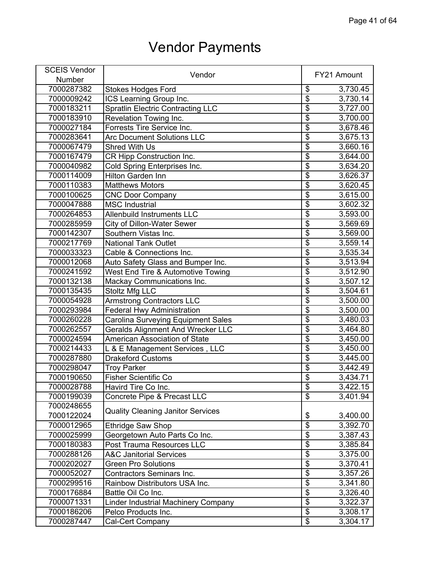| <b>SCEIS Vendor</b> | Vendor                                     |                                  | FY21 Amount |
|---------------------|--------------------------------------------|----------------------------------|-------------|
| Number              |                                            |                                  |             |
| 7000287382          | <b>Stokes Hodges Ford</b>                  | \$                               | 3,730.45    |
| 7000009242          | ICS Learning Group Inc.                    | \$                               | 3,730.14    |
| 7000183211          | <b>Spratlin Electric Contracting LLC</b>   | $\overline{\$}$                  | 3,727.00    |
| 7000183910          | Revelation Towing Inc.                     | $\overline{\$}$                  | 3,700.00    |
| 7000027184          | Forrests Tire Service Inc.                 | $\overline{\$}$                  | 3,678.46    |
| 7000283641          | <b>Arc Document Solutions LLC</b>          | $\overline{\mathbf{S}}$          | 3,675.13    |
| 7000067479          | <b>Shred With Us</b>                       | $\overline{\$}$                  | 3,660.16    |
| 7000167479          | CR Hipp Construction Inc.                  | $\overline{\boldsymbol{\theta}}$ | 3,644.00    |
| 7000040982          | Cold Spring Enterprises Inc.               | $\overline{\$}$                  | 3,634.20    |
| 7000114009          | Hilton Garden Inn                          | $\overline{\$}$                  | 3,626.37    |
| 7000110383          | <b>Matthews Motors</b>                     | $\overline{\$}$                  | 3,620.45    |
| 7000100625          | <b>CNC Door Company</b>                    | $\overline{\mathbf{S}}$          | 3,615.00    |
| 7000047888          | <b>MSC</b> Industrial                      | $\overline{\mathbf{S}}$          | 3,602.32    |
| 7000264853          | <b>Allenbuild Instruments LLC</b>          | $\overline{\$}$                  | 3,593.00    |
| 7000285959          | <b>City of Dillon-Water Sewer</b>          | $\overline{\$}$                  | 3,569.69    |
| 7000142307          | Southern Vistas Inc.                       | $\overline{\$}$                  | 3,569.00    |
| 7000217769          | <b>National Tank Outlet</b>                | \$                               | 3,559.14    |
| 7000033323          | Cable & Connections Inc.                   | $\overline{\$}$                  | 3,535.34    |
| 7000012068          | Auto Safety Glass and Bumper Inc.          | $\overline{\mathfrak{s}}$        | 3,513.94    |
| 7000241592          | West End Tire & Automotive Towing          | $\overline{\$}$                  | 3,512.90    |
| 7000132138          | Mackay Communications Inc.                 | $\overline{\$}$                  | 3,507.12    |
| 7000135435          | Stoltz Mfg LLC                             | $\overline{\$}$                  | 3,504.61    |
| 7000054928          | <b>Armstrong Contractors LLC</b>           | $\overline{\$}$                  | 3,500.00    |
| 7000293984          | <b>Federal Hwy Administration</b>          | $\overline{\$}$                  | 3,500.00    |
| 7000260228          | <b>Carolina Surveying Equipment Sales</b>  | $\overline{\$}$                  | 3,480.03    |
| 7000262557          | <b>Geralds Alignment And Wrecker LLC</b>   | $\overline{\$}$                  | 3,464.80    |
| 7000024594          | American Association of State              | $\overline{\mathcal{S}}$         | 3,450.00    |
| 7000214433          | L & E Management Services, LLC             | $\overline{\$}$                  | 3,450.00    |
| 7000287880          | <b>Drakeford Customs</b>                   | $\overline{\$}$                  | 3,445.00    |
| 7000298047          | <b>Troy Parker</b>                         | $\overline{\$}$                  | 3,442.49    |
| 7000190650          | <b>Fisher Scientific Co</b>                | $\overline{\mathfrak{s}}$        | 3,434.71    |
| 7000028788          | Havird Tire Co Inc.                        | \$                               | 3,422.15    |
| 7000199039          | Concrete Pipe & Precast LLC                | $\overline{\mathcal{S}}$         | 3,401.94    |
| 7000248655          |                                            |                                  |             |
| 7000122024          | <b>Quality Cleaning Janitor Services</b>   | \$                               | 3,400.00    |
| 7000012965          | <b>Ethridge Saw Shop</b>                   | $\overline{\$}$                  | 3,392.70    |
| 7000025999          | Georgetown Auto Parts Co Inc.              | $\overline{\mathbf{S}}$          | 3,387.43    |
| 7000180383          | Post Trauma Resources LLC                  | \$                               | 3,385.84    |
| 7000288126          | <b>A&amp;C Janitorial Services</b>         | $\overline{\$}$                  | 3,375.00    |
| 7000202027          | <b>Green Pro Solutions</b>                 | $\overline{\mathcal{E}}$         | 3,370.41    |
| 7000052027          | <b>Contractors Seminars Inc.</b>           | $\overline{\$}$                  | 3,357.26    |
| 7000299516          | Rainbow Distributors USA Inc.              | \$                               | 3,341.80    |
| 7000176884          | Battle Oil Co Inc.                         | $\overline{\$}$                  | 3,326.40    |
| 7000071331          | <b>Linder Industrial Machinery Company</b> | \$                               | 3,322.37    |
| 7000186206          | Pelco Products Inc.                        | $\overline{\$}$                  | 3,308.17    |
| 7000287447          | Cal-Cert Company                           | $\overline{\$}$                  | 3,304.17    |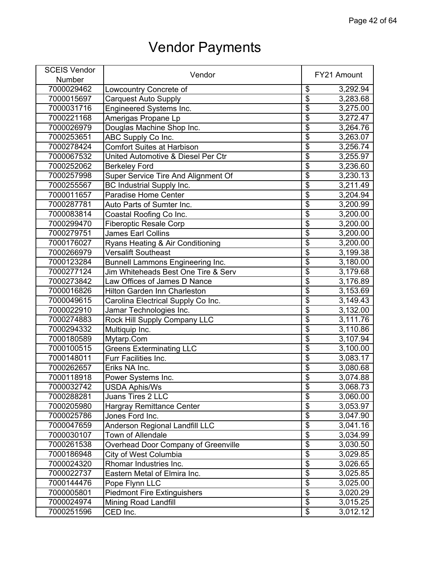| <b>SCEIS Vendor</b> |                                       |                                      |             |
|---------------------|---------------------------------------|--------------------------------------|-------------|
| Number              | Vendor                                |                                      | FY21 Amount |
| 7000029462          | Lowcountry Concrete of                | \$                                   | 3,292.94    |
| 7000015697          | <b>Carquest Auto Supply</b>           | $\overline{\boldsymbol{\theta}}$     | 3,283.68    |
| 7000031716          | Engineered Systems Inc.               | $\overline{\mathbf{e}}$              | 3,275.00    |
| 7000221168          | Amerigas Propane Lp                   | $\overline{\mathbf{S}}$              | 3,272.47    |
| 7000026979          | Douglas Machine Shop Inc.             | $\overline{\$}$                      | 3,264.76    |
| 7000253651          | ABC Supply Co Inc.                    | $\overline{\mathfrak{s}}$            | 3,263.07    |
| 7000278424          | <b>Comfort Suites at Harbison</b>     | $\overline{\mathbf{S}}$              | 3,256.74    |
| 7000067532          | United Automotive & Diesel Per Ctr    | $\overline{\mathfrak{s}}$            | 3,255.97    |
| 7000252062          | <b>Berkeley Ford</b>                  | $\overline{\boldsymbol{\mathsf{S}}}$ | 3,236.60    |
| 7000257998          | Super Service Tire And Alignment Of   | $\overline{\$}$                      | 3,230.13    |
| 7000255567          | <b>BC Industrial Supply Inc.</b>      | $\overline{\mathfrak{s}}$            | 3,211.49    |
| 7000011657          | Paradise Home Center                  | \$                                   | 3,204.94    |
| 7000287781          | Auto Parts of Sumter Inc.             | \$                                   | 3,200.99    |
| 7000083814          | Coastal Roofing Co Inc.               | $\overline{\$}$                      | 3,200.00    |
| 7000299470          | <b>Fiberoptic Resale Corp</b>         | $\overline{\mathfrak{s}}$            | 3,200.00    |
| 7000279751          | <b>James Earl Collins</b>             | $\overline{\$}$                      | 3,200.00    |
| 7000176027          | Ryans Heating & Air Conditioning      | $\overline{\boldsymbol{\theta}}$     | 3,200.00    |
| 7000266979          | <b>Versalift Southeast</b>            | $\overline{\$}$                      | 3,199.38    |
| 7000123284          | Bunnell Lammons Engineering Inc.      | \$                                   | 3,180.00    |
| 7000277124          | Jim Whiteheads Best One Tire & Serv   | $\overline{\$}$                      | 3,179.68    |
| 7000273842          | Law Offices of James D Nance          | $\overline{\$}$                      | 3,176.89    |
| 7000016826          | <b>Hilton Garden Inn Charleston</b>   | $\overline{\$}$                      | 3,153.69    |
| 7000049615          | Carolina Electrical Supply Co Inc.    | $\overline{\mathbf{S}}$              | 3,149.43    |
| 7000022910          | Jamar Technologies Inc.               | $\overline{\$}$                      | 3,132.00    |
| 7000274883          | Rock Hill Supply Company LLC          | $\overline{\mathbf{S}}$              | 3,111.76    |
| 7000294332          | Multiquip Inc.                        | $\overline{\$}$                      | 3,110.86    |
| 7000180589          | Mytarp.Com                            | $\overline{\mathbf{S}}$              | 3,107.94    |
| 7000100515          | <b>Greens Exterminating LLC</b>       | $\overline{\mathbf{S}}$              | 3,100.00    |
| 7000148011          | Furr Facilities Inc.                  | $\overline{\mathbf{e}}$              | 3,083.17    |
| 7000262657          | Eriks NA Inc.                         | $\overline{\mathbf{e}}$              | 3,080.68    |
| 7000118918          | Power Systems Inc.                    | $\overline{\mathfrak{s}}$            | 3,074.88    |
| 7000032742          | <b>USDA Aphis/Ws</b>                  | \$                                   | 3,068.73    |
| 7000288281          | Juans Tires 2 LLC                     | $\overline{\$}$                      | 3,060.00    |
| 7000205980          | <b>Hargray Remittance Center</b>      | $\overline{\mathbf{S}}$              | 3,053.97    |
| 7000025786          | Jones Ford Inc.                       | $\overline{\mathbf{S}}$              | 3,047.90    |
| 7000047659          | <b>Anderson Regional Landfill LLC</b> | \$                                   | 3,041.16    |
| 7000030107          | <b>Town of Allendale</b>              | $\overline{\mathbf{S}}$              | 3,034.99    |
| 7000261538          | Overhead Door Company of Greenville   | \$                                   | 3,030.50    |
| 7000186948          | City of West Columbia                 | $\overline{\$}$                      | 3,029.85    |
| 7000024320          | Rhomar Industries Inc.                | $\overline{\$}$                      | 3,026.65    |
| 7000022737          | Eastern Metal of Elmira Inc.          | $\overline{\$}$                      | 3,025.85    |
| 7000144476          | Pope Flynn LLC                        | $\overline{\mathbf{e}}$              | 3,025.00    |
| 7000005801          | <b>Piedmont Fire Extinguishers</b>    | $\overline{\$}$                      | 3,020.29    |
| 7000024974          | <b>Mining Road Landfill</b>           | \$                                   | 3,015.25    |
| 7000251596          | CED Inc.                              | $\overline{\$}$                      | 3,012.12    |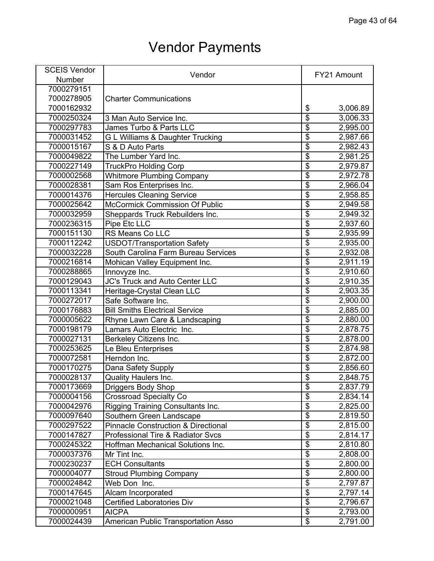| <b>SCEIS Vendor</b> | Vendor                                         |                          | FY21 Amount |
|---------------------|------------------------------------------------|--------------------------|-------------|
| Number              |                                                |                          |             |
| 7000279151          |                                                |                          |             |
| 7000278905          | <b>Charter Communications</b>                  |                          |             |
| 7000162932          |                                                | \$                       | 3,006.89    |
| 7000250324          | 3 Man Auto Service Inc.                        | $\overline{\$}$          | 3,006.33    |
| 7000297783          | James Turbo & Parts LLC                        | \$                       | 2,995.00    |
| 7000031452          | G L Williams & Daughter Trucking               | \$                       | 2,987.66    |
| 7000015167          | S & D Auto Parts                               | $\overline{\$}$          | 2,982.43    |
| 7000049822          | The Lumber Yard Inc.                           | \$                       | 2,981.25    |
| 7000227149          | <b>TruckPro Holding Corp</b>                   | \$                       | 2,979.87    |
| 7000002568          | <b>Whitmore Plumbing Company</b>               | \$                       | 2,972.78    |
| 7000028381          | Sam Ros Enterprises Inc.                       | \$                       | 2,966.04    |
| 7000014376          | <b>Hercules Cleaning Service</b>               | \$                       | 2,958.85    |
| 7000025642          | McCormick Commission Of Public                 | \$                       | 2,949.58    |
| 7000032959          | Sheppards Truck Rebuilders Inc.                | \$                       | 2,949.32    |
| 7000236315          | Pipe Etc LLC                                   | \$                       | 2,937.60    |
| 7000151130          | RS Means Co LLC                                | $\overline{\$}$          | 2,935.99    |
| 7000112242          | <b>USDOT/Transportation Safety</b>             | $\overline{\$}$          | 2,935.00    |
| 7000032228          | South Carolina Farm Bureau Services            | \$                       | 2,932.08    |
| 7000216814          | Mohican Valley Equipment Inc.                  | $\overline{\$}$          | 2,911.19    |
| 7000288865          | Innovyze Inc.                                  | \$                       | 2,910.60    |
| 7000129043          | JC's Truck and Auto Center LLC                 | $\overline{\$}$          | 2,910.35    |
| 7000113341          | Heritage-Crystal Clean LLC                     | \$                       | 2,903.35    |
| 7000272017          | Safe Software Inc.                             | $\overline{\$}$          | 2,900.00    |
| 7000176883          | <b>Bill Smiths Electrical Service</b>          | \$                       | 2,885.00    |
| 7000005622          | Rhyne Lawn Care & Landscaping                  | \$                       | 2,880.00    |
| 7000198179          | Lamars Auto Electric Inc.                      | \$                       | 2,878.75    |
| 7000027131          | Berkeley Citizens Inc.                         | $\overline{\$}$          | 2,878.00    |
| 7000253625          | Le Bleu Enterprises                            | \$                       | 2,874.98    |
| 7000072581          | Herndon Inc.                                   | $\overline{\$}$          | 2,872.00    |
| 7000170275          | Dana Safety Supply                             | $\overline{\$}$          | 2,856.60    |
| 7000028137          | <b>Quality Haulers Inc.</b>                    | $\overline{\$}$          | 2,848.75    |
| 7000173669          | <b>Driggers Body Shop</b>                      | \$                       | 2,837.79    |
| 7000004156          | <b>Crossroad Specialty Co</b>                  | \$                       | 2,834.14    |
| 7000042976          | Rigging Training Consultants Inc.              | $\overline{\$}$          | 2,825.00    |
| 7000097640          | Southern Green Landscape                       | $\overline{\$}$          | 2,819.50    |
| 7000297522          | <b>Pinnacle Construction &amp; Directional</b> | $\overline{\$}$          | 2,815.00    |
| 7000147827          | <b>Professional Tire &amp; Radiator Svcs</b>   | \$                       | 2,814.17    |
| 7000245322          | Hoffman Mechanical Solutions Inc.              | $\overline{\$}$          | 2,810.80    |
| 7000037376          | Mr Tint Inc.                                   | $\overline{\$}$          | 2,808.00    |
| 7000230237          | <b>ECH Consultants</b>                         | $\overline{\$}$          | 2,800.00    |
| 7000004077          | <b>Stroud Plumbing Company</b>                 | $\overline{\$}$          | 2,800.00    |
| 7000024842          | Web Don Inc.                                   | $\overline{\$}$          | 2,797.87    |
| 7000147645          | Alcam Incorporated                             | $\overline{\$}$          | 2,797.14    |
| 7000021048          | <b>Certified Laboratories Div</b>              | $\overline{\$}$          | 2,796.67    |
| 7000000951          | <b>AICPA</b>                                   | $\overline{\mathcal{G}}$ | 2,793.00    |
| 7000024439          | American Public Transportation Asso            | \$                       | 2,791.00    |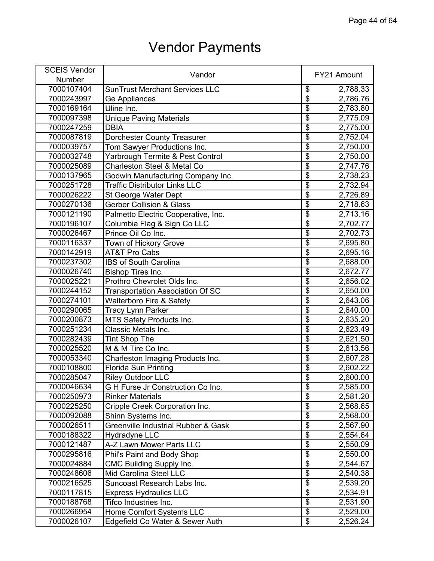| <b>SCEIS Vendor</b> | Vendor                                |                                      | FY21 Amount |
|---------------------|---------------------------------------|--------------------------------------|-------------|
| Number              |                                       |                                      |             |
| 7000107404          | <b>SunTrust Merchant Services LLC</b> | \$                                   | 2,788.33    |
| 7000243997          | Ge Appliances                         | $\overline{\$}$                      | 2,786.76    |
| 7000169164          | Uline Inc.                            | $\overline{\boldsymbol{\theta}}$     | 2,783.80    |
| 7000097398          | <b>Unique Paving Materials</b>        | $\overline{\$}$                      | 2,775.09    |
| 7000247259          | <b>DBIA</b>                           | $\overline{\$}$                      | 2,775.00    |
| 7000087819          | <b>Dorchester County Treasurer</b>    | $\overline{\$}$                      | 2,752.04    |
| 7000039757          | Tom Sawyer Productions Inc.           | $\overline{\$}$                      | 2,750.00    |
| 7000032748          | Yarbrough Termite & Pest Control      | $\overline{\$}$                      | 2,750.00    |
| 7000025089          | Charleston Steel & Metal Co           | $\overline{\$}$                      | 2,747.76    |
| 7000137965          | Godwin Manufacturing Company Inc.     | $\overline{\$}$                      | 2,738.23    |
| 7000251728          | <b>Traffic Distributor Links LLC</b>  | $\overline{\$}$                      | 2,732.94    |
| 7000026222          | St George Water Dept                  | $\overline{\mathbf{S}}$              | 2,726.89    |
| 7000270136          | <b>Gerber Collision &amp; Glass</b>   | $\overline{\mathbf{S}}$              | 2,718.63    |
| 7000121190          | Palmetto Electric Cooperative, Inc.   | $\overline{\$}$                      | 2,713.16    |
| 7000196107          | Columbia Flag & Sign Co LLC           | $\overline{\$}$                      | 2,702.77    |
| 7000026467          | Prince Oil Co Inc.                    | $\overline{\$}$                      | 2,702.73    |
| 7000116337          | Town of Hickory Grove                 | $\overline{\$}$                      | 2,695.80    |
| 7000142919          | <b>AT&amp;T Pro Cabs</b>              | $\overline{\boldsymbol{\theta}}$     | 2,695.16    |
| 7000237302          | IBS of South Carolina                 | $\overline{\$}$                      | 2,688.00    |
| 7000026740          | Bishop Tires Inc.                     | $\overline{\$}$                      | 2,672.77    |
| 7000025221          | Prothro Chevrolet Olds Inc.           | $\overline{\$}$                      | 2,656.02    |
| 7000244152          | Transportation Association Of SC      | $\overline{\$}$                      | 2,650.00    |
| 7000274101          | <b>Walterboro Fire &amp; Safety</b>   | $\overline{\$}$                      | 2,643.06    |
| 7000290065          | Tracy Lynn Parker                     | $\overline{\boldsymbol{\mathsf{S}}}$ | 2,640.00    |
| 7000200873          | MTS Safety Products Inc.              | $\overline{\$}$                      | 2,635.20    |
| 7000251234          | <b>Classic Metals Inc.</b>            | $\overline{\$}$                      | 2,623.49    |
| 7000282439          | <b>Tint Shop The</b>                  | $\overline{\$}$                      | 2,621.50    |
| 7000025520          | M & M Tire Co Inc.                    | $\overline{\boldsymbol{\theta}}$     | 2,613.56    |
| 7000053340          | Charleston Imaging Products Inc.      | $\overline{\$}$                      | 2,607.28    |
| 7000108800          | <b>Florida Sun Printing</b>           | $\overline{\$}$                      | 2,602.22    |
| 7000285047          | <b>Riley Outdoor LLC</b>              | $\overline{\$}$                      | 2,600.00    |
| 7000046634          | G H Furse Jr Construction Co Inc.     | \$                                   | 2,585.00    |
| 7000250973          | <b>Rinker Materials</b>               | $\overline{\$}$                      | 2,581.20    |
| 7000225250          | Cripple Creek Corporation Inc.        | $\overline{\$}$                      | 2,568.65    |
| 7000092088          | Shinn Systems Inc.                    | $\overline{\$}$                      | 2,568.00    |
| 7000026511          | Greenville Industrial Rubber & Gask   | $\overline{\$}$                      | 2,567.90    |
| 7000188322          | Hydradyne LLC                         | $\overline{\$}$                      | 2,554.64    |
| 7000121487          | A-Z Lawn Mower Parts LLC              | $\overline{\$}$                      | 2,550.09    |
| 7000295816          | Phil's Paint and Body Shop            | $\overline{\mathcal{S}}$             | 2,550.00    |
| 7000024884          | <b>CMC Building Supply Inc.</b>       | $\overline{\$}$                      | 2,544.67    |
| 7000248606          | Mid Carolina Steel LLC                | $\overline{\$}$                      | 2,540.38    |
| 7000216525          | Suncoast Research Labs Inc.           | $\overline{\$}$                      | 2,539.20    |
| 7000117815          | <b>Express Hydraulics LLC</b>         | $\overline{\mathbf{e}}$              | 2,534.91    |
| 7000188768          | Tifco Industries Inc.                 | \$                                   | 2,531.90    |
| 7000266954          | Home Comfort Systems LLC              | $\overline{\$}$                      | 2,529.00    |
| 7000026107          | Edgefield Co Water & Sewer Auth       | $\overline{\$}$                      | 2,526.24    |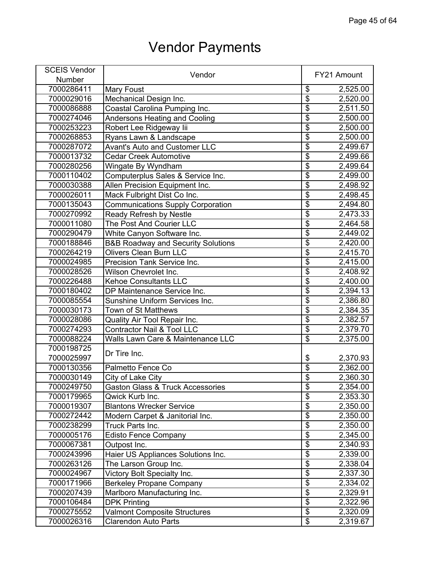| <b>SCEIS Vendor</b> | Vendor                                        |                         | FY21 Amount |
|---------------------|-----------------------------------------------|-------------------------|-------------|
| Number              |                                               |                         |             |
| 7000286411          | <b>Mary Foust</b>                             | \$                      | 2,525.00    |
| 7000029016          | Mechanical Design Inc.                        | \$                      | 2,520.00    |
| 7000086888          | Coastal Carolina Pumping Inc.                 | \$                      | 2,511.50    |
| 7000274046          | <b>Andersons Heating and Cooling</b>          | \$                      | 2,500.00    |
| 7000253223          | Robert Lee Ridgeway lii                       | $\overline{\$}$         | 2,500.00    |
| 7000268853          | Ryans Lawn & Landscape                        | $\overline{\$}$         | 2,500.00    |
| 7000287072          | <b>Avant's Auto and Customer LLC</b>          | $\overline{\$}$         | 2,499.67    |
| 7000013732          | <b>Cedar Creek Automotive</b>                 | $\overline{\$}$         | 2,499.66    |
| 7000280256          | Wingate By Wyndham                            | $\overline{\$}$         | 2,499.64    |
| 7000110402          | Computerplus Sales & Service Inc.             | $\overline{\$}$         | 2,499.00    |
| 7000030388          | Allen Precision Equipment Inc.                | $\overline{\$}$         | 2,498.92    |
| 7000026011          | Mack Fulbright Dist Co Inc.                   | $\overline{\mathbf{S}}$ | 2,498.45    |
| 7000135043          | <b>Communications Supply Corporation</b>      | $\overline{\mathbf{S}}$ | 2,494.80    |
| 7000270992          | Ready Refresh by Nestle                       | $\overline{\$}$         | 2,473.33    |
| 7000011080          | The Post And Courier LLC                      | $\overline{\$}$         | 2,464.58    |
| 7000290479          | White Canyon Software Inc.                    | $\overline{\$}$         | 2,449.02    |
| 7000188846          | <b>B&amp;B Roadway and Security Solutions</b> | $\overline{\$}$         | 2,420.00    |
| 7000264219          | <b>Olivers Clean Burn LLC</b>                 | $\overline{\$}$         | 2,415.70    |
| 7000024985          | Precision Tank Service Inc.                   | \$                      | 2,415.00    |
| 7000028526          | Wilson Chevrolet Inc.                         | $\overline{\$}$         | 2,408.92    |
|                     |                                               | \$                      |             |
| 7000226488          | <b>Kehoe Consultants LLC</b>                  | \$                      | 2,400.00    |
| 7000180402          | DP Maintenance Service Inc.                   |                         | 2,394.13    |
| 7000085554          | <b>Sunshine Uniform Services Inc.</b>         | \$                      | 2,386.80    |
| 7000030173          | Town of St Matthews                           | $\overline{\$}$         | 2,384.35    |
| 7000028086          | Quality Air Tool Repair Inc.                  | $\overline{\$}$         | 2,382.57    |
| 7000274293          | <b>Contractor Nail &amp; Tool LLC</b>         | $\overline{\$}$         | 2,379.70    |
| 7000088224          | Walls Lawn Care & Maintenance LLC             | \$                      | 2,375.00    |
| 7000198725          | Dr Tire Inc.                                  |                         |             |
| 7000025997          |                                               | \$                      | 2,370.93    |
| 7000130356          | Palmetto Fence Co                             | $\overline{\$}$         | 2,362.00    |
| 7000030149          | City of Lake City                             | $\overline{\$}$         | 2,360.30    |
| 7000249750          | <b>Gaston Glass &amp; Truck Accessories</b>   | \$                      | 2,354.00    |
| 7000179965          | Qwick Kurb Inc.                               | $\overline{\$}$         | 2,353.30    |
| 7000019307          | <b>Blantons Wrecker Service</b>               | $\overline{\$}$         | 2,350.00    |
| 7000272442          | Modern Carpet & Janitorial Inc.               | $\overline{\$}$         | 2,350.00    |
| 7000238299          | Truck Parts Inc.                              | $\overline{\$}$         | 2,350.00    |
| 7000005176          | <b>Edisto Fence Company</b>                   | $\overline{\$}$         | 2,345.00    |
| 7000067381          | Outpost Inc.                                  | \$                      | 2,340.93    |
| 7000243996          | Haier US Appliances Solutions Inc.            | $\overline{\$}$         | 2,339.00    |
| 7000263126          | The Larson Group Inc.                         | $\overline{\$}$         | 2,338.04    |
| 7000024967          | Victory Bolt Specialty Inc.                   | $\overline{\$}$         | 2,337.30    |
| 7000171966          | <b>Berkeley Propane Company</b>               | $\overline{\mathbf{S}}$ | 2,334.02    |
| 7000207439          | Marlboro Manufacturing Inc.                   | $\overline{\mathbf{S}}$ | 2,329.91    |
| 7000106484          | <b>DPK Printing</b>                           | \$                      | 2,322.96    |
| 7000275552          | <b>Valmont Composite Structures</b>           | $\overline{\$}$         | 2,320.09    |
| 7000026316          | Clarendon Auto Parts                          | $\overline{\$}$         | 2,319.67    |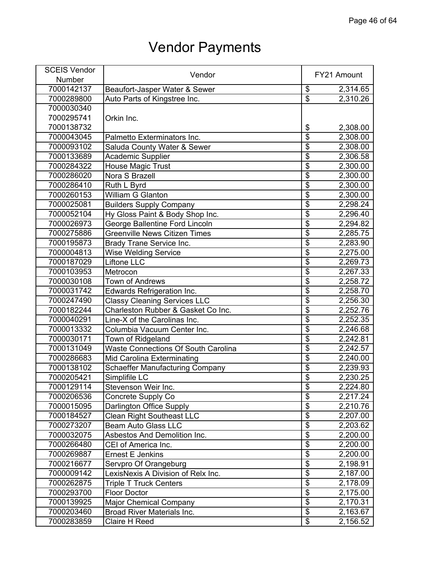| <b>SCEIS Vendor</b> | Vendor                                 |                                      | FY21 Amount |
|---------------------|----------------------------------------|--------------------------------------|-------------|
| <b>Number</b>       |                                        |                                      |             |
| 7000142137          | Beaufort-Jasper Water & Sewer          | \$                                   | 2,314.65    |
| 7000289800          | Auto Parts of Kingstree Inc.           | $\overline{\mathcal{S}}$             | 2,310.26    |
| 7000030340          |                                        |                                      |             |
| 7000295741          | Orkin Inc.                             |                                      |             |
| 7000138732          |                                        | \$                                   | 2,308.00    |
| 7000043045          | Palmetto Exterminators Inc.            | \$                                   | 2,308.00    |
| 7000093102          | Saluda County Water & Sewer            | \$                                   | 2,308.00    |
| 7000133689          | <b>Academic Supplier</b>               | \$                                   | 2,306.58    |
| 7000284322          | <b>House Magic Trust</b>               | $\overline{\$}$                      | 2,300.00    |
| 7000286020          | Nora S Brazell                         | $\overline{\$}$                      | 2,300.00    |
| 7000286410          | Ruth L Byrd                            | $\overline{\$}$                      | 2,300.00    |
| 7000260153          | William G Glanton                      | \$                                   | 2,300.00    |
| 7000025081          | <b>Builders Supply Company</b>         | $\overline{\$}$                      | 2,298.24    |
| 7000052104          | Hy Gloss Paint & Body Shop Inc.        | $\overline{\$}$                      | 2,296.40    |
| 7000026973          | George Ballentine Ford Lincoln         | $\overline{\$}$                      | 2,294.82    |
| 7000275886          | <b>Greenville News Citizen Times</b>   | $\overline{\$}$                      | 2,285.75    |
| 7000195873          | <b>Brady Trane Service Inc.</b>        | $\overline{\$}$                      | 2,283.90    |
| 7000004813          | <b>Wise Welding Service</b>            | \$                                   | 2,275.00    |
| 7000187029          | Liftone LLC                            | $\overline{\$}$                      | 2,269.73    |
| 7000103953          | Metrocon                               | \$                                   | 2,267.33    |
| 7000030108          | <b>Town of Andrews</b>                 | $\overline{\$}$                      | 2,258.72    |
| 7000031742          | Edwards Refrigeration Inc.             | \$                                   | 2,258.70    |
| 7000247490          | <b>Classy Cleaning Services LLC</b>    | $\overline{\$}$                      | 2,256.30    |
| 7000182244          | Charleston Rubber & Gasket Co Inc.     | \$                                   | 2,252.76    |
| 7000040291          | Line-X of the Carolinas Inc.           | $\overline{\$}$                      | 2,252.35    |
| 7000013332          | Columbia Vacuum Center Inc.            | $\overline{\$}$                      | 2,246.68    |
| 7000030171          | Town of Ridgeland                      | $\overline{\$}$                      | 2,242.81    |
| 7000131049          | Waste Connections Of South Carolina    | $\overline{\$}$                      | 2,242.57    |
| 7000286683          | Mid Carolina Exterminating             | $\overline{\$}$                      | 2,240.00    |
| 7000138102          | <b>Schaeffer Manufacturing Company</b> | $\overline{\$}$                      | 2,239.93    |
| 7000205421          | Simplifile LC                          | $\overline{\$}$                      | 2,230.25    |
| 7000129114          | Stevenson Weir Inc.                    | \$                                   | 2,224.80    |
| 7000206536          | Concrete Supply Co                     | $\overline{\boldsymbol{\mathsf{s}}}$ | 2,217.24    |
| 7000015095          | Darlington Office Supply               | $\overline{\$}$                      | 2,210.76    |
| 7000184527          | <b>Clean Right Southeast LLC</b>       | $\overline{\$}$                      | 2,207.00    |
| 7000273207          | <b>Beam Auto Glass LLC</b>             | $\overline{\$}$                      | 2,203.62    |
| 7000032075          | Asbestos And Demolition Inc.           | $\overline{\mathbf{S}}$              | 2,200.00    |
| 7000266480          | CEI of America Inc.                    | $\overline{\$}$                      | 2,200.00    |
| 7000269887          | <b>Ernest E Jenkins</b>                | $\overline{\mathbf{S}}$              | 2,200.00    |
| 7000216677          | Servpro Of Orangeburg                  | $\overline{\$}$                      | 2,198.91    |
| 7000009142          | LexisNexis A Division of Relx Inc.     | $\overline{\$}$                      | 2,187.00    |
| 7000262875          | <b>Triple T Truck Centers</b>          | $\overline{\$}$                      | 2,178.09    |
| 7000293700          | <b>Floor Doctor</b>                    | $\overline{\$}$                      |             |
|                     |                                        | $\overline{\mathbf{S}}$              | 2,175.00    |
| 7000139925          | <b>Major Chemical Company</b>          | $\overline{\$}$                      | 2,170.31    |
| 7000203460          | <b>Broad River Materials Inc.</b>      |                                      | 2,163.67    |
| 7000283859          | Claire H Reed                          | $\overline{\$}$                      | 2,156.52    |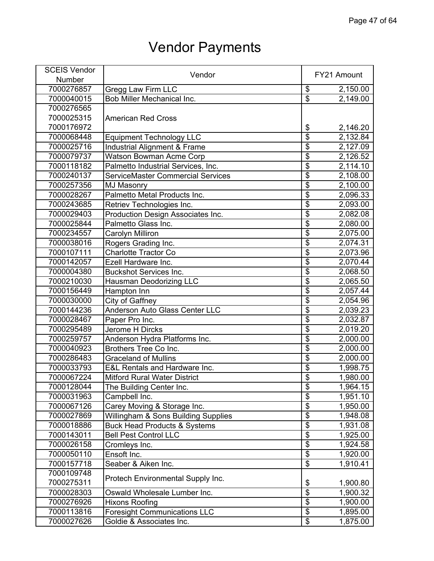| <b>SCEIS Vendor</b> | Vendor                                   |                                  | FY21 Amount           |
|---------------------|------------------------------------------|----------------------------------|-----------------------|
| Number              |                                          |                                  |                       |
| 7000276857          | Gregg Law Firm LLC                       | \$                               | 2,150.00              |
| 7000040015          | Bob Miller Mechanical Inc.               | $\overline{\$}$                  | 2,149.00              |
| 7000276565          |                                          |                                  |                       |
| 7000025315          | <b>American Red Cross</b>                |                                  |                       |
| 7000176972          |                                          | \$                               | 2,146.20              |
| 7000068448          | <b>Equipment Technology LLC</b>          | $\overline{\$}$                  | 2,132.84              |
| 7000025716          | Industrial Alignment & Frame             | $\overline{\$}$                  | 2,127.09              |
| 7000079737          | Watson Bowman Acme Corp                  | $\overline{\$}$                  | 2,126.52              |
| 7000118182          | Palmetto Industrial Services, Inc.       | $\overline{\$}$                  | 2,114.10              |
| 7000240137          | <b>ServiceMaster Commercial Services</b> | $\overline{\$}$                  | 2,108.00              |
| 7000257356          | <b>MJ Masonry</b>                        | $\overline{\$}$                  | 2,100.00              |
| 7000028267          | Palmetto Metal Products Inc.             | $\overline{\$}$                  | 2,096.33              |
| 7000243685          | Retriev Technologies Inc.                | $\overline{\$}$                  | 2,093.00              |
| 7000029403          | Production Design Associates Inc.        | $\overline{\$}$                  | 2,082.08              |
| 7000025844          | Palmetto Glass Inc.                      | $\overline{\$}$                  | 2,080.00              |
| 7000234557          | Carolyn Milliron                         | $\overline{\$}$                  | 2,075.00              |
| 7000038016          | Rogers Grading Inc.                      | $\overline{\$}$                  | 2,074.31              |
| 7000107111          | <b>Charlotte Tractor Co</b>              | \$                               | 2,073.96              |
|                     | Ezell Hardware Inc.                      | $\overline{\$}$                  |                       |
| 7000142057          |                                          | $\overline{\$}$                  | 2,070.44              |
| 7000004380          | <b>Buckshot Services Inc.</b>            | $\overline{\$}$                  | 2,068.50              |
| 7000210030          | Hausman Deodorizing LLC                  |                                  | 2,065.50              |
| 7000156449          | Hampton Inn                              | $\overline{\$}$                  | 2,057.44              |
| 7000030000          | City of Gaffney                          | $\overline{\$}$                  | 2,054.96              |
| 7000144236          | Anderson Auto Glass Center LLC           | $\overline{\$}$                  | 2,039.23              |
| 7000028467          | Paper Pro Inc.                           | $\overline{\$}$                  | 2,032.87              |
| 7000295489          | Jerome H Dircks                          | $\overline{\$}$                  | 2,019.20              |
| 7000259757          | Anderson Hydra Platforms Inc.            | $\overline{\$}$                  | 2,000.00              |
| 7000040923          | Brothers Tree Co Inc.                    | \$                               | 2,000.00              |
| 7000286483          | <b>Graceland of Mullins</b>              | $\overline{\$}$                  | 2,000.00              |
| 7000033793          | <b>E&amp;L Rentals and Hardware Inc.</b> | \$                               | 1,998.75              |
| 7000067224          | <b>Mitford Rural Water District</b>      | $\overline{\$}$                  | 1,980.00              |
| 7000128044          | The Building Center Inc.                 | \$                               | 1,964.15              |
| 7000031963          | Campbell Inc.                            | $\overline{\$}$                  | $\overline{1,}951.10$ |
| 7000067126          | Carey Moving & Storage Inc.              | $\overline{\$}$                  | 1,950.00              |
| 7000027869          | Willingham & Sons Building Supplies      | $\overline{\$}$                  | 1,948.08              |
| 7000018886          | <b>Buck Head Products &amp; Systems</b>  | $\overline{\$}$                  | 1,931.08              |
| 7000143011          | <b>Bell Pest Control LLC</b>             | $\overline{\$}$                  | 1,925.00              |
| 7000026158          | Cromleys Inc.                            | $\overline{\mathbf{S}}$          | 1,924.58              |
| 7000050110          | Ensoft Inc.                              | \$                               | 1,920.00              |
| 7000157718          | Seaber & Aiken Inc.                      | $\overline{\$}$                  | 1,910.41              |
| 7000109748          |                                          |                                  |                       |
| 7000275311          | Protech Environmental Supply Inc.        | \$                               | 1,900.80              |
| 7000028303          | Oswald Wholesale Lumber Inc.             | $\overline{\boldsymbol{\theta}}$ | 1,900.32              |
| 7000276926          | <b>Hixons Roofing</b>                    | \$                               | 1,900.00              |
| 7000113816          | <b>Foresight Communications LLC</b>      | $\overline{\mathbf{S}}$          | 1,895.00              |
| 7000027626          | Goldie & Associates Inc.                 | $\overline{\$}$                  | 1,875.00              |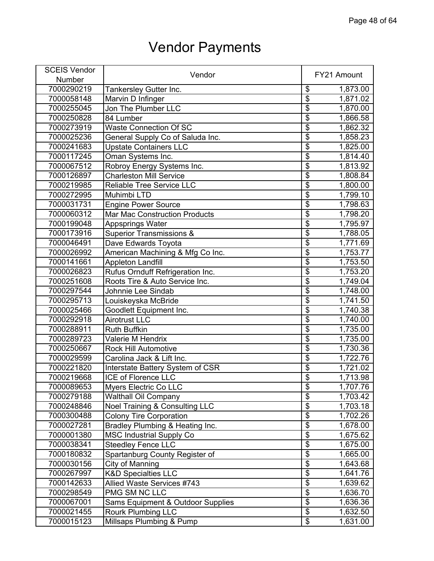| <b>SCEIS Vendor</b> | Vendor                                    |                                      | FY21 Amount |
|---------------------|-------------------------------------------|--------------------------------------|-------------|
| Number              |                                           |                                      |             |
| 7000290219          | Tankersley Gutter Inc.                    | \$                                   | 1,873.00    |
| 7000058148          | Marvin D Infinger                         | $\overline{\boldsymbol{\mathsf{S}}}$ | 1,871.02    |
| 7000255045          | Jon The Plumber LLC                       | $\overline{\$}$                      | 1,870.00    |
| 7000250828          | 84 Lumber                                 | $\overline{\boldsymbol{\theta}}$     | 1,866.58    |
| 7000273919          | <b>Waste Connection Of SC</b>             | $\overline{\mathcal{E}}$             | 1,862.32    |
| 7000025236          | General Supply Co of Saluda Inc.          | $\overline{\mathbf{S}}$              | 1,858.23    |
| 7000241683          | <b>Upstate Containers LLC</b>             | $\overline{\$}$                      | 1,825.00    |
| 7000117245          | Oman Systems Inc.                         | $\overline{\$}$                      | 1,814.40    |
| 7000067512          | Robroy Energy Systems Inc.                | $\overline{\$}$                      | 1,813.92    |
| 7000126897          | <b>Charleston Mill Service</b>            | $\overline{\$}$                      | 1,808.84    |
| 7000219985          | <b>Reliable Tree Service LLC</b>          | $\overline{\$}$                      | 1,800.00    |
| 7000272995          | Muhimbi LTD                               | $\overline{\mathbf{S}}$              | 1,799.10    |
| 7000031731          | Engine Power Source                       | $\overline{\boldsymbol{\mathsf{S}}}$ | 1,798.63    |
| 7000060312          | Mar Mac Construction Products             | $\overline{\$}$                      | 1,798.20    |
| 7000199048          | Appsprings Water                          | \$                                   | 1,795.97    |
| 7000173916          | <b>Superior Transmissions &amp;</b>       | $\overline{\$}$                      | 1,788.05    |
| 7000046491          | Dave Edwards Toyota                       | $\overline{\$}$                      | 1,771.69    |
| 7000026992          | American Machining & Mfg Co Inc.          | $\overline{\$}$                      | 1,753.77    |
| 7000141661          | <b>Appleton Landfill</b>                  | \$                                   | 1,753.50    |
| 7000026823          | Rufus Ornduff Refrigeration Inc.          | $\overline{\$}$                      | 1,753.20    |
| 7000251608          | Roots Tire & Auto Service Inc.            | $\overline{\$}$                      | 1,749.04    |
|                     |                                           | $\overline{\$}$                      |             |
| 7000297544          | Johnnie Lee Sindab                        |                                      | 1,748.00    |
| 7000295713          | Louiskeyska McBride                       | $\overline{\mathbf{S}}$              | 1,741.50    |
| 7000025466          | Goodlett Equipment Inc.                   | $\overline{\$}$                      | 1,740.38    |
| 7000292918          | <b>Airotrust LLC</b>                      | $\overline{\boldsymbol{\mathsf{S}}}$ | 1,740.00    |
| 7000288911          | <b>Ruth Buffkin</b>                       | $\overline{\$}$                      | 1,735.00    |
| 7000289723          | Valerie M Hendrix                         | $\overline{\mathbf{S}}$              | 1,735.00    |
| 7000250667          | <b>Rock Hill Automotive</b>               | $\overline{\$}$                      | 1,730.36    |
| 7000029599          | Carolina Jack & Lift Inc.                 | $\overline{\$}$                      | 1,722.76    |
| 7000221820          | Interstate Battery System of CSR          | $\overline{\$}$                      | 1,721.02    |
| 7000219668          | <b>ICE of Florence LLC</b>                | $\overline{\mathbf{S}}$              | 1,713.98    |
| 7000089653          | Myers Electric Co LLC                     | \$                                   | 1,707.76    |
| 7000279188          | <b>Walthall Oil Company</b>               | $\overline{\$}$                      | 1,703.42    |
| 7000248846          | <b>Noel Training &amp; Consulting LLC</b> | $\overline{\boldsymbol{\theta}}$     | 1,703.18    |
| 7000300488          | <b>Colony Tire Corporation</b>            | $\overline{\mathbf{S}}$              | 1,702.26    |
| 7000027281          | Bradley Plumbing & Heating Inc.           | $\overline{\mathcal{S}}$             | 1,678.00    |
| 7000001380          | <b>MSC Industrial Supply Co</b>           | $\overline{\mathbf{S}}$              | 1,675.62    |
| 7000038341          | <b>Steedley Fence LLC</b>                 | \$                                   | 1,675.00    |
| 7000180832          | Spartanburg County Register of            | $\overline{\mathbf{S}}$              | 1,665.00    |
| 7000030156          | City of Manning                           | \$                                   | 1,643.68    |
| 7000267997          | <b>K&amp;D Specialties LLC</b>            | $\overline{\mathbf{S}}$              | 1,641.76    |
| 7000142633          | Allied Waste Services #743                | \$                                   | 1,639.62    |
| 7000298549          | PMG SM NC LLC                             | $\overline{\mathbf{S}}$              | 1,636.70    |
| 7000067001          | Sams Equipment & Outdoor Supplies         | \$                                   | 1,636.36    |
| 7000021455          | <b>Rourk Plumbing LLC</b>                 | $\overline{\$}$                      | 1,632.50    |
| 7000015123          | Millsaps Plumbing & Pump                  | \$                                   | 1,631.00    |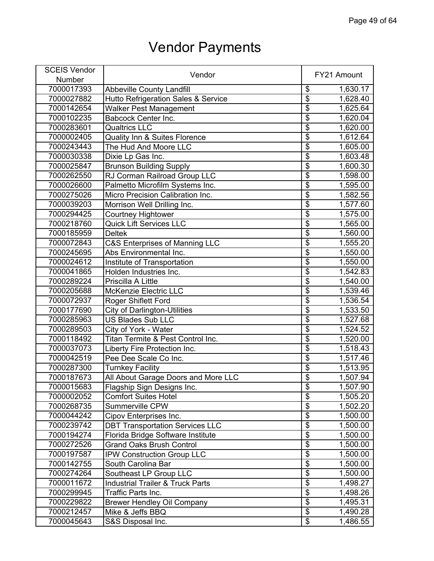| <b>SCEIS Vendor</b> |                                             |                           |             |
|---------------------|---------------------------------------------|---------------------------|-------------|
| Number              | Vendor                                      |                           | FY21 Amount |
| 7000017393          | <b>Abbeville County Landfill</b>            | \$                        | 1,630.17    |
| 7000027882          | Hutto Refrigeration Sales & Service         | $\overline{\$}$           | 1,628.40    |
| 7000142654          | <b>Walker Pest Management</b>               | $\overline{\$}$           | 1,625.64    |
| 7000102235          | <b>Babcock Center Inc.</b>                  | $\overline{\$}$           | 1,620.04    |
| 7000283601          | <b>Qualtrics LLC</b>                        | \$                        | 1,620.00    |
| 7000002405          | <b>Quality Inn &amp; Suites Florence</b>    | $\overline{\mathfrak{s}}$ | 1,612.64    |
| 7000243443          | The Hud And Moore LLC                       | $\overline{\$}$           | 1,605.00    |
| 7000030338          | Dixie Lp Gas Inc.                           | $\overline{\$}$           | 1,603.48    |
| 7000025847          | <b>Brunson Building Supply</b>              | $\overline{\$}$           | 1,600.30    |
| 7000262550          | RJ Corman Railroad Group LLC                | $\overline{\$}$           | 1,598.00    |
| 7000026600          | Palmetto Microfilm Systems Inc.             | $\overline{\$}$           | 1,595.00    |
| 7000275026          | Micro Precision Calibration Inc.            | $\overline{\$}$           | 1,582.56    |
| 7000039203          | Morrison Well Drilling Inc.                 | $\overline{\mathbf{S}}$   | 1,577.60    |
| 7000294425          | <b>Courtney Hightower</b>                   | \$                        | 1,575.00    |
| 7000218760          | <b>Quick Lift Services LLC</b>              | $\overline{\$}$           | 1,565.00    |
| 7000185959          | <b>Deltek</b>                               | $\overline{\$}$           | 1,560.00    |
| 7000072843          | <b>C&amp;S Enterprises of Manning LLC</b>   | $\overline{\$}$           | 1,555.20    |
| 7000245695          | Abs Environmental Inc.                      | \$                        | 1,550.00    |
| 7000024612          | Institute of Transportation                 | $\overline{\mathfrak{s}}$ | 1,550.00    |
| 7000041865          | Holden Industries Inc.                      | $\overline{\$}$           | 1,542.83    |
| 7000289224          | Priscilla A Little                          | $\overline{\$}$           | 1,540.00    |
| 7000205688          | <b>McKenzie Electric LLC</b>                | $\overline{\$}$           | 1,539.46    |
| 7000072937          | <b>Roger Shiflett Ford</b>                  | $\overline{\mathfrak{s}}$ | 1,536.54    |
| 7000177690          | <b>City of Darlington-Utilities</b>         | $\overline{\$}$           | 1,533.50    |
| 7000285963          | <b>US Blades Sub LLC</b>                    | $\overline{\$}$           | 1,527.68    |
| 7000289503          | City of York - Water                        | $\overline{\$}$           | 1,524.52    |
| 7000118492          | Titan Termite & Pest Control Inc.           | $\overline{\$}$           | 1,520.00    |
| 7000037073          | Liberty Fire Protection Inc.                | $\overline{\$}$           | 1,518.43    |
| 7000042519          | Pee Dee Scale Co Inc.                       | $\overline{\$}$           | 1,517.46    |
| 7000287300          | <b>Turnkey Facility</b>                     | $\overline{\$}$           | 1,513.95    |
| 7000187673          | All About Garage Doors and More LLC         | $\overline{\$}$           | 1,507.94    |
| 7000015683          | Flagship Sign Designs Inc.                  | \$                        | 1,507.90    |
| 7000002052          | <b>Comfort Suites Hotel</b>                 | $\overline{\$}$           | 1,505.20    |
| 7000268735          | Summerville CPW                             | $\overline{\$}$           | 1,502.20    |
| 7000044242          | Cipov Enterprises Inc.                      | $\overline{\$}$           | 1,500.00    |
| 7000239742          | <b>DBT Transportation Services LLC</b>      | $\overline{\mathfrak{s}}$ | 1,500.00    |
| 7000194274          | Florida Bridge Software Institute           | $\overline{\$}$           | 1,500.00    |
| 7000272526          | <b>Grand Oaks Brush Control</b>             | $\overline{\$}$           | 1,500.00    |
| 7000197587          | IPW Construction Group LLC                  | $\overline{\$}$           | 1,500.00    |
| 7000142755          | South Carolina Bar                          | $\overline{\$}$           | 1,500.00    |
| 7000274264          | Southeast LP Group LLC                      | $\overline{\$}$           | 1,500.00    |
| 7000011672          | <b>Industrial Trailer &amp; Truck Parts</b> | $\overline{\$}$           | 1,498.27    |
| 7000299945          | Traffic Parts Inc.                          | $\overline{\$}$           | 1,498.26    |
| 7000229822          | <b>Brewer Hendley Oil Company</b>           | $\overline{\$}$           | 1,495.31    |
| 7000212457          | Mike & Jeffs BBQ                            | $\overline{\$}$           | 1,490.28    |
| 7000045643          | S&S Disposal Inc.                           | $\overline{\mathbf{S}}$   | 1,486.55    |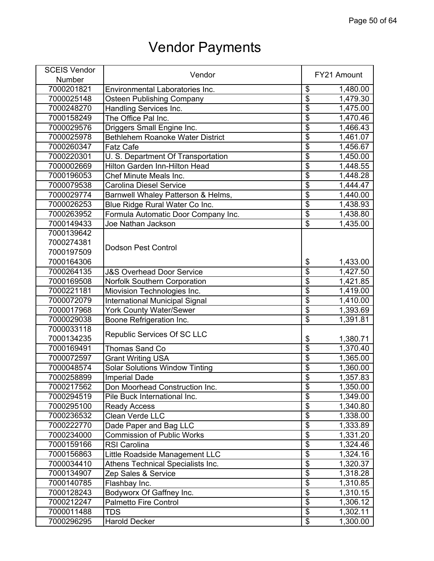| <b>SCEIS Vendor</b> |                                         |                                      | FY21 Amount           |
|---------------------|-----------------------------------------|--------------------------------------|-----------------------|
| <b>Number</b>       | Vendor                                  |                                      |                       |
| 7000201821          | Environmental Laboratories Inc.         | \$                                   | 1,480.00              |
| 7000025148          | <b>Osteen Publishing Company</b>        | $\overline{\$}$                      | 1,479.30              |
| 7000248270          | Handling Services Inc.                  | $\overline{\$}$                      | 1,475.00              |
| 7000158249          | The Office Pal Inc.                     | $\overline{\$}$                      | 1,470.46              |
| 7000029576          | Driggers Small Engine Inc.              | $\overline{\$}$                      | 1,466.43              |
| 7000025978          | <b>Bethlehem Roanoke Water District</b> | $\overline{\$}$                      | 1,461.07              |
| 7000260347          | <b>Fatz Cafe</b>                        | $\overline{\$}$                      | 1,456.67              |
| 7000220301          | U. S. Department Of Transportation      | $\overline{\$}$                      | 1,450.00              |
| 7000002669          | Hilton Garden Inn-Hilton Head           | $\overline{\$}$                      | 1,448.55              |
| 7000196053          | Chef Minute Meals Inc.                  | $\overline{\$}$                      | $\overline{1,}448.28$ |
| 7000079538          | <b>Carolina Diesel Service</b>          | $\overline{\$}$                      | 1,444.47              |
| 7000029774          | Barnwell Whaley Patterson & Helms,      | $\overline{\$}$                      | 1,440.00              |
| 7000026253          | Blue Ridge Rural Water Co Inc.          | $\overline{\$}$                      | 1,438.93              |
| 7000263952          | Formula Automatic Door Company Inc.     | $\overline{\$}$                      | 1,438.80              |
| 7000149433          | Joe Nathan Jackson                      | $\overline{\$}$                      | 1,435.00              |
| 7000139642          |                                         |                                      |                       |
| 7000274381          |                                         |                                      |                       |
| 7000197509          | <b>Dodson Pest Control</b>              |                                      |                       |
| 7000164306          |                                         | \$                                   | 1,433.00              |
| 7000264135          | <b>J&amp;S Overhead Door Service</b>    | $\overline{\$}$                      | 1,427.50              |
| 7000169508          | <b>Norfolk Southern Corporation</b>     | $\overline{\$}$                      | 1,421.85              |
| 7000221181          | Miovision Technologies Inc.             | \$                                   | 1,419.00              |
| 7000072079          | <b>International Municipal Signal</b>   | $\overline{\$}$                      | 1,410.00              |
| 7000017968          | <b>York County Water/Sewer</b>          | $\overline{\$}$                      | 1,393.69              |
| 7000029038          | Boone Refrigeration Inc.                | $\overline{\$}$                      | 1,391.81              |
| 7000033118          |                                         |                                      |                       |
| 7000134235          | Republic Services Of SC LLC             | \$                                   | 1,380.71              |
| 7000169491          | Thomas Sand Co                          | $\overline{\$}$                      | 1,370.40              |
| 7000072597          | <b>Grant Writing USA</b>                | $\overline{\$}$                      | 1,365.00              |
| 7000048574          | <b>Solar Solutions Window Tinting</b>   | $\overline{\$}$                      | 1,360.00              |
| 7000258899          | <b>Imperial Dade</b>                    | $\overline{\$}$                      | 1,357.83              |
| 7000217562          | Don Moorhead Construction Inc.          | \$                                   | 1,350.00              |
| 7000294519          | Pile Buck International Inc.            | $\overline{\$}$                      | 1,349.00              |
| 7000295100          | <b>Ready Access</b>                     | $\overline{\$}$                      | 1,340.80              |
| 7000236532          | Clean Verde LLC                         | $\overline{\$}$                      | 1,338.00              |
| 7000222770          | Dade Paper and Bag LLC                  | $\overline{\boldsymbol{\mathsf{S}}}$ | 1,333.89              |
| 7000234000          | <b>Commission of Public Works</b>       | $\overline{\$}$                      | 1,331.20              |
| 7000159166          | <b>RSI Carolina</b>                     | $\overline{\mathbf{S}}$              | 1,324.46              |
| 7000156863          | Little Roadside Management LLC          | $\overline{\$}$                      | 1,324.16              |
| 7000034410          | Athens Technical Specialists Inc.       | $\overline{\$}$                      | 1,320.37              |
| 7000134907          | Zep Sales & Service                     | $\overline{\$}$                      | 1,318.28              |
| 7000140785          | Flashbay Inc.                           | $\overline{\$}$                      | 1,310.85              |
| 7000128243          | Bodyworx Of Gaffney Inc.                | $\overline{\$}$                      | 1,310.15              |
| 7000212247          | <b>Palmetto Fire Control</b>            | $\overline{\mathbf{S}}$              | 1,306.12              |
| 7000011488          | <b>TDS</b>                              | $\overline{\$}$                      | 1,302.11              |
| 7000296295          | <b>Harold Decker</b>                    | $\overline{\mathbf{e}}$              | 1,300.00              |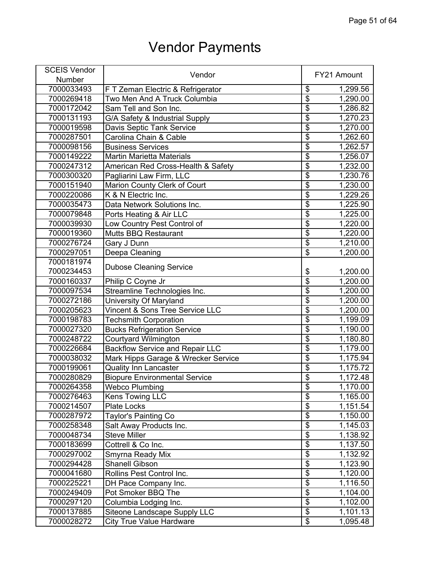| <b>SCEIS Vendor</b> |                                        |                           |             |
|---------------------|----------------------------------------|---------------------------|-------------|
| Number              | Vendor                                 |                           | FY21 Amount |
| 7000033493          | F T Zeman Electric & Refrigerator      | \$                        | 1,299.56    |
| 7000269418          | Two Men And A Truck Columbia           | $\overline{\$}$           | 1,290.00    |
| 7000172042          | Sam Tell and Son Inc.                  | $\overline{\$}$           | 1,286.82    |
| 7000131193          | G/A Safety & Industrial Supply         | $\overline{\$}$           | 1,270.23    |
| 7000019598          | Davis Septic Tank Service              | $\overline{\mathbb{S}}$   | 1,270.00    |
| 7000287501          | Carolina Chain & Cable                 | $\overline{\$}$           | 1,262.60    |
| 7000098156          | <b>Business Services</b>               | $\overline{\$}$           | 1,262.57    |
| 7000149222          | <b>Martin Marietta Materials</b>       | $\overline{\$}$           | 1,256.07    |
| 7000247312          | American Red Cross-Health & Safety     | $\overline{\$}$           | 1,232.00    |
| 7000300320          | Pagliarini Law Firm, LLC               | $\overline{\$}$           | 1,230.76    |
| 7000151940          | Marion County Clerk of Court           | $\overline{\$}$           | 1,230.00    |
| 7000220086          | K & N Electric Inc.                    | $\overline{\$}$           | 1,229.26    |
| 7000035473          | Data Network Solutions Inc.            | $\overline{\$}$           | 1,225.90    |
| 7000079848          | Ports Heating & Air LLC                | $\overline{\$}$           | 1,225.00    |
| 7000039930          | Low Country Pest Control of            | $\overline{\mathfrak{s}}$ | 1,220.00    |
| 7000019360          | <b>Mutts BBQ Restaurant</b>            | $\overline{\$}$           | 1,220.00    |
| 7000276724          | Gary J Dunn                            | $\overline{\$}$           | 1,210.00    |
| 7000297051          | Deepa Cleaning                         | $\overline{\$}$           | 1,200.00    |
| 7000181974          |                                        |                           |             |
| 7000234453          | <b>Dubose Cleaning Service</b>         | \$                        | 1,200.00    |
| 7000160337          |                                        | $\overline{\$}$           | 1,200.00    |
|                     | Philip C Coyne Jr                      | $\overline{\$}$           |             |
| 7000097534          | Streamline Technologies Inc.           | $\overline{\$}$           | 1,200.00    |
| 7000272186          | University Of Maryland                 | $\overline{\$}$           | 1,200.00    |
| 7000205623          | Vincent & Sons Tree Service LLC        |                           | 1,200.00    |
| 7000198783          | <b>Techsmith Corporation</b>           | $\overline{\$}$           | 1,199.09    |
| 7000027320          | <b>Bucks Refrigeration Service</b>     | $\overline{\mathcal{G}}$  | 1,190.00    |
| 7000248722          | Courtyard Wilmington                   | $\overline{\$}$           | 1,180.80    |
| 7000226684          | <b>Backflow Service and Repair LLC</b> | $\overline{\$}$           | 1,179.00    |
| 7000038032          | Mark Hipps Garage & Wrecker Service    | $\overline{\$}$           | 1,175.94    |
| 7000199061          | <b>Quality Inn Lancaster</b>           | $\overline{\mathfrak{s}}$ | 1,175.72    |
| 7000280829          | <b>Biopure Environmental Service</b>   | \$                        | 1,172.48    |
| 7000264358          | <b>Webco Plumbing</b>                  | \$                        | 1,170.00    |
| 7000276463          | Kens Towing LLC                        | $\overline{\$}$           | 1,165.00    |
| 7000214507          | <b>Plate Locks</b>                     | $\overline{\$}$           | 1,151.54    |
| 7000287972          | Taylor's Painting Co                   | $\overline{\$}$           | 1,150.00    |
| 7000258348          | Salt Away Products Inc.                | $\overline{\$}$           | 1,145.03    |
| 7000048734          | <b>Steve Miller</b>                    | $\overline{\$}$           | 1,138.92    |
| 7000183699          | Cottrell & Co Inc.                     | $\overline{\mathbf{S}}$   | 1,137.50    |
| 7000297002          | Smyrna Ready Mix                       | $\overline{\$}$           | 1,132.92    |
| 7000294428          | <b>Shanell Gibson</b>                  | $\overline{\$}$           | 1,123.90    |
| 7000041680          | Rollins Pest Control Inc.              | $\overline{\$}$           | 1,120.00    |
| 7000225221          | DH Pace Company Inc.                   | $\overline{\mathfrak{s}}$ | 1,116.50    |
| 7000249409          | Pot Smoker BBQ The                     | $\overline{\$}$           | 1,104.00    |
| 7000297120          | Columbia Lodging Inc.                  | $\overline{\mathcal{G}}$  | 1,102.00    |
| 7000137885          | Siteone Landscape Supply LLC           | $\overline{\$}$           | 1,101.13    |
| 7000028272          | <b>City True Value Hardware</b>        | \$                        | 1,095.48    |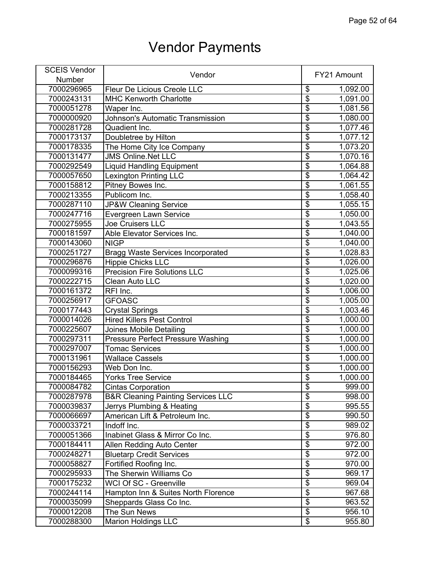| <b>SCEIS Vendor</b> | Vendor                                        |                                      | FY21 Amount |
|---------------------|-----------------------------------------------|--------------------------------------|-------------|
| Number              |                                               |                                      |             |
| 7000296965          | Fleur De Licious Creole LLC                   | \$                                   | 1,092.00    |
| 7000243131          | <b>MHC Kenworth Charlotte</b>                 | $\overline{\boldsymbol{\mathsf{S}}}$ | 1,091.00    |
| 7000051278          | Waper Inc.                                    | $\overline{\$}$                      | 1,081.56    |
| 7000000920          | <b>Johnson's Automatic Transmission</b>       | $\overline{\mathfrak{s}}$            | 1,080.00    |
| 7000281728          | Quadient Inc.                                 | $\overline{\$}$                      | 1,077.46    |
| 7000173137          | Doubletree by Hilton                          | $\overline{\boldsymbol{\mathsf{S}}}$ | 1,077.12    |
| 7000178335          | The Home City Ice Company                     | $\overline{\$}$                      | 1,073.20    |
| 7000131477          | <b>JMS Online.Net LLC</b>                     | $\overline{\mathbb{S}}$              | 1,070.16    |
| 7000292549          | <b>Liquid Handling Equipment</b>              | $\overline{\mathcal{E}}$             | 1,064.88    |
| 7000057650          | <b>Lexington Printing LLC</b>                 | $\overline{\$}$                      | 1,064.42    |
| 7000158812          | Pitney Bowes Inc.                             | $\overline{\$}$                      | 1,061.55    |
| 7000213355          | Publicom Inc.                                 | $\overline{\mathbf{S}}$              | 1,058.40    |
| 7000287110          | <b>JP&amp;W Cleaning Service</b>              | $\overline{\mathbf{S}}$              | 1,055.15    |
| 7000247716          | Evergreen Lawn Service                        | $\overline{\$}$                      | 1,050.00    |
| 7000275955          | <b>Joe Cruisers LLC</b>                       | $\overline{\$}$                      | 1,043.55    |
| 7000181597          | Able Elevator Services Inc.                   | $\overline{\mathcal{E}}$             | 1,040.00    |
| 7000143060          | <b>NIGP</b>                                   | $\overline{\$}$                      | 1,040.00    |
| 7000251727          | <b>Bragg Waste Services Incorporated</b>      | $\overline{\$}$                      | 1,028.83    |
| 7000296876          | <b>Hippie Chicks LLC</b>                      | \$                                   | 1,026.00    |
| 7000099316          | <b>Precision Fire Solutions LLC</b>           | $\overline{\$}$                      | 1,025.06    |
| 7000222715          | <b>Clean Auto LLC</b>                         | $\overline{\boldsymbol{\mathsf{S}}}$ | 1,020.00    |
| 7000161372          | RFI Inc.                                      | $\overline{\$}$                      | 1,006.00    |
| 7000256917          | <b>GFOASC</b>                                 | $\overline{\mathbb{S}}$              | 1,005.00    |
| 7000177443          | <b>Crystal Springs</b>                        | $\overline{\mathfrak{s}}$            | 1,003.46    |
| 7000014026          | <b>Hired Killers Pest Control</b>             | \$                                   | 1,000.00    |
| 7000225607          | <b>Joines Mobile Detailing</b>                | $\overline{\$}$                      | 1,000.00    |
| 7000297311          | <b>Pressure Perfect Pressure Washing</b>      | $\overline{\mathfrak{s}}$            | 1,000.00    |
| 7000297007          | <b>Tomac Services</b>                         | $\overline{\$}$                      | 1,000.00    |
| 7000131961          | <b>Wallace Cassels</b>                        | $\overline{\$}$                      | 1,000.00    |
| 7000156293          | Web Don Inc.                                  | $\overline{\$}$                      | 1,000.00    |
| 7000184465          | <b>Yorks Tree Service</b>                     | \$                                   | 1,000.00    |
| 7000084782          | <b>Cintas Corporation</b>                     | \$                                   | 999.00      |
| 7000287978          | <b>B&amp;R Cleaning Painting Services LLC</b> | $\overline{\mathbb{S}}$              | 998.00      |
| 7000039837          | Jerrys Plumbing & Heating                     | $\overline{\$}$                      | 995.55      |
| 7000066697          | American Lift & Petroleum Inc.                | $\overline{\mathbf{S}}$              | 990.50      |
| 7000033721          | Indoff Inc.                                   | $\overline{\mathcal{E}}$             | 989.02      |
| 7000051366          | Inabinet Glass & Mirror Co Inc.               | $\overline{\mathbf{S}}$              | 976.80      |
| 7000184411          | Allen Redding Auto Center                     | $\overline{\$}$                      | 972.00      |
| 7000248271          | <b>Bluetarp Credit Services</b>               | $\overline{\$}$                      | 972.00      |
| 7000058827          | Fortified Roofing Inc.                        | $\overline{\mathcal{E}}$             | 970.00      |
| 7000295933          | The Sherwin Williams Co                       | $\overline{\$}$                      | 969.17      |
| 7000175232          | WCI Of SC - Greenville                        | $\overline{\$}$                      | 969.04      |
| 7000244114          | Hampton Inn & Suites North Florence           | $\overline{\$}$                      | 967.68      |
| 7000035099          | Sheppards Glass Co Inc.                       | \$                                   | 963.52      |
| 7000012208          | The Sun News                                  | $\overline{\$}$                      | 956.10      |
| 7000288300          | <b>Marion Holdings LLC</b>                    | \$                                   | 955.80      |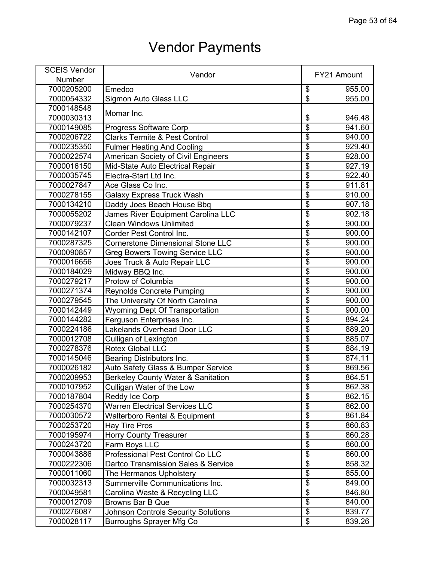| <b>SCEIS Vendor</b> | Vendor                                        |                         | FY21 Amount |
|---------------------|-----------------------------------------------|-------------------------|-------------|
| <b>Number</b>       |                                               |                         |             |
| 7000205200          | Emedco                                        | \$                      | 955.00      |
| 7000054332          | <b>Sigmon Auto Glass LLC</b>                  | $\overline{\$}$         | 955.00      |
| 7000148548          |                                               |                         |             |
| 7000030313          | Momar Inc.                                    | \$                      | 946.48      |
| 7000149085          | <b>Progress Software Corp</b>                 | $\overline{\$}$         | 941.60      |
| 7000206722          | <b>Clarks Termite &amp; Pest Control</b>      | \$                      | 940.00      |
| 7000235350          | <b>Fulmer Heating And Cooling</b>             | $\overline{\$}$         | 929.40      |
| 7000022574          | American Society of Civil Engineers           | \$                      | 928.00      |
| 7000016150          | Mid-State Auto Electrical Repair              | $\overline{\$}$         | 927.19      |
| 7000035745          | Electra-Start Ltd Inc.                        | \$                      | 922.40      |
| 7000027847          | Ace Glass Co Inc.                             | $\overline{\$}$         | 911.81      |
| 7000278155          | <b>Galaxy Express Truck Wash</b>              | \$                      | 910.00      |
| 7000134210          | Daddy Joes Beach House Bbq                    | $\overline{\$}$         | 907.18      |
| 7000055202          | James River Equipment Carolina LLC            | $\overline{\$}$         | 902.18      |
| 7000079237          | <b>Clean Windows Unlimited</b>                | $\overline{\$}$         | 900.00      |
| 7000142107          | Corder Pest Control Inc.                      | $\overline{\$}$         | 900.00      |
| 7000287325          | <b>Cornerstone Dimensional Stone LLC</b>      | $\overline{\$}$         | 900.00      |
| 7000090857          | <b>Greg Bowers Towing Service LLC</b>         | $\overline{\$}$         | 900.00      |
| 7000016656          | Joes Truck & Auto Repair LLC                  | $\overline{\mathbf{S}}$ | 900.00      |
| 7000184029          | Midway BBQ Inc.                               | \$                      | 900.00      |
| 7000279217          | Protow of Columbia                            | \$                      | 900.00      |
| 7000271374          | <b>Reynolds Concrete Pumping</b>              | $\overline{\$}$         | 900.00      |
| 7000279545          | The University Of North Carolina              | $\overline{\$}$         | 900.00      |
| 7000142449          | <b>Wyoming Dept Of Transportation</b>         | $\overline{\$}$         | 900.00      |
| 7000144282          | Ferguson Enterprises Inc.                     | \$                      | 894.24      |
| 7000224186          | <b>Lakelands Overhead Door LLC</b>            | $\overline{\$}$         | 889.20      |
| 7000012708          | <b>Culligan of Lexington</b>                  | \$                      | 885.07      |
| 7000278376          | <b>Rotex Global LLC</b>                       | $\overline{\$}$         | 884.19      |
| 7000145046          | Bearing Distributors Inc.                     | \$                      | 874.11      |
| 7000026182          | Auto Safety Glass & Bumper Service            | \$                      | 869.56      |
| 7000209953          | <b>Berkeley County Water &amp; Sanitation</b> | $\overline{\$}$         | 864.51      |
| 7000107952          | Culligan Water of the Low                     | \$                      | 862.38      |
| 7000187804          | Reddy Ice Corp                                | \$                      | 862.15      |
| 7000254370          | <b>Warren Electrical Services LLC</b>         | $\overline{\$}$         | 862.00      |
| 7000030572          | <b>Walterboro Rental &amp; Equipment</b>      | $\overline{\$}$         | 861.84      |
| 7000253720          | <b>Hay Tire Pros</b>                          | $\overline{\$}$         | 860.83      |
| 7000195974          | <b>Horry County Treasurer</b>                 | $\overline{\$}$         | 860.28      |
| 7000243720          | Farm Boys LLC                                 | $\overline{\$}$         | 860.00      |
| 7000043886          | Professional Pest Control Co LLC              | $\overline{\mathbf{e}}$ | 860.00      |
| 7000222306          | Dartco Transmission Sales & Service           | $\overline{\$}$         | 858.32      |
| 7000011060          | The Hermanos Upholstery                       | $\overline{\$}$         | 855.00      |
| 7000032313          | Summerville Communications Inc.               | $\overline{\$}$         | 849.00      |
| 7000049581          | Carolina Waste & Recycling LLC                | $\overline{\$}$         | 846.80      |
| 7000012709          | <b>Browns Bar B Que</b>                       | $\overline{\mathbf{S}}$ | 840.00      |
| 7000276087          | <b>Johnson Controls Security Solutions</b>    | $\overline{\$}$         | 839.77      |
| 7000028117          | Burroughs Sprayer Mfg Co                      | $\overline{\$}$         | 839.26      |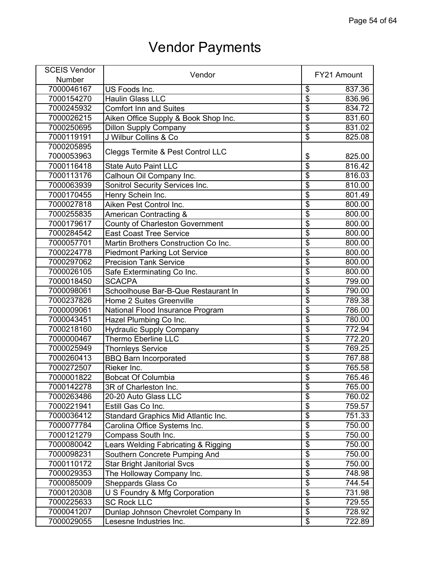| <b>SCEIS Vendor</b> |                                              | FY21 Amount                          |        |
|---------------------|----------------------------------------------|--------------------------------------|--------|
| Number              | Vendor                                       |                                      |        |
| 7000046167          | US Foods Inc.                                | \$                                   | 837.36 |
| 7000154270          | <b>Haulin Glass LLC</b>                      | $\overline{\$}$                      | 836.96 |
| 7000245932          | <b>Comfort Inn and Suites</b>                | $\overline{\$}$                      | 834.72 |
| 7000026215          | Aiken Office Supply & Book Shop Inc.         | $\overline{\$}$                      | 831.60 |
| 7000250695          | <b>Dillon Supply Company</b>                 | $\overline{\$}$                      | 831.02 |
| 7000119191          | J Wilbur Collins & Co                        | $\overline{\mathbf{S}}$              | 825.08 |
| 7000205895          |                                              |                                      |        |
| 7000053963          | <b>Cleggs Termite &amp; Pest Control LLC</b> | \$                                   | 825.00 |
| 7000116418          | <b>State Auto Paint LLC</b>                  | $\overline{\$}$                      | 816.42 |
| 7000113176          | Calhoun Oil Company Inc.                     | $\overline{\$}$                      | 816.03 |
| 7000063939          | Sonitrol Security Services Inc.              | $\overline{\$}$                      | 810.00 |
| 7000170455          | Henry Schein Inc.                            | $\overline{\$}$                      | 801.49 |
| 7000027818          | Aiken Pest Control Inc.                      | $\overline{\boldsymbol{\mathsf{S}}}$ | 800.00 |
| 7000255835          | American Contracting &                       | $\overline{\$}$                      | 800.00 |
| 7000179617          | <b>County of Charleston Government</b>       | $\overline{\$}$                      | 800.00 |
| 7000284542          | <b>East Coast Tree Service</b>               | $\overline{\$}$                      | 800.00 |
| 7000057701          | Martin Brothers Construction Co Inc.         | $\overline{\$}$                      | 800.00 |
| 7000224778          | <b>Piedmont Parking Lot Service</b>          | $\overline{\$}$                      | 800.00 |
| 7000297062          | <b>Precision Tank Service</b>                | $\overline{\$}$                      | 800.00 |
| 7000026105          | Safe Exterminating Co Inc.                   | $\overline{\$}$                      | 800.00 |
| 7000018450          | <b>SCACPA</b>                                | $\overline{\$}$                      | 799.00 |
| 7000098061          | Schoolhouse Bar-B-Que Restaurant In          | \$                                   | 790.00 |
| 7000237826          | <b>Home 2 Suites Greenville</b>              | $\overline{\$}$                      | 789.38 |
| 7000009061          | National Flood Insurance Program             | $\overline{\$}$                      | 786.00 |
| 7000043451          | Hazel Plumbing Co Inc.                       | $\overline{\$}$                      | 780.00 |
| 7000218160          | <b>Hydraulic Supply Company</b>              | $\overline{\$}$                      | 772.94 |
| 7000000467          | Thermo Eberline LLC                          | $\overline{\$}$                      | 772.20 |
| 7000025949          | <b>Thornleys Service</b>                     | $\overline{\$}$                      | 769.25 |
| 7000260413          | <b>BBQ Barn Incorporated</b>                 | $\overline{\$}$                      | 767.88 |
| 7000272507          | Rieker Inc.                                  | $\overline{\$}$                      | 765.58 |
| 7000001822          | <b>Bobcat Of Columbia</b>                    | $\overline{\$}$                      | 765.46 |
| 7000142278          | 3R of Charleston Inc.                        | \$                                   | 765.00 |
| 7000263486          | 20-20 Auto Glass LLC                         | $\overline{\$}$                      | 760.02 |
| 7000221941          | Estill Gas Co Inc.                           | $\overline{\$}$                      | 759.57 |
| 7000036412          | Standard Graphics Mid Atlantic Inc.          | $\overline{\$}$                      | 751.33 |
| 7000077784          | Carolina Office Systems Inc.                 | $\overline{\$}$                      | 750.00 |
| 7000121279          | Compass South Inc.                           | $\overline{\$}$                      | 750.00 |
| 7000080042          | Lears Welding Fabricating & Rigging          | $\overline{\mathfrak{s}}$            | 750.00 |
| 7000098231          | Southern Concrete Pumping And                | $\overline{\$}$                      | 750.00 |
| 7000110172          | <b>Star Bright Janitorial Svcs</b>           | $\overline{\$}$                      | 750.00 |
| 7000029353          | The Holloway Company Inc.                    | \$                                   | 748.98 |
| 7000085009          | <b>Sheppards Glass Co</b>                    | $\overline{\$}$                      | 744.54 |
| 7000120308          | <b>U S Foundry &amp; Mfg Corporation</b>     | $\overline{\$}$                      | 731.98 |
| 7000225633          | <b>SC Rock LLC</b>                           | $\overline{\$}$                      | 729.55 |
| 7000041207          | Dunlap Johnson Chevrolet Company In          | $\overline{\$}$                      | 728.92 |
| 7000029055          | Lesesne Industries Inc.                      | $\overline{\mathcal{E}}$             | 722.89 |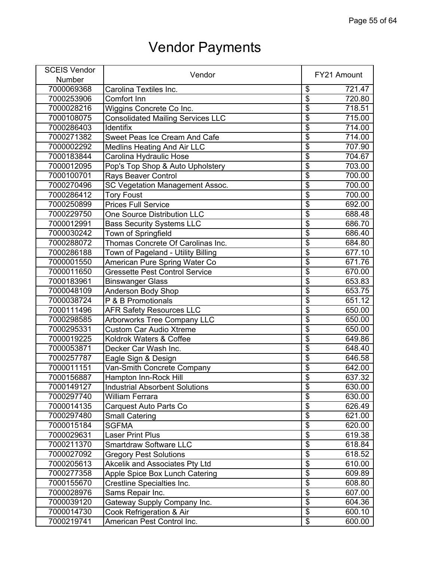| <b>SCEIS Vendor</b> | Vendor                                   |                                      | FY21 Amount |
|---------------------|------------------------------------------|--------------------------------------|-------------|
| <b>Number</b>       |                                          |                                      |             |
| 7000069368          | Carolina Textiles Inc.                   | \$                                   | 721.47      |
| 7000253906          | Comfort Inn                              | $\overline{\boldsymbol{\mathsf{S}}}$ | 720.80      |
| 7000028216          | Wiggins Concrete Co Inc.                 | $\overline{\$}$                      | 718.51      |
| 7000108075          | <b>Consolidated Mailing Services LLC</b> | $\overline{\boldsymbol{\mathsf{S}}}$ | 715.00      |
| 7000286403          | <b>Identifix</b>                         | $\overline{\boldsymbol{\mathsf{S}}}$ | 714.00      |
| 7000271382          | Sweet Peas Ice Cream And Cafe            | $\overline{\mathbf{S}}$              | 714.00      |
| 7000002292          | <b>Medlins Heating And Air LLC</b>       | $\overline{\$}$                      | 707.90      |
| 7000183844          | Carolina Hydraulic Hose                  | $\overline{\$}$                      | 704.67      |
| 7000012095          | Pop's Top Shop & Auto Upholstery         | $\overline{\$}$                      | 703.00      |
| 7000100701          | Rays Beaver Control                      | $\overline{\$}$                      | 700.00      |
| 7000270496          | <b>SC Vegetation Management Assoc.</b>   | $\overline{\$}$                      | 700.00      |
| 7000286412          | <b>Tory Foust</b>                        | $\overline{\mathbf{S}}$              | 700.00      |
| 7000250899          | <b>Prices Full Service</b>               | \$                                   | 692.00      |
| 7000229750          | <b>One Source Distribution LLC</b>       | $\overline{\$}$                      | 688.48      |
| 7000012991          | <b>Bass Security Systems LLC</b>         | $\overline{\boldsymbol{\theta}}$     | 686.70      |
| 7000030242          | Town of Springfield                      | $\overline{\$}$                      | 686.40      |
| 7000288072          | Thomas Concrete Of Carolinas Inc.        | $\overline{\$}$                      | 684.80      |
| 7000286188          | Town of Pageland - Utility Billing       | $\overline{\$}$                      | 677.10      |
| 7000001550          | American Pure Spring Water Co            | \$                                   | 671.76      |
| 7000011650          | <b>Gressette Pest Control Service</b>    | $\overline{\$}$                      | 670.00      |
| 7000183961          | <b>Binswanger Glass</b>                  | $\overline{\$}$                      | 653.83      |
| 7000048109          | Anderson Body Shop                       | $\overline{\$}$                      | 653.75      |
| 7000038724          | P & B Promotionals                       | $\overline{\boldsymbol{\theta}}$     | 651.12      |
| 7000111496          | <b>AFR Safety Resources LLC</b>          | $\overline{\$}$                      | 650.00      |
| 7000298585          | <b>Arborworks Tree Company LLC</b>       | $\overline{\boldsymbol{\mathsf{s}}}$ | 650.00      |
| 7000295331          | <b>Custom Car Audio Xtreme</b>           | $\overline{\$}$                      | 650.00      |
| 7000019225          | Koldrok Waters & Coffee                  | $\overline{\boldsymbol{\theta}}$     | 649.86      |
| 7000053871          | Decker Car Wash Inc.                     | $\overline{\mathbf{S}}$              | 648.40      |
| 7000257787          | Eagle Sign & Design                      | $\overline{\boldsymbol{\theta}}$     | 646.58      |
| 7000011151          | Van-Smith Concrete Company               | $\overline{\$}$                      | 642.00      |
| 7000156887          | Hampton Inn-Rock Hill                    | $\overline{\mathbf{S}}$              | 637.32      |
| 7000149127          | <b>Industrial Absorbent Solutions</b>    | \$                                   | 630.00      |
| 7000297740          | William Ferrara                          | $\overline{\$}$                      | 630.00      |
| 7000014135          | Carquest Auto Parts Co                   | $\overline{\boldsymbol{\theta}}$     | 626.49      |
| 7000297480          | <b>Small Catering</b>                    | $\overline{\mathbf{e}}$              | 621.00      |
| 7000015184          | <b>SGFMA</b>                             | $\overline{\mathcal{E}}$             | 620.00      |
| 7000029631          | Laser Print Plus                         | $\overline{\mathbf{S}}$              | 619.38      |
| 7000211370          | <b>Smartdraw Software LLC</b>            | \$                                   | 618.84      |
| 7000027092          | <b>Gregory Pest Solutions</b>            | $\overline{\mathbf{S}}$              | 618.52      |
| 7000205613          | <b>Akcelik and Associates Pty Ltd</b>    | \$                                   | 610.00      |
| 7000277358          | Apple Spice Box Lunch Catering           | $\overline{\$}$                      | 609.89      |
| 7000155670          | <b>Crestline Specialties Inc.</b>        | $\overline{\mathbf{S}}$              | 608.80      |
| 7000028976          | Sams Repair Inc.                         | $\overline{\mathcal{E}}$             | 607.00      |
| 7000039120          | Gateway Supply Company Inc.              | \$                                   | 604.36      |
| 7000014730          | Cook Refrigeration & Air                 | $\overline{\$}$                      | 600.10      |
| 7000219741          | American Pest Control Inc.               | $\overline{\mathbf{e}}$              | 600.00      |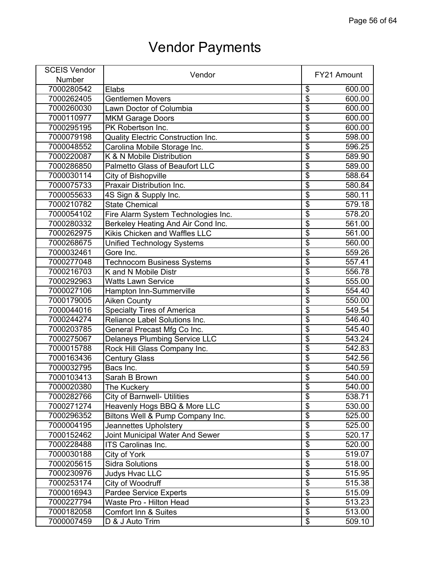| <b>SCEIS Vendor</b> | Vendor                                    |                                      |        |
|---------------------|-------------------------------------------|--------------------------------------|--------|
| Number              |                                           | FY21 Amount                          |        |
| 7000280542          | Elabs                                     | \$                                   | 600.00 |
| 7000262405          | Gentlemen Movers                          | $\overline{\boldsymbol{\mathsf{S}}}$ | 600.00 |
| 7000260030          | Lawn Doctor of Columbia                   | $\overline{\$}$                      | 600.00 |
| 7000110977          | <b>MKM Garage Doors</b>                   | $\overline{\$}$                      | 600.00 |
| 7000295195          | PK Robertson Inc.                         | $\overline{\mathcal{E}}$             | 600.00 |
| 7000079198          | <b>Quality Electric Construction Inc.</b> | $\overline{\mathbf{S}}$              | 598.00 |
| 7000048552          | Carolina Mobile Storage Inc.              | $\overline{\$}$                      | 596.25 |
| 7000220087          | K & N Mobile Distribution                 | $\overline{\$}$                      | 589.90 |
| 7000286850          | Palmetto Glass of Beaufort LLC            | $\overline{\$}$                      | 589.00 |
| 7000030114          | City of Bishopville                       | $\overline{\$}$                      | 588.64 |
| 7000075733          | Praxair Distribution Inc.                 | $\overline{\$}$                      | 580.84 |
| 7000055633          | 4S Sign & Supply Inc.                     | $\overline{\mathbf{S}}$              | 580.11 |
| 7000210782          | <b>State Chemical</b>                     | $\overline{\boldsymbol{\mathsf{S}}}$ | 579.18 |
| 7000054102          | Fire Alarm System Technologies Inc.       | $\overline{\$}$                      | 578.20 |
| 7000280332          | Berkeley Heating And Air Cond Inc.        | $\overline{\mathbf{S}}$              | 561.00 |
| 7000262975          | Kikis Chicken and Waffles LLC             | $\overline{\$}$                      | 561.00 |
| 7000268675          | <b>Unified Technology Systems</b>         | $\overline{\$}$                      | 560.00 |
| 7000032461          | Gore Inc.                                 | $\overline{\$}$                      | 559.26 |
| 7000277048          | <b>Technocom Business Systems</b>         | \$                                   | 557.41 |
| 7000216703          | K and N Mobile Distr                      | $\overline{\$}$                      | 556.78 |
| 7000292963          | <b>Watts Lawn Service</b>                 | $\overline{\$}$                      | 555.00 |
| 7000027106          | Hampton Inn-Summerville                   | $\overline{\$}$                      | 554.40 |
| 7000179005          | <b>Aiken County</b>                       | $\overline{\mathbf{S}}$              | 550.00 |
| 7000044016          | <b>Specialty Tires of America</b>         | $\overline{\$}$                      | 549.54 |
| 7000244274          | Reliance Label Solutions Inc.             | $\overline{\mathbf{S}}$              | 546.40 |
| 7000203785          | General Precast Mfg Co Inc.               | $\overline{\$}$                      | 545.40 |
| 7000275067          | <b>Delaneys Plumbing Service LLC</b>      | $\overline{\mathbf{S}}$              | 543.24 |
| 7000015788          | Rock Hill Glass Company Inc.              | $\overline{\$}$                      | 542.83 |
| 7000163436          | <b>Century Glass</b>                      | $\overline{\$}$                      | 542.56 |
| 7000032795          | Bacs Inc.                                 | $\overline{\$}$                      | 540.59 |
| 7000103413          | Sarah B Brown                             | \$                                   | 540.00 |
| 7000020380          | The Kuckery                               | \$                                   | 540.00 |
| 7000282766          | City of Barnwell- Utilities               | $\overline{\$}$                      | 538.71 |
| 7000271274          | Heavenly Hogs BBQ & More LLC              | $\overline{\boldsymbol{\theta}}$     | 530.00 |
| 7000296352          | Biltons Well & Pump Company Inc.          | $\overline{\$}$                      | 525.00 |
| 7000004195          | Jeannettes Upholstery                     | $\overline{\$}$                      | 525.00 |
| 7000152462          | Joint Municipal Water And Sewer           | $\overline{\mathbf{S}}$              | 520.17 |
| 7000228488          | <b>ITS Carolinas Inc.</b>                 | \$                                   | 520.00 |
| 7000030188          | City of York                              | $\overline{\mathbf{S}}$              | 519.07 |
| 7000205615          | <b>Sidra Solutions</b>                    | \$                                   | 518.00 |
| 7000230976          | Judys Hvac LLC                            | $\overline{\$}$                      | 515.95 |
| 7000253174          | City of Woodruff                          | \$                                   | 515.38 |
| 7000016943          | Pardee Service Experts                    | $\overline{\mathbf{S}}$              | 515.09 |
| 7000227794          | Waste Pro - Hilton Head                   | \$                                   | 513.23 |
| 7000182058          | <b>Comfort Inn &amp; Suites</b>           | $\overline{\$}$                      | 513.00 |
| 7000007459          | D & J Auto Trim                           | $\overline{\mathbf{e}}$              | 509.10 |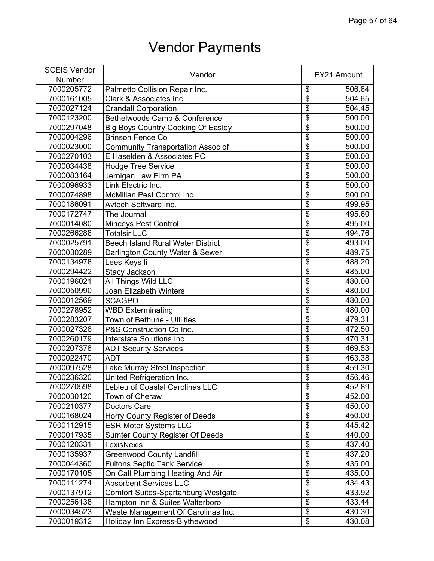| <b>SCEIS Vendor</b> | Vendor                                    |                                      | FY21 Amount |
|---------------------|-------------------------------------------|--------------------------------------|-------------|
| <b>Number</b>       |                                           |                                      |             |
| 7000205772          | Palmetto Collision Repair Inc.            | \$                                   | 506.64      |
| 7000161005          | Clark & Associates Inc.                   | $\overline{\boldsymbol{\mathsf{S}}}$ | 504.65      |
| 7000027124          | <b>Crandall Corporation</b>               | $\overline{\$}$                      | 504.45      |
| 7000123200          | Bethelwoods Camp & Conference             | $\overline{\$}$                      | 500.00      |
| 7000297048          | <b>Big Boys Country Cooking Of Easley</b> | $\overline{\boldsymbol{\mathsf{S}}}$ | 500.00      |
| 7000004296          | <b>Brinson Fence Co</b>                   | $\overline{\mathbf{S}}$              | 500.00      |
| 7000023000          | Community Transportation Assoc of         | $\overline{\$}$                      | 500.00      |
| 7000270103          | E Haselden & Associates PC                | $\overline{\$}$                      | 500.00      |
| 7000034438          | <b>Hodge Tree Service</b>                 | $\overline{\$}$                      | 500.00      |
| 7000083164          | Jernigan Law Firm PA                      | $\overline{\$}$                      | 500.00      |
| 7000096933          | Link Electric Inc.                        | $\overline{\$}$                      | 500.00      |
| 7000074898          | McMillan Pest Control Inc.                | $\overline{\mathbf{S}}$              | 500.00      |
| 7000186091          | Avtech Software Inc.                      | \$                                   | 499.95      |
| 7000172747          | The Journal                               | $\overline{\$}$                      | 495.60      |
| 7000014080          | <b>Minceys Pest Control</b>               | $\overline{\boldsymbol{\theta}}$     | 495.00      |
| 7000266288          | <b>Totalsir LLC</b>                       | $\overline{\$}$                      | 494.76      |
| 7000025791          | <b>Beech Island Rural Water District</b>  | $\overline{\boldsymbol{\mathsf{S}}}$ | 493.00      |
| 7000030289          | Darlington County Water & Sewer           | $\overline{\$}$                      | 489.75      |
| 7000134978          | Lees Keys li                              | \$                                   | 488.20      |
| 7000294422          | <b>Stacy Jackson</b>                      | $\overline{\$}$                      | 485.00      |
| 7000196021          | All Things Wild LLC                       | $\overline{\$}$                      | 480.00      |
| 7000050990          | Joan Elizabeth Winters                    | $\overline{\$}$                      | 480.00      |
| 7000012569          | <b>SCAGPO</b>                             | $\overline{\boldsymbol{\mathsf{S}}}$ | 480.00      |
| 7000278952          | <b>WBD</b> Exterminating                  | $\overline{\$}$                      | 480.00      |
| 7000283207          | Town of Bethune - Utilities               | $\overline{\boldsymbol{\mathsf{s}}}$ | 479.31      |
| 7000027328          | P&S Construction Co Inc.                  | $\overline{\$}$                      | 472.50      |
| 7000260179          | Interstate Solutions Inc.                 | $\overline{\mathcal{E}}$             | 470.31      |
| 7000207376          | <b>ADT Security Services</b>              | $\overline{\mathbf{S}}$              | 469.53      |
| 7000022470          | <b>ADT</b>                                | $\overline{\$}$                      | 463.38      |
| 7000097528          | Lake Murray Steel Inspection              | $\overline{\$}$                      | 459.30      |
| 7000236320          | United Refrigeration Inc.                 | $\overline{\mathbf{S}}$              | 456.46      |
| 7000270598          | Lebleu of Coastal Carolinas LLC           | \$                                   | 452.89      |
| 7000030120          | Town of Cheraw                            | $\overline{\$}$                      | 452.00      |
| 7000210377          | <b>Doctors Care</b>                       | $\overline{\boldsymbol{\theta}}$     | 450.00      |
| 7000168024          | Horry County Register of Deeds            | $\overline{\mathbf{e}}$              | 450.00      |
| 7000112915          | <b>ESR Motor Systems LLC</b>              | $\overline{\mathcal{S}}$             | 445.42      |
| 7000017935          | <b>Sumter County Register Of Deeds</b>    | $\overline{\mathbf{S}}$              | 440.00      |
| 7000120331          | LexisNexis                                | \$                                   | 437.40      |
| 7000135937          | <b>Greenwood County Landfill</b>          | $\overline{\mathbf{S}}$              | 437.20      |
| 7000044360          | <b>Fultons Septic Tank Service</b>        | \$                                   | 435.00      |
| 7000170105          | On Call Plumbing Heating And Air          | $\overline{\$}$                      | 435.00      |
| 7000111274          | <b>Absorbent Services LLC</b>             | \$                                   | 434.43      |
| 7000137912          | Comfort Suites-Spartanburg Westgate       | $\overline{\mathbf{S}}$              | 433.92      |
| 7000256138          | Hampton Inn & Suites Walterboro           | \$                                   | 433.44      |
| 7000034523          | Waste Management Of Carolinas Inc.        | $\overline{\$}$                      | 430.30      |
| 7000019312          | Holiday Inn Express-Blythewood            | $\overline{\mathbf{e}}$              | 430.08      |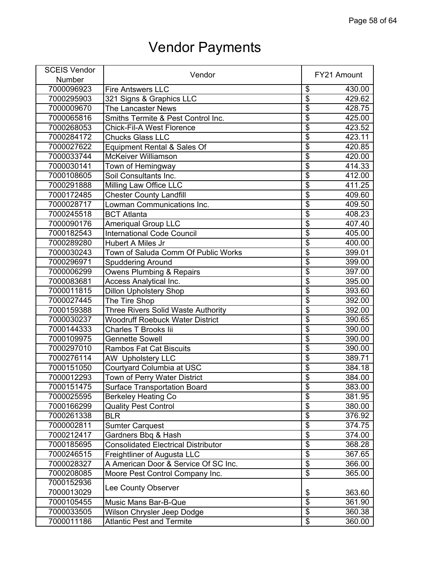| <b>SCEIS Vendor</b> |                                            |                                      |             |
|---------------------|--------------------------------------------|--------------------------------------|-------------|
| Number              | Vendor                                     |                                      | FY21 Amount |
| 7000096923          | <b>Fire Antswers LLC</b>                   | \$                                   | 430.00      |
| 7000295903          | 321 Signs & Graphics LLC                   | $\overline{\$}$                      | 429.62      |
| 7000009670          | The Lancaster News                         | $\overline{\$}$                      | 428.75      |
| 7000065816          | Smiths Termite & Pest Control Inc.         | $\overline{\$}$                      | 425.00      |
| 7000268053          | <b>Chick-Fil-A West Florence</b>           | $\overline{\$}$                      | 423.52      |
| 7000284172          | <b>Chucks Glass LLC</b>                    | $\overline{\$}$                      | 423.11      |
| 7000027622          | Equipment Rental & Sales Of                | $\overline{\$}$                      | 420.85      |
| 7000033744          | <b>McKeiver Williamson</b>                 | $\overline{\$}$                      | 420.00      |
| 7000030141          | Town of Hemingway                          | $\overline{\$}$                      | 414.33      |
| 7000108605          | Soil Consultants Inc.                      | $\overline{\$}$                      | 412.00      |
| 7000291888          | Milling Law Office LLC                     | $\overline{\$}$                      | 411.25      |
| 7000172485          | <b>Chester County Landfill</b>             | $\overline{\$}$                      | 409.60      |
| 7000028717          | Lowman Communications Inc.                 | $\overline{\boldsymbol{\mathsf{S}}}$ | 409.50      |
| 7000245518          | <b>BCT Atlanta</b>                         | $\overline{\$}$                      | 408.23      |
| 7000090176          | <b>Ameriqual Group LLC</b>                 | $\overline{\$}$                      | 407.40      |
| 7000182543          | <b>International Code Council</b>          | $\overline{\$}$                      | 405.00      |
| 7000289280          | Hubert A Miles Jr                          | $\overline{\$}$                      | 400.00      |
| 7000030243          | Town of Saluda Comm Of Public Works        | $\overline{\$}$                      | 399.01      |
| 7000296971          | <b>Spuddering Around</b>                   | $\overline{\mathbf{S}}$              | 399.00      |
| 7000006299          | <b>Owens Plumbing &amp; Repairs</b>        | $\overline{\$}$                      | 397.00      |
| 7000083681          | <b>Access Analytical Inc.</b>              | $\overline{\$}$                      | 395.00      |
| 7000011815          | <b>Dillon Upholstery Shop</b>              | \$                                   | 393.60      |
| 7000027445          | The Tire Shop                              | $\overline{\$}$                      | 392.00      |
| 7000159388          | Three Rivers Solid Waste Authority         | $\overline{\$}$                      | 392.00      |
| 7000030237          | <b>Woodruff Roebuck Water District</b>     | $\overline{\$}$                      | 390.65      |
| 7000144333          | <b>Charles T Brooks lii</b>                | $\overline{\$}$                      | 390.00      |
| 7000109975          | <b>Gennette Sowell</b>                     | $\overline{\$}$                      | 390.00      |
| 7000297010          | <b>Rambos Fat Cat Biscuits</b>             | $\overline{\$}$                      | 390.00      |
| 7000276114          | <b>AW Upholstery LLC</b>                   | $\overline{\$}$                      | 389.71      |
| 7000151050          | Courtyard Columbia at USC                  | $\overline{\$}$                      | 384.18      |
| 7000012293          | Town of Perry Water District               | $\overline{\$}$                      | 384.00      |
| 7000151475          | <b>Surface Transportation Board</b>        | \$                                   | 383.00      |
| 7000025595          | <b>Berkeley Heating Co</b>                 | $\overline{\$}$                      | 381.95      |
| 7000166299          | <b>Quality Pest Control</b>                | $\overline{\$}$                      | 380.00      |
| 7000261338          | <b>BLR</b>                                 | $\overline{\$}$                      | 376.92      |
| 7000002811          | <b>Sumter Carquest</b>                     | $\overline{\$}$                      | 374.75      |
| 7000212417          | Gardners Bbq & Hash                        | $\overline{\$}$                      | 374.00      |
| 7000185695          | <b>Consolidated Electrical Distributor</b> | $\overline{\mathbf{S}}$              | 368.28      |
| 7000246515          | Freightliner of Augusta LLC                | $\overline{\$}$                      | 367.65      |
| 7000028327          | A American Door & Service Of SC Inc.       | $\overline{\$}$                      | 366.00      |
| 7000208085          | Moore Pest Control Company Inc.            | $\overline{\$}$                      | 365.00      |
| 7000152936          |                                            |                                      |             |
| 7000013029          | Lee County Observer                        | \$                                   | 363.60      |
| 7000105455          | Music Mans Bar-B-Que                       | $\overline{\$}$                      | 361.90      |
| 7000033505          | Wilson Chrysler Jeep Dodge                 | $\overline{\$}$                      | 360.38      |
| 7000011186          | <b>Atlantic Pest and Termite</b>           | $\overline{\mathbf{e}}$              | 360.00      |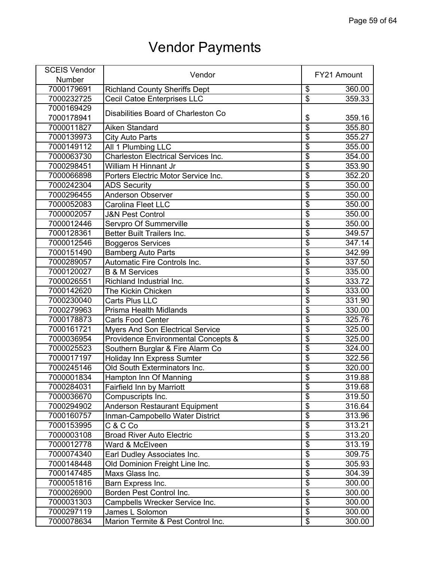| <b>SCEIS Vendor</b> |                                                |                                  |             |
|---------------------|------------------------------------------------|----------------------------------|-------------|
| Number              | Vendor                                         |                                  | FY21 Amount |
| 7000179691          | <b>Richland County Sheriffs Dept</b>           | \$                               | 360.00      |
| 7000232725          | <b>Cecil Catoe Enterprises LLC</b>             | $\overline{\$}$                  | 359.33      |
| 7000169429          |                                                |                                  |             |
| 7000178941          | Disabilities Board of Charleston Co            | \$                               | 359.16      |
| 7000011827          | Aiken Standard                                 | $\overline{\$}$                  | 355.80      |
| 7000139973          | <b>City Auto Parts</b>                         | $\overline{\mathfrak{s}}$        | 355.27      |
| 7000149112          | All 1 Plumbing LLC                             | $\overline{\$}$                  | 355.00      |
| 7000063730          | <b>Charleston Electrical Services Inc.</b>     | $\overline{\$}$                  | 354.00      |
| 7000298451          | William H Hinnant Jr                           | $\overline{\$}$                  | 353.90      |
| 7000066898          | Porters Electric Motor Service Inc.            | $\overline{\$}$                  | 352.20      |
| 7000242304          | <b>ADS Security</b>                            | $\overline{\$}$                  | 350.00      |
| 7000296455          | Anderson Observer                              | $\overline{\$}$                  | 350.00      |
| 7000052083          | Carolina Fleet LLC                             | $\overline{\mathfrak{s}}$        | 350.00      |
| 7000002057          | <b>J&amp;N Pest Control</b>                    | $\overline{\$}$                  | 350.00      |
| 7000012446          | Servpro Of Summerville                         | $\overline{\$}$                  | 350.00      |
| 7000128361          | <b>Better Built Trailers Inc.</b>              | $\overline{\$}$                  | 349.57      |
| 7000012546          | <b>Boggeros Services</b>                       | $\overline{\$}$                  | 347.14      |
| 7000151490          | <b>Bamberg Auto Parts</b>                      | $\overline{\$}$                  | 342.99      |
| 7000289057          | Automatic Fire Controls Inc.                   | $\overline{\mathfrak{s}}$        | 337.50      |
| 7000120027          | <b>B &amp; M Services</b>                      | $\overline{\$}$                  | 335.00      |
| 7000026551          | Richland Industrial Inc.                       | $\overline{\$}$                  | 333.72      |
| 7000142620          | <b>The Kickin Chicken</b>                      | $\overline{\$}$                  | 333.00      |
| 7000230040          | Carts Plus LLC                                 | $\overline{\boldsymbol{\theta}}$ | 331.90      |
| 7000279963          | <b>Prisma Health Midlands</b>                  | $\overline{\$}$                  | 330.00      |
| 7000178873          | <b>Carls Food Center</b>                       | $\overline{\$}$                  | 325.76      |
| 7000161721          | <b>Myers And Son Electrical Service</b>        | $\overline{\$}$                  | 325.00      |
| 7000036954          | <b>Providence Environmental Concepts &amp;</b> | $\overline{\$}$                  | 325.00      |
| 7000025523          | Southern Burglar & Fire Alarm Co               | $\overline{\$}$                  | 324.00      |
| 7000017197          | Holiday Inn Express Sumter                     | $\overline{\$}$                  | 322.56      |
| 7000245146          | Old South Exterminators Inc.                   | $\overline{\$}$                  | 320.00      |
| 7000001834          | Hampton Inn Of Manning                         | $\overline{\$}$                  | 319.88      |
| 7000284031          | Fairfield Inn by Marriott                      | \$                               | 319.68      |
| 7000036670          | Compuscripts Inc.                              | $\overline{\$}$                  | 319.50      |
| 7000294902          | <b>Anderson Restaurant Equipment</b>           | $\overline{\$}$                  | 316.64      |
| 7000160757          | Inman-Campobello Water District                | $\overline{\$}$                  | 313.96      |
| 7000153995          | C & C Co                                       | $\overline{\boldsymbol{\theta}}$ | 313.21      |
| 7000003108          | <b>Broad River Auto Electric</b>               | $\overline{\$}$                  | 313.20      |
| 7000012778          | Ward & McElveen                                | \$                               | 313.19      |
| 7000074340          | Earl Dudley Associates Inc.                    | $\overline{\$}$                  | 309.75      |
| 7000148448          | Old Dominion Freight Line Inc.                 | $\overline{\$}$                  | 305.93      |
| 7000147485          | Maxs Glass Inc.                                | $\overline{\$}$                  | 304.39      |
| 7000051816          | Barn Express Inc.                              | $\overline{\$}$                  | 300.00      |
| 7000026900          | Borden Pest Control Inc.                       | $\overline{\$}$                  | 300.00      |
| 7000031303          | Campbells Wrecker Service Inc.                 | $\overline{\$}$                  | 300.00      |
| 7000297119          | James L Solomon                                | $\overline{\$}$                  | 300.00      |
| 7000078634          | Marion Termite & Pest Control Inc.             | $\overline{\mathcal{E}}$         | 300.00      |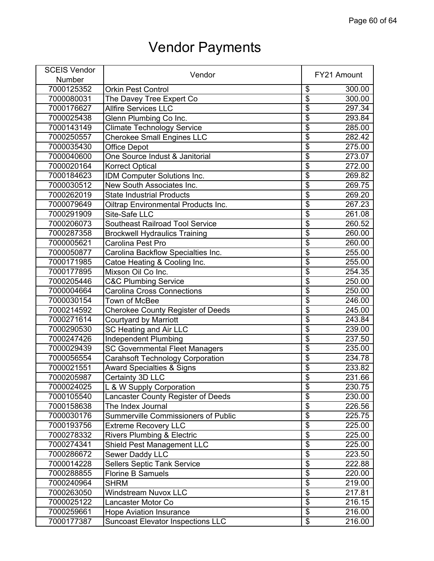| <b>SCEIS Vendor</b> |                                          |                                      |             |
|---------------------|------------------------------------------|--------------------------------------|-------------|
| Number              | Vendor                                   |                                      | FY21 Amount |
| 7000125352          | <b>Orkin Pest Control</b>                | \$                                   | 300.00      |
| 7000080031          | The Davey Tree Expert Co                 | $\overline{\$}$                      | 300.00      |
| 7000176627          | <b>Allfire Services LLC</b>              | $\overline{\mathfrak{s}}$            | 297.34      |
| 7000025438          | Glenn Plumbing Co Inc.                   | $\overline{\$}$                      | 293.84      |
| 7000143149          | <b>Climate Technology Service</b>        | $\overline{\mathbb{S}}$              | 285.00      |
| 7000250557          | <b>Cherokee Small Engines LLC</b>        | $\overline{\$}$                      | 282.42      |
| 7000035430          | <b>Office Depot</b>                      | $\overline{\$}$                      | 275.00      |
| 7000040600          | One Source Indust & Janitorial           | $\overline{\$}$                      | 273.07      |
| 7000020164          | <b>Korrect Optical</b>                   | $\overline{\boldsymbol{\mathsf{S}}}$ | 272.00      |
| 7000184623          | IDM Computer Solutions Inc.              | $\overline{\$}$                      | 269.82      |
| 7000030512          | New South Associates Inc.                | $\overline{\$}$                      | 269.75      |
| 7000262019          | <b>State Industrial Products</b>         | $\overline{\mathbf{S}}$              | 269.20      |
| 7000079649          | Oiltrap Environmental Products Inc.      | $\overline{\boldsymbol{\mathsf{S}}}$ | 267.23      |
| 7000291909          | Site-Safe LLC                            | $\overline{\$}$                      | 261.08      |
| 7000206073          | <b>Southeast Railroad Tool Service</b>   | $\overline{\mathcal{E}}$             | 260.52      |
| 7000287358          | <b>Brockwell Hydraulics Training</b>     | $\overline{\boldsymbol{\mathsf{S}}}$ | 260.00      |
| 7000005621          | Carolina Pest Pro                        | $\overline{\$}$                      | 260.00      |
| 7000050877          | Carolina Backflow Specialties Inc.       | $\overline{\$}$                      | 255.00      |
| 7000171985          | Catoe Heating & Cooling Inc.             | $\overline{\mathbf{S}}$              | 255.00      |
| 7000177895          | Mixson Oil Co Inc.                       | $\overline{\$}$                      | 254.35      |
| 7000205446          | <b>C&amp;C Plumbing Service</b>          | $\overline{\$}$                      | 250.00      |
| 7000004664          | <b>Carolina Cross Connections</b>        | $\overline{\$}$                      | 250.00      |
| 7000030154          | <b>Town of McBee</b>                     | $\overline{\$}$                      | 246.00      |
| 7000214592          | <b>Cherokee County Register of Deeds</b> | $\overline{\$}$                      | 245.00      |
| 7000271614          | <b>Courtyard by Marriott</b>             | $\overline{\mathfrak{s}}$            | 243.84      |
| 7000290530          | SC Heating and Air LLC                   | $\overline{\boldsymbol{\theta}}$     | 239.00      |
| 7000247426          | Independent Plumbing                     | $\overline{\$}$                      | 237.50      |
| 7000029439          | <b>SC Governmental Fleet Managers</b>    | $\overline{\boldsymbol{\mathsf{S}}}$ | 235.00      |
| 7000056554          | <b>Carahsoft Technology Corporation</b>  | $\overline{\$}$                      | 234.78      |
| 7000021551          | <b>Award Specialties &amp; Signs</b>     | $\overline{\boldsymbol{\theta}}$     | 233.82      |
| 7000205987          | Certainty 3D LLC                         | $\overline{\mathfrak{s}}$            | 231.66      |
| 7000024025          | L & W Supply Corporation                 | \$                                   | 230.75      |
| 7000105540          | Lancaster County Register of Deeds       | $\overline{\$}$                      | 230.00      |
| 7000158638          | The Index Journal                        | $\overline{\$}$                      | 226.56      |
| 7000030176          | Summerville Commissioners of Public      | $\overline{\$}$                      | 225.75      |
| 7000193756          | <b>Extreme Recovery LLC</b>              | $\overline{\boldsymbol{\mathsf{S}}}$ | 225.00      |
| 7000278332          | <b>Rivers Plumbing &amp; Electric</b>    | $\overline{\$}$                      | 225.00      |
| 7000274341          | <b>Shield Pest Management LLC</b>        | $\overline{\mathbf{S}}$              | 225.00      |
| 7000286672          | Sewer Daddy LLC                          | $\overline{\mathbf{S}}$              | 223.50      |
| 7000014228          | <b>Sellers Septic Tank Service</b>       | $\overline{\mathbf{S}}$              | 222.88      |
| 7000288855          | <b>Florine B Samuels</b>                 | $\overline{\$}$                      | 220.00      |
| 7000240964          | <b>SHRM</b>                              | $\overline{\mathbf{S}}$              | 219.00      |
| 7000263050          | <b>Windstream Nuvox LLC</b>              | $\overline{\mathcal{E}}$             | 217.81      |
| 7000025122          | Lancaster Motor Co                       | $\overline{\mathbf{e}}$              | 216.15      |
| 7000259661          | <b>Hope Aviation Insurance</b>           | $\overline{\mathbf{e}}$              | 216.00      |
| 7000177387          | <b>Suncoast Elevator Inspections LLC</b> | $\overline{\mathbf{e}}$              | 216.00      |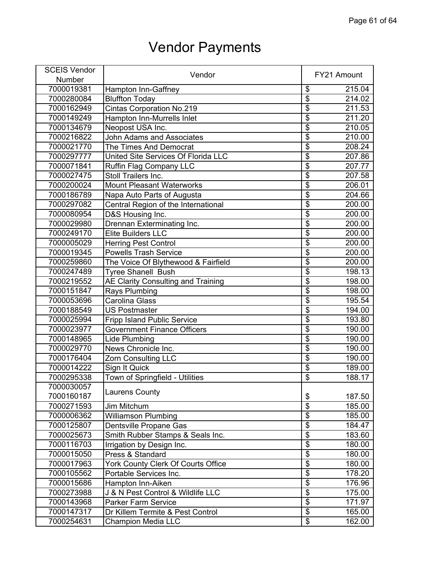| <b>SCEIS Vendor</b> | Vendor                              |                                      |        |
|---------------------|-------------------------------------|--------------------------------------|--------|
| Number              |                                     | FY21 Amount                          |        |
| 7000019381          | Hampton Inn-Gaffney                 | \$                                   | 215.04 |
| 7000280084          | <b>Bluffton Today</b>               | \$                                   | 214.02 |
| 7000162949          | <b>Cintas Corporation No.219</b>    | $\overline{\$}$                      | 211.53 |
| 7000149249          | Hampton Inn-Murrells Inlet          | \$                                   | 211.20 |
| 7000134679          | Neopost USA Inc.                    | $\overline{\$}$                      | 210.05 |
| 7000216822          | <b>John Adams and Associates</b>    | $\overline{\mathfrak{s}}$            | 210.00 |
| 7000021770          | The Times And Democrat              | $\overline{\$}$                      | 208.24 |
| 7000297777          | United Site Services Of Florida LLC | \$                                   | 207.86 |
| 7000071841          | Ruffin Flag Company LLC             | $\overline{\$}$                      | 207.77 |
| 7000027475          | Stoll Trailers Inc.                 | \$                                   | 207.58 |
| 7000200024          | <b>Mount Pleasant Waterworks</b>    | $\overline{\$}$                      | 206.01 |
| 7000186789          | Napa Auto Parts of Augusta          | \$                                   | 204.66 |
| 7000297082          | Central Region of the International | $\overline{\mathfrak{s}}$            | 200.00 |
| 7000080954          | D&S Housing Inc.                    | $\overline{\$}$                      | 200.00 |
| 7000029980          | Drennan Exterminating Inc.          | $\overline{\$}$                      | 200.00 |
| 7000249170          | Elite Builders LLC                  | $\overline{\$}$                      | 200.00 |
| 7000005029          | <b>Herring Pest Control</b>         | $\overline{\$}$                      | 200.00 |
| 7000019345          | <b>Powells Trash Service</b>        | $\overline{\$}$                      | 200.00 |
| 7000259860          | The Voice Of Blythewood & Fairfield | $\overline{\mathfrak{s}}$            | 200.00 |
| 7000247489          | <b>Tyree Shanell Bush</b>           | $\overline{\$}$                      | 198.13 |
| 7000219552          | AE Clarity Consulting and Training  | $\overline{\boldsymbol{\mathsf{s}}}$ | 198.00 |
| 7000151847          | Rays Plumbing                       | $\overline{\$}$                      | 198.00 |
| 7000053696          | <b>Carolina Glass</b>               | \$                                   | 195.54 |
| 7000188549          | <b>US Postmaster</b>                | $\overline{\$}$                      | 194.00 |
| 7000025994          | <b>Fripp Island Public Service</b>  | \$                                   | 193.80 |
| 7000023977          | <b>Government Finance Officers</b>  | $\overline{\$}$                      | 190.00 |
| 7000148965          | Lide Plumbing                       | $\overline{\$}$                      | 190.00 |
| 7000029770          | News Chronicle Inc.                 | $\overline{\$}$                      | 190.00 |
| 7000176404          | <b>Zorn Consulting LLC</b>          | \$                                   | 190.00 |
| 7000014222          | Sign It Quick                       | $\overline{\$}$                      | 189.00 |
| 7000295338          | Town of Springfield - Utilities     | $\overline{\mathfrak{s}}$            | 188.17 |
| 7000030057          |                                     |                                      |        |
| 7000160187          | <b>Laurens County</b>               | \$                                   | 187.50 |
| 7000271593          | Jim Mitchum                         | $\overline{\$}$                      | 185.00 |
| 7000006362          | <b>Williamson Plumbing</b>          | $\overline{\$}$                      | 185.00 |
| 7000125807          | Dentsville Propane Gas              | $\overline{\$}$                      | 184.47 |
| 7000025673          | Smith Rubber Stamps & Seals Inc.    | $\overline{\$}$                      | 183.60 |
| 7000116703          | Irrigation by Design Inc.           | $\overline{\$}$                      | 180.00 |
| 7000015050          | Press & Standard                    | $\overline{\$}$                      | 180.00 |
| 7000017963          | York County Clerk Of Courts Office  | $\overline{\$}$                      | 180.00 |
| 7000105562          | Portable Services Inc.              | $\overline{\$}$                      | 178.20 |
| 7000015686          | Hampton Inn-Aiken                   | $\overline{\$}$                      | 176.96 |
| 7000273988          | J & N Pest Control & Wildlife LLC   | $\overline{\$}$                      | 175.00 |
| 7000143968          | Parker Farm Service                 | $\overline{\mathbf{S}}$              | 171.97 |
| 7000147317          | Dr Killem Termite & Pest Control    | $\overline{\$}$                      | 165.00 |
| 7000254631          | <b>Champion Media LLC</b>           | \$                                   | 162.00 |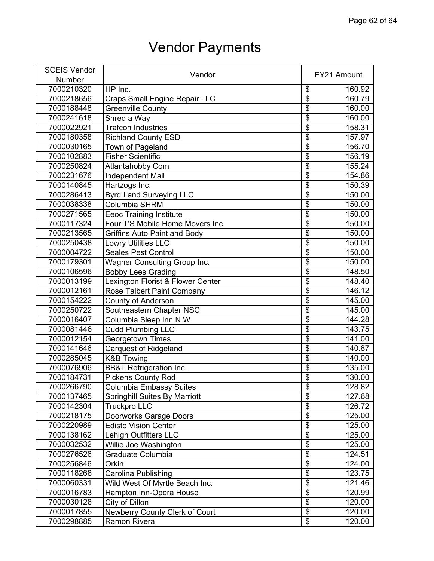| <b>SCEIS Vendor</b> | Vendor                               |                           |        |
|---------------------|--------------------------------------|---------------------------|--------|
| Number              |                                      | FY21 Amount               |        |
| 7000210320          | HP Inc.                              | \$                        | 160.92 |
| 7000218656          | Craps Small Engine Repair LLC        | \$                        | 160.79 |
| 7000188448          | <b>Greenville County</b>             | $\overline{\$}$           | 160.00 |
| 7000241618          | Shred a Way                          | $\overline{\$}$           | 160.00 |
| 7000022921          | <b>Trafcon Industries</b>            | $\overline{\$}$           | 158.31 |
| 7000180358          | <b>Richland County ESD</b>           | $\overline{\mathbf{S}}$   | 157.97 |
| 7000030165          | Town of Pageland                     | $\overline{\$}$           | 156.70 |
| 7000102883          | <b>Fisher Scientific</b>             | $\overline{\$}$           | 156.19 |
| 7000250824          | <b>Atlantahobby Com</b>              | $\overline{\$}$           | 155.24 |
| 7000231676          | <b>Independent Mail</b>              | \$                        | 154.86 |
| 7000140845          | Hartzogs Inc.                        | $\overline{\$}$           | 150.39 |
| 7000286413          | <b>Byrd Land Surveying LLC</b>       | $\overline{\mathfrak{s}}$ | 150.00 |
| 7000038338          | <b>Columbia SHRM</b>                 | $\overline{\$}$           | 150.00 |
| 7000271565          | <b>Eeoc Training Institute</b>       | $\overline{\$}$           | 150.00 |
| 7000117324          | Four T'S Mobile Home Movers Inc.     | \$                        | 150.00 |
| 7000213565          | <b>Griffins Auto Paint and Body</b>  | $\overline{\$}$           | 150.00 |
| 7000250438          | <b>Lowry Utilities LLC</b>           | $\overline{\$}$           | 150.00 |
| 7000004722          | <b>Seales Pest Control</b>           | $\overline{\$}$           | 150.00 |
| 7000179301          | <b>Wagner Consulting Group Inc.</b>  | $\overline{\mathfrak{s}}$ | 150.00 |
| 7000106596          | <b>Bobby Lees Grading</b>            | $\overline{\$}$           | 148.50 |
| 7000013199          | Lexington Florist & Flower Center    | $\overline{\$}$           | 148.40 |
| 7000012161          | Rose Talbert Paint Company           | $\overline{\$}$           | 146.12 |
| 7000154222          | <b>County of Anderson</b>            | $\overline{\$}$           | 145.00 |
| 7000250722          | Southeastern Chapter NSC             | $\overline{\$}$           | 145.00 |
| 7000016407          | Columbia Sleep Inn N W               | \$                        | 144.28 |
| 7000081446          | <b>Cudd Plumbing LLC</b>             | \$                        | 143.75 |
| 7000012154          | Georgetown Times                     | $\overline{\$}$           | 141.00 |
| 7000141646          | <b>Carquest of Ridgeland</b>         | $\overline{\$}$           | 140.87 |
| 7000285045          | <b>K&amp;B Towing</b>                | $\overline{\$}$           | 140.00 |
| 7000076906          | <b>BB&amp;T Refrigeration Inc.</b>   | $\overline{\$}$           | 135.00 |
| 7000184731          | <b>Pickens County Rod</b>            | $\overline{\$}$           | 130.00 |
| 7000266790          | Columbia Embassy Suites              | \$                        | 128.82 |
| 7000137465          | <b>Springhill Suites By Marriott</b> | $\overline{\mathbb{S}}$   | 127.68 |
| 7000142304          | Truckpro LLC                         | \$                        | 126.72 |
| 7000218175          | <b>Doorworks Garage Doors</b>        | $\overline{\$}$           | 125.00 |
| 7000220989          | <b>Edisto Vision Center</b>          | $\overline{\$}$           | 125.00 |
| 7000138162          | <b>Lehigh Outfitters LLC</b>         | $\overline{\mathbf{S}}$   | 125.00 |
| 7000032532          | Willie Joe Washington                | $\overline{\$}$           | 125.00 |
| 7000276526          | Graduate Columbia                    | $\overline{\$}$           | 124.51 |
| 7000256846          | Orkin                                | $\overline{\$}$           | 124.00 |
| 7000118268          | Carolina Publishing                  | $\overline{\$}$           | 123.75 |
| 7000060331          | Wild West Of Myrtle Beach Inc.       | $\overline{\$}$           | 121.46 |
| 7000016783          | Hampton Inn-Opera House              | $\overline{\$}$           | 120.99 |
| 7000030128          | City of Dillon                       | $\overline{\mathbf{S}}$   | 120.00 |
| 7000017855          | Newberry County Clerk of Court       | $\overline{\$}$           | 120.00 |
| 7000298885          | Ramon Rivera                         | \$                        | 120.00 |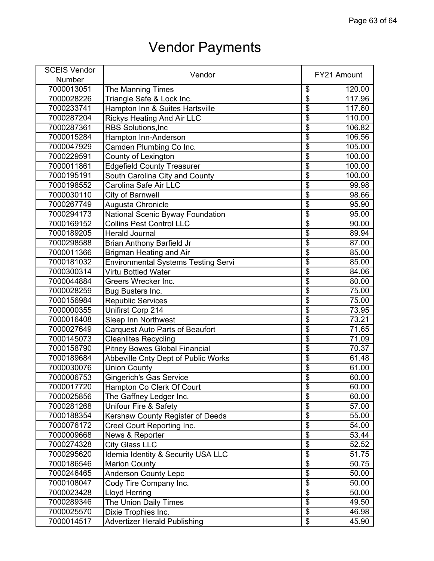| <b>SCEIS Vendor</b> |                                            |                                      |        |
|---------------------|--------------------------------------------|--------------------------------------|--------|
| Number              | Vendor                                     | FY21 Amount                          |        |
| 7000013051          | <b>The Manning Times</b>                   | \$                                   | 120.00 |
| 7000028226          | Triangle Safe & Lock Inc.                  | $\overline{\$}$                      | 117.96 |
| 7000233741          | Hampton Inn & Suites Hartsville            | $\overline{\$}$                      | 117.60 |
| 7000287204          | <b>Rickys Heating And Air LLC</b>          | $\overline{\$}$                      | 110.00 |
| 7000287361          | <b>RBS Solutions, Inc.</b>                 | $\overline{\$}$                      | 106.82 |
| 7000015284          | Hampton Inn-Anderson                       | $\overline{\mathfrak{s}}$            | 106.56 |
| 7000047929          | Camden Plumbing Co Inc.                    | $\overline{\$}$                      | 105.00 |
| 7000229591          | County of Lexington                        | $\overline{\$}$                      | 100.00 |
| 7000011861          | <b>Edgefield County Treasurer</b>          | $\overline{\$}$                      | 100.00 |
| 7000195191          | South Carolina City and County             | $\overline{\$}$                      | 100.00 |
| 7000198552          | Carolina Safe Air LLC                      | $\overline{\boldsymbol{\theta}}$     | 99.98  |
| 7000030110          | City of Barnwell                           | $\overline{\boldsymbol{\mathsf{S}}}$ | 98.66  |
| 7000267749          | Augusta Chronicle                          | $\overline{\boldsymbol{\mathsf{S}}}$ | 95.90  |
| 7000294173          | National Scenic Byway Foundation           | $\overline{\$}$                      | 95.00  |
| 7000169152          | <b>Collins Pest Control LLC</b>            | $\overline{\$}$                      | 90.00  |
| 7000189205          | <b>Herald Journal</b>                      | $\overline{\$}$                      | 89.94  |
| 7000298588          | <b>Brian Anthony Barfield Jr</b>           | $\overline{\$}$                      | 87.00  |
| 7000011366          | <b>Brigman Heating and Air</b>             | $\overline{\$}$                      | 85.00  |
| 7000181032          | <b>Environmental Systems Testing Servi</b> | $\overline{\mathbf{S}}$              | 85.00  |
| 7000300314          | Virtu Bottled Water                        | $\overline{\$}$                      | 84.06  |
| 7000044884          | Greers Wrecker Inc.                        | $\overline{\$}$                      | 80.00  |
| 7000028259          | Bug Busters Inc.                           | $\overline{\$}$                      | 75.00  |
| 7000156984          | <b>Republic Services</b>                   | $\overline{\mathbb{S}}$              | 75.00  |
| 7000000355          | Unifirst Corp 214                          | $\overline{\$}$                      | 73.95  |
| 7000016408          | <b>Sleep Inn Northwest</b>                 | $\overline{\mathbf{S}}$              | 73.21  |
| 7000027649          | Carquest Auto Parts of Beaufort            | $\overline{\$}$                      | 71.65  |
| 7000145073          | <b>Cleanlites Recycling</b>                | $\overline{\$}$                      | 71.09  |
| 7000158790          | <b>Pitney Bowes Global Financial</b>       | $\overline{\$}$                      | 70.37  |
| 7000189684          | Abbeville Cnty Dept of Public Works        | $\overline{\$}$                      | 61.48  |
| 7000030076          | Union County                               | $\overline{\$}$                      | 61.00  |
| 7000006753          | <b>Gingerich's Gas Service</b>             | $\overline{\$}$                      | 60.00  |
| 7000017720          | Hampton Co Clerk Of Court                  | \$                                   | 60.00  |
| 7000025856          | The Gaffney Ledger Inc.                    | $\overline{\$}$                      | 60.00  |
| 7000281268          | Unifour Fire & Safety                      | $\overline{\$}$                      | 57.00  |
| 7000188354          | <b>Kershaw County Register of Deeds</b>    | $\overline{\$}$                      | 55.00  |
| 7000076172          | Creel Court Reporting Inc.                 | $\overline{\boldsymbol{\mathsf{S}}}$ | 54.00  |
| 7000009668          | News & Reporter                            | $\overline{\$}$                      | 53.44  |
| 7000274328          | <b>City Glass LLC</b>                      | $\overline{\mathbf{S}}$              | 52.52  |
| 7000295620          | Idemia Identity & Security USA LLC         | $\overline{\$}$                      | 51.75  |
| 7000186546          | <b>Marion County</b>                       | $\overline{\$}$                      | 50.75  |
| 7000246465          | <b>Anderson County Lepc</b>                | \$                                   | 50.00  |
| 7000108047          | Cody Tire Company Inc.                     | $\overline{\$}$                      | 50.00  |
| 7000023428          | <b>Lloyd Herring</b>                       | $\overline{\$}$                      | 50.00  |
| 7000289346          | The Union Daily Times                      | $\overline{\$}$                      | 49.50  |
| 7000025570          | Dixie Trophies Inc.                        | $\overline{\$}$                      | 46.98  |
| 7000014517          | <b>Advertizer Herald Publishing</b>        | $\overline{\mathbf{e}}$              | 45.90  |